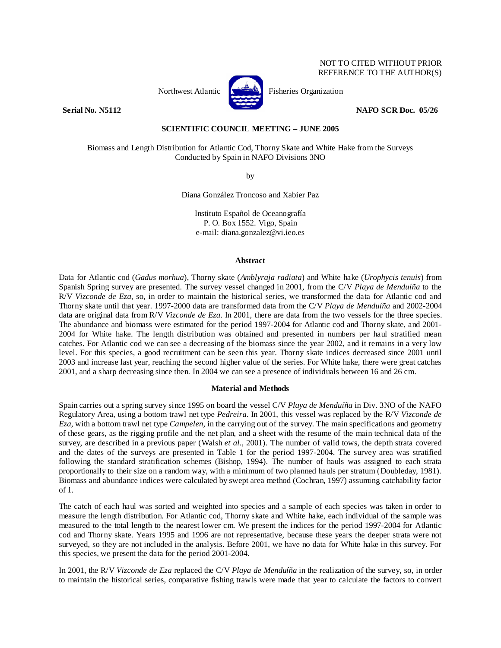# NOT TO CITED WITHOUT PRIOR REFERENCE TO THE AUTHOR(S)



Northwest Atlantic **No. 2008** Fisheries Organization

**Serial No. N5112 NAFO SCR Doc. 05/26** 

# **SCIENTIFIC COUNCIL MEETING – JUNE 2005**

Biomass and Length Distribution for Atlantic Cod, Thorny Skate and White Hake from the Surveys Conducted by Spain in NAFO Divisions 3NO

by

Diana González Troncoso and Xabier Paz

Instituto Español de Oceanografía P. O. Box 1552. Vigo, Spain e-mail: diana.gonzalez@vi.ieo.es

#### **Abstract**

Data for Atlantic cod (*Gadus morhua*), Thorny skate (*Amblyraja radiata*) and White hake (*Urophycis tenuis*) from Spanish Spring survey are presented. The survey vessel changed in 2001, from the C/V *Playa de Menduíña* to the R/V *Vizconde de Eza*, so, in order to maintain the historical series, we transformed the data for Atlantic cod and Thorny skate until that year. 1997-2000 data are transformed data from the C/V *Playa de Menduíña* and 2002-2004 data are original data from R/V *Vizconde de Eza*. In 2001, there are data from the two vessels for the three species. The abundance and biomass were estimated for the period 1997-2004 for Atlantic cod and Thorny skate, and 2001- 2004 for White hake. The length distribution was obtained and presented in numbers per haul stratified mean catches. For Atlantic cod we can see a decreasing of the biomass since the year 2002, and it remains in a very low level. For this species, a good recruitment can be seen this year. Thorny skate indices decreased since 2001 until 2003 and increase last year, reaching the second higher value of the series. For White hake, there were great catches 2001, and a sharp decreasing since then. In 2004 we can see a presence of individuals between 16 and 26 cm.

#### **Material and Methods**

Spain carries out a spring survey since 1995 on board the vessel C/V *Playa de Menduíña* in Div. 3NO of the NAFO Regulatory Area, using a bottom trawl net type *Pedreira*. In 2001, this vessel was replaced by the R/V *Vizconde de Eza*, with a bottom trawl net type *Campelen*, in the carrying out of the survey. The main specifications and geometry of these gears, as the rigging profile and the net plan, and a sheet with the resume of the main technical data of the survey, are described in a previous paper (Walsh *et al.*, 2001). The number of valid tows, the depth strata covered and the dates of the surveys are presented in Table 1 for the period 1997-2004. The survey area was stratified following the standard stratification schemes (Bishop, 1994). The number of hauls was assigned to each strata proportionally to their size on a random way, with a minimum of two planned hauls per stratum (Doubleday, 1981). Biomass and abundance indices were calculated by swept area method (Cochran, 1997) assuming catchability factor of 1.

The catch of each haul was sorted and weighted into species and a sample of each species was taken in order to measure the length distribution. For Atlantic cod, Thorny skate and White hake, each individual of the sample was measured to the total length to the nearest lower cm. We present the indices for the period 1997-2004 for Atlantic cod and Thorny skate. Years 1995 and 1996 are not representative, because these years the deeper strata were not surveyed, so they are not included in the analysis. Before 2001, we have no data for White hake in this survey. For this species, we present the data for the period 2001-2004.

In 2001, the R/V *Vizconde de Eza* replaced the C/V *Playa de Menduíña* in the realization of the survey, so, in order to maintain the historical series, comparative fishing trawls were made that year to calculate the factors to convert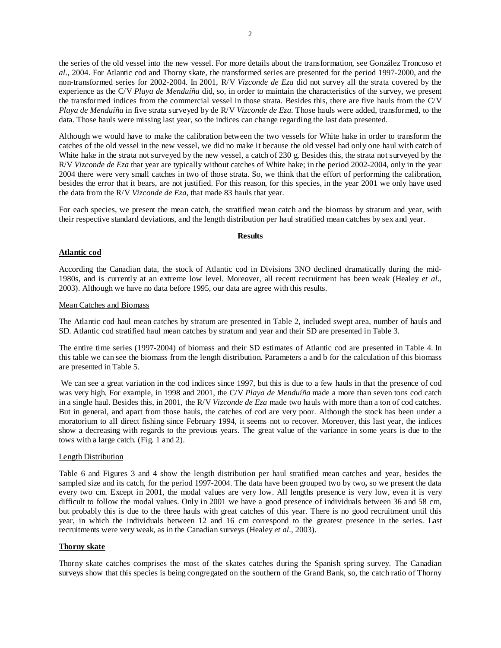the series of the old vessel into the new vessel. For more details about the transformation, see González Troncoso *et al.*, 2004. For Atlantic cod and Thorny skate, the transformed series are presented for the period 1997-2000, and the non-transformed series for 2002-2004. In 2001, R/V *Vizconde de Eza* did not survey all the strata covered by the experience as the C/V *Playa de Menduíña* did, so, in order to maintain the characteristics of the survey, we present the transformed indices from the commercial vessel in those strata. Besides this, there are five hauls from the C/V *Playa de Menduíña* in five strata surveyed by de R/V *Vizconde de Eza*. Those hauls were added, transformed, to the data. Those hauls were missing last year, so the indices can change regarding the last data presented.

Although we would have to make the calibration between the two vessels for White hake in order to transform the catches of the old vessel in the new vessel, we did no make it because the old vessel had only one haul with catch of White hake in the strata not surveyed by the new vessel, a catch of 230 g. Besides this, the strata not surveyed by the R/V *Vizconde de Eza* that year are typically without catches of White hake; in the period 2002-2004, only in the year 2004 there were very small catches in two of those strata. So, we think that the effort of performing the calibration, besides the error that it bears, are not justified. For this reason, for this species, in the year 2001 we only have used the data from the R/V *Vizconde de Eza*, that made 83 hauls that year.

For each species, we present the mean catch, the stratified mean catch and the biomass by stratum and year, with their respective standard deviations, and the length distribution per haul stratified mean catches by sex and year.

#### **Results**

# **Atlantic cod**

According the Canadian data, the stock of Atlantic cod in Divisions 3NO declined dramatically during the mid-1980s, and is currently at an extreme low level. Moreover, all recent recruitment has been weak (Healey *et al.*, 2003). Although we have no data before 1995, our data are agree with this results.

## Mean Catches and Biomass

The Atlantic cod haul mean catches by stratum are presented in Table 2, included swept area, number of hauls and SD. Atlantic cod stratified haul mean catches by stratum and year and their SD are presented in Table 3.

The entire time series (1997-2004) of biomass and their SD estimates of Atlantic cod are presented in Table 4. In this table we can see the biomass from the length distribution. Parameters a and b for the calculation of this biomass are presented in Table 5.

 We can see a great variation in the cod indices since 1997, but this is due to a few hauls in that the presence of cod was very high. For example, in 1998 and 2001, the C/V *Playa de Menduíña* made a more than seven tons cod catch in a single haul. Besides this, in 2001, the R/V *Vizconde de Eza* made two hauls with more than a ton of cod catches. But in general, and apart from those hauls, the catches of cod are very poor. Although the stock has been under a moratorium to all direct fishing since February 1994, it seems not to recover. Moreover, this last year, the indices show a decreasing with regards to the previous years. The great value of the variance in some years is due to the tows with a large catch. (Fig. 1 and 2).

## Length Distribution

Table 6 and Figures 3 and 4 show the length distribution per haul stratified mean catches and year, besides the sampled size and its catch, for the period 1997-2004. The data have been grouped two by two**,** so we present the data every two cm. Except in 2001, the modal values are very low. All lengths presence is very low, even it is very difficult to follow the modal values. Only in 2001 we have a good presence of individuals between 36 and 58 cm, but probably this is due to the three hauls with great catches of this year. There is no good recruitment until this year, in which the individuals between 12 and 16 cm correspond to the greatest presence in the series. Last recruitments were very weak, as in the Canadian surveys (Healey *et al.*, 2003).

## **Thorny skate**

Thorny skate catches comprises the most of the skates catches during the Spanish spring survey. The Canadian surveys show that this species is being congregated on the southern of the Grand Bank, so, the catch ratio of Thorny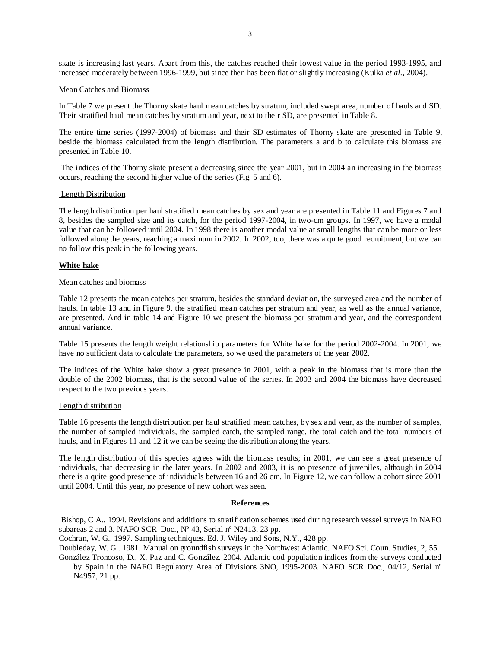skate is increasing last years. Apart from this, the catches reached their lowest value in the period 1993-1995, and increased moderately between 1996-1999, but since then has been flat or slightly increasing (Kulka *et al.*, 2004).

### Mean Catches and Biomass

In Table 7 we present the Thorny skate haul mean catches by stratum, included swept area, number of hauls and SD. Their stratified haul mean catches by stratum and year, next to their SD, are presented in Table 8.

The entire time series (1997-2004) of biomass and their SD estimates of Thorny skate are presented in Table 9, beside the biomass calculated from the length distribution. The parameters a and b to calculate this biomass are presented in Table 10.

 The indices of the Thorny skate present a decreasing since the year 2001, but in 2004 an increasing in the biomass occurs, reaching the second higher value of the series (Fig. 5 and 6).

### Length Distribution

The length distribution per haul stratified mean catches by sex and year are presented in Table 11 and Figures 7 and 8, besides the sampled size and its catch, for the period 1997-2004, in two-cm groups. In 1997, we have a modal value that can be followed until 2004. In 1998 there is another modal value at small lengths that can be more or less followed along the years, reaching a maximum in 2002. In 2002, too, there was a quite good recruitment, but we can no follow this peak in the following years.

### **White hake**

#### Mean catches and biomass

Table 12 presents the mean catches per stratum, besides the standard deviation, the surveyed area and the number of hauls. In table 13 and in Figure 9, the stratified mean catches per stratum and year, as well as the annual variance, are presented. And in table 14 and Figure 10 we present the biomass per stratum and year, and the correspondent annual variance.

Table 15 presents the length weight relationship parameters for White hake for the period 2002-2004. In 2001, we have no sufficient data to calculate the parameters, so we used the parameters of the year 2002.

The indices of the White hake show a great presence in 2001, with a peak in the biomass that is more than the double of the 2002 biomass, that is the second value of the series. In 2003 and 2004 the biomass have decreased respect to the two previous years.

#### Length distribution

Table 16 presents the length distribution per haul stratified mean catches, by sex and year, as the number of samples, the number of sampled individuals, the sampled catch, the sampled range, the total catch and the total numbers of hauls, and in Figures 11 and 12 it we can be seeing the distribution along the years.

The length distribution of this species agrees with the biomass results; in 2001, we can see a great presence of individuals, that decreasing in the later years. In 2002 and 2003, it is no presence of juveniles, although in 2004 there is a quite good presence of individuals between 16 and 26 cm. In Figure 12, we can follow a cohort since 2001 until 2004. Until this year, no presence of new cohort was seen.

#### **References**

 Bishop, C A.. 1994. Revisions and additions to stratification schemes used during research vessel surveys in NAFO subareas 2 and 3*.* NAFO SCR Doc., Nº 43, Serial nº N2413, 23 pp.

Cochran, W. G.. 1997. Sampling techniques. Ed. J. Wiley and Sons, N.Y., 428 pp.

Doubleday, W. G.. 1981. Manual on groundfish surveys in the Northwest Atlantic. NAFO Sci. Coun. Studies, 2, 55.

González Troncoso, D., X. Paz and C. González. 2004. Atlantic cod population indices from the surveys conducted by Spain in the NAFO Regulatory Area of Divisions 3NO, 1995-2003. NAFO SCR Doc., 04/12, Serial nº N4957, 21 pp.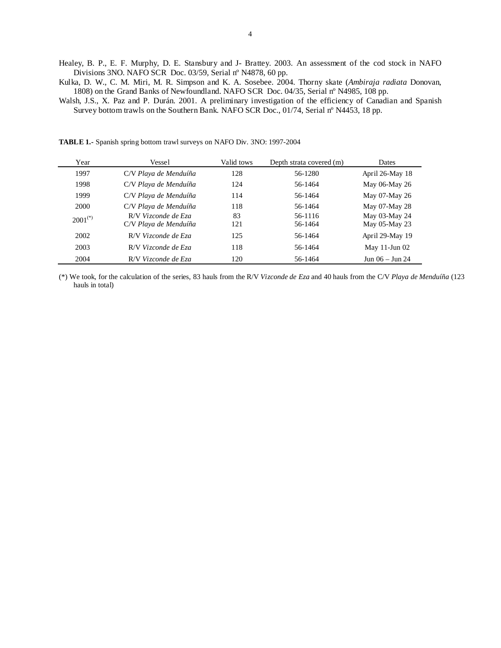- Healey, B. P., E. F. Murphy, D. E. Stansbury and J- Brattey. 2003. An assessment of the cod stock in NAFO Divisions 3NO. NAFO SCR Doc. 03/59, Serial nº N4878, 60 pp.
- Kulka, D. W., C. M. Miri, M. R. Simpson and K. A. Sosebee. 2004. Thorny skate (*Ambiraja radiata* Donovan, 1808) on the Grand Banks of Newfoundland. NAFO SCR Doc. 04/35, Serial nº N4985, 108 pp.
- Walsh, J.S., X. Paz and P. Durán. 2001. A preliminary investigation of the efficiency of Canadian and Spanish Survey bottom trawls on the Southern Bank. NAFO SCR Doc., 01/74, Serial nº N4453, 18 pp.

**TABLE 1.-** Spanish spring bottom trawl surveys on NAFO Div. 3NO: 1997-2004

| Year         | Vessel                                       | Valid tows | Depth strata covered (m) | Dates                          |
|--------------|----------------------------------------------|------------|--------------------------|--------------------------------|
| 1997         | C/V Playa de Menduíña                        | 128        | 56-1280                  | April 26-May 18                |
| 1998         | C/V Playa de Menduíña                        | 124        | 56-1464                  | May 06-May 26                  |
| 1999         | C/V Playa de Menduíña                        | 114        | 56-1464                  | May 07-May 26                  |
| 2000         | C/V Playa de Menduíña                        | 118        | 56-1464                  | May 07-May 28                  |
| $2001^{(*)}$ | R/V Vizconde de Eza<br>C/V Playa de Menduíña | 83<br>121  | 56-1116<br>56-1464       | May 03-May 24<br>May 05-May 23 |
| 2002         | R/V Vizconde de Eza                          | 125        | 56-1464                  | April 29-May 19                |
| 2003         | R/V Vizconde de Eza                          | 118        | 56-1464                  | May $11$ -Jun $02$             |
| 2004         | R/V Vizconde de Eza                          | 120        | 56-1464                  | $Jun 06 - Jun 24$              |

(\*) We took, for the calculation of the series, 83 hauls from the R/V *Vizconde de Eza* and 40 hauls from the C/V *Playa de Menduíña* (123 hauls in total)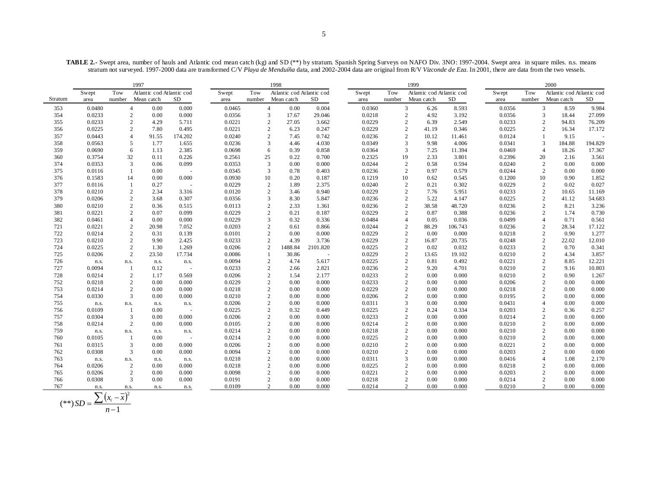**TABLE 2.-** Swept area, number of hauls and Atlantic cod mean catch (kg) and SD (\*\*) by stratum. Spanish Spring Surveys on NAFO Div. 3NO: 1997-2004. Swept area in square miles. n.s. means stratum not surveyed. 1997-2000 data are transformed C/V *Playa de Menduíña* data, and 2002-2004 data are original from R/V *Vizconde de Eza*. In 2001, there are data from the two vessels.

|         |        |                | 1997                      |                          |        |                | 1998                      |          |        |                | 1999                      |           |        |        | 2000                      |         |
|---------|--------|----------------|---------------------------|--------------------------|--------|----------------|---------------------------|----------|--------|----------------|---------------------------|-----------|--------|--------|---------------------------|---------|
|         | Swept  | Tow            | Atlantic cod Atlantic cod |                          | Swept  | Tow            | Atlantic cod Atlantic cod |          | Swept  | Tow            | Atlantic cod Atlantic cod |           | Swept  | Tow    | Atlantic cod Atlantic cod |         |
| Stratum | area   | number         | Mean catch                | <b>SD</b>                | area   | number         | Mean catch                | SD       | area   | number         | Mean catch                | <b>SD</b> | area   | number | Mean catch                | SD      |
| 353     | 0.0480 |                | 0.00<br>$\overline{4}$    | 0.000                    | 0.0465 | $\overline{4}$ | 0.00                      | 0.004    | 0.0360 |                | 3<br>6.26                 | 8.593     | 0.0356 |        | 3<br>8.59                 | 9.984   |
| 354     | 0.0233 |                | $\sqrt{2}$<br>0.00        | 0.000                    | 0.0356 | 3              | 17.67                     | 29.046   | 0.0218 |                | $\overline{2}$<br>4.92    | 3.192     | 0.0356 |        | $\overline{3}$<br>18.44   | 27.099  |
| 355     | 0.0233 |                | $\overline{2}$<br>4.29    | 5.711                    | 0.0221 | $\overline{c}$ | 27.05                     | 3.662    | 0.0229 |                | $\overline{2}$<br>6.39    | 2.549     | 0.0233 |        | $\overline{c}$<br>94.83   | 76.209  |
| 356     | 0.0225 |                | $\overline{2}$<br>7.80    | 0.495                    | 0.0221 | 2              | 6.23                      | 0.247    | 0.0229 |                | $\overline{2}$<br>41.19   | 0.346     | 0.0225 |        | 2<br>16.34                | 17.172  |
| 357     | 0.0443 |                | $\overline{4}$<br>91.55   | 174.202                  | 0.0240 | $\overline{c}$ | 7.45                      | 0.742    | 0.0236 |                | $\overline{2}$<br>10.12   | 11.461    | 0.0124 |        | 9.15<br>$\mathbf{1}$      |         |
| 358     | 0.0563 |                | 5<br>1.77                 | 1.655                    | 0.0236 | 3              | 4.46                      | 4.030    | 0.0349 |                | $\overline{3}$<br>9.98    | 4.006     | 0.0341 |        | 3<br>184.88               | 194.829 |
| 359     | 0.0690 |                | 6<br>1.13                 | 2.385                    | 0.0698 | 6              | 0.39                      | 0.858    | 0.0364 |                | 3<br>7.25                 | 11.394    | 0.0469 |        | $\overline{4}$<br>18.26   | 17.367  |
| 360     | 0.3754 | 32             | 0.11                      | 0.226                    | 0.2561 | 25             | 0.22                      | 0.700    | 0.2325 | 19             | 2.33                      | 3.801     | 0.2396 |        | 20<br>2.16                | 3.561   |
| 374     | 0.0353 |                | 3<br>0.06                 | 0.099                    | 0.0353 | 3              | 0.00                      | 0.000    | 0.0244 |                | $\overline{2}$<br>0.58    | 0.594     | 0.0240 |        | 0.00<br>2                 | 0.000   |
| 375     | 0.0116 | $\mathbf{1}$   | 0.00                      | $\overline{\phantom{a}}$ | 0.0345 | $\overline{3}$ | 0.78                      | 0.403    | 0.0236 |                | $\overline{2}$<br>0.97    | 0.579     | 0.0244 |        | 0.00<br>$\overline{2}$    | 0.000   |
| 376     | 0.1583 | 14             | 0.00                      | 0.000                    | 0.0930 | 10             | 0.20                      | 0.187    | 0.1219 | 10             | 0.62                      | 0.545     | 0.1200 |        | 10<br>0.90                | 1.852   |
| 377     | 0.0116 | -1             | 0.27                      | $\sim$                   | 0.0229 | 2              | 1.89                      | 2.375    | 0.0240 |                | $\overline{2}$<br>0.21    | 0.302     | 0.0229 |        | 2<br>0.02                 | 0.027   |
| 378     | 0.0210 |                | 2<br>2.34                 | 3.316                    | 0.0120 | 2              | 3.46                      | 0.940    | 0.0229 |                | $\overline{2}$<br>7.76    | 5.951     | 0.0233 |        | 2<br>10.65                | 11.169  |
| 379     | 0.0206 |                | $\overline{2}$<br>3.68    | 0.307                    | 0.0356 | 3              | 8.30                      | 5.847    | 0.0236 |                | $\overline{2}$<br>5.22    | 4.147     | 0.0225 |        | $\overline{c}$<br>41.12   | 54.683  |
| 380     | 0.0210 |                | $\sqrt{2}$<br>0.36        | 0.515                    | 0.0113 | $\overline{2}$ | 2.33                      | 1.361    | 0.0236 |                | $\overline{2}$<br>38.58   | 48.720    | 0.0236 |        | $\overline{2}$<br>8.21    | 3.236   |
| 381     | 0.0221 |                | 2<br>0.07                 | 0.099                    | 0.0229 | 2              | 0.21                      | 0.187    | 0.0229 |                | $\overline{2}$<br>0.87    | 0.388     | 0.0236 |        | 1.74<br>$\overline{2}$    | 0.730   |
| 382     | 0.0461 | $\overline{4}$ | 0.00                      | 0.000                    | 0.0229 | 3              | 0.32                      | 0.336    | 0.0484 | $\overline{4}$ | 0.05                      | 0.036     | 0.0499 |        | $\overline{4}$<br>0.71    | 0.561   |
| 721     | 0.0221 |                | 2<br>20.98                | 7.052                    | 0.0203 | 2              | 0.61                      | 0.866    | 0.0244 |                | $\overline{2}$<br>88.29   | 106.743   | 0.0236 |        | $\overline{2}$<br>28.34   | 17.122  |
| 722     | 0.0214 |                | $\overline{2}$<br>0.31    | 0.139                    | 0.0101 | 2              | 0.00                      | 0.000    | 0.0229 |                | $\overline{2}$<br>0.00    | 0.000     | 0.0218 |        | 2<br>0.90                 | 1.277   |
| 723     | 0.0210 |                | $\overline{2}$<br>9.90    | 2.425                    | 0.0233 | $\overline{c}$ | 4.39                      | 3.736    | 0.0229 |                | $\overline{2}$<br>16.87   | 20.735    | 0.0248 |        | $\overline{c}$<br>22.02   | 12.010  |
| 724     | 0.0225 |                | $\overline{2}$<br>1.30    | 1.269                    | 0.0206 | $\overline{c}$ | 1488.84                   | 2101.820 | 0.0225 |                | $\overline{2}$<br>0.02    | 0.032     | 0.0233 |        | $\overline{2}$<br>0.70    | 0.341   |
| 725     | 0.0206 |                | $\overline{2}$<br>23.50   | 17.734                   | 0.0086 |                | 30.86                     |          | 0.0229 |                | $\overline{2}$<br>13.65   | 19.102    | 0.0210 |        | 2<br>4.34                 | 3.857   |
| 726     | n.s.   | n.s.           | n.s.                      | n.s.                     | 0.0094 | $\overline{2}$ | 4.74                      | 5.617    | 0.0225 |                | $\overline{2}$<br>0.81    | 0.492     | 0.0221 |        | $\overline{c}$<br>8.85    | 12.221  |
| 727     | 0.0094 | -1             | 0.12                      | $\sim$                   | 0.0233 | $\overline{2}$ | 2.66                      | 2.821    | 0.0236 |                | $\overline{2}$<br>9.20    | 4.701     | 0.0210 |        | $\overline{c}$<br>9.16    | 10.803  |
| 728     | 0.0214 |                | $\overline{2}$<br>1.17    | 0.569                    | 0.0206 | 2              | 1.54                      | 2.177    | 0.0233 |                | $\overline{2}$<br>0.00    | 0.000     | 0.0210 |        | $\overline{c}$<br>0.90    | 1.267   |
| 752     | 0.0218 |                | $\sqrt{2}$<br>0.00        | 0.000                    | 0.0229 | $\overline{c}$ | 0.00                      | 0.000    | 0.0233 |                | $\overline{2}$<br>0.00    | 0.000     | 0.0206 |        | $\overline{c}$<br>0.00    | 0.000   |
| 753     | 0.0214 |                | 2<br>0.00                 | 0.000                    | 0.0218 | $\overline{2}$ | 0.00                      | 0.000    | 0.0229 |                | $\overline{2}$<br>0.00    | 0.000     | 0.0218 |        | $\overline{c}$<br>0.00    | 0.000   |
| 754     | 0.0330 |                | 3<br>0.00                 | 0.000                    | 0.0210 | $\overline{2}$ | 0.00                      | 0.000    | 0.0206 |                | $\overline{2}$<br>0.00    | 0.000     | 0.0195 |        | 2<br>0.00                 | 0.000   |
| 755     | n.s.   | n.s.           | n.s.                      | n.s.                     | 0.0206 | $\overline{c}$ | 0.00                      | 0.000    | 0.0311 |                | $\overline{3}$<br>0.00    | 0.000     | 0.0431 |        | $\overline{4}$<br>0.00    | 0.000   |
| 756     | 0.0109 | -1             | 0.00                      | $\sim$                   | 0.0225 | $\overline{2}$ | 0.32                      | 0.449    | 0.0225 |                | $\overline{2}$<br>0.24    | 0.334     | 0.0203 |        | $\overline{c}$<br>0.36    | 0.257   |
| 757     | 0.0304 |                | 3<br>0.00                 | 0.000                    | 0.0206 | 2              | 0.00                      | 0.000    | 0.0233 |                | $\overline{2}$<br>0.00    | 0.000     | 0.0214 |        | $\overline{2}$<br>0.00    | 0.000   |
| 758     | 0.0214 |                | $\overline{2}$<br>0.00    | 0.000                    | 0.0105 | $\overline{c}$ | 0.00                      | 0.000    | 0.0214 |                | $\overline{2}$<br>0.00    | 0.000     | 0.0210 |        | $\overline{c}$<br>0.00    | 0.000   |
| 759     | n.s.   | n.s.           | n.s.                      | n.s.                     | 0.0214 | $\overline{2}$ | 0.00                      | 0.000    | 0.0218 |                | $\overline{2}$<br>0.00    | 0.000     | 0.0210 |        | $\overline{c}$<br>0.00    | 0.000   |
| 760     | 0.0105 | 1              | 0.00                      | $\sim$                   | 0.0214 | $\overline{2}$ | 0.00                      | 0.000    | 0.0225 |                | $\overline{2}$<br>0.00    | 0.000     | 0.0210 |        | $\overline{c}$<br>0.00    | 0.000   |
| 761     | 0.0315 |                | 3<br>0.00                 | 0.000                    | 0.0206 | $\overline{c}$ | 0.00                      | 0.000    | 0.0210 |                | $\overline{2}$<br>0.00    | 0.000     | 0.0221 |        | $\overline{c}$<br>0.00    | 0.000   |
| 762     | 0.0308 |                | 3<br>0.00                 | 0.000                    | 0.0094 | $\overline{2}$ | 0.00                      | 0.000    | 0.0210 |                | $\overline{2}$<br>0.00    | 0.000     | 0.0203 |        | $\overline{c}$<br>0.00    | 0.000   |
| 763     | n.s.   | n.s.           | n.s.                      | n.s.                     | 0.0218 | $\overline{2}$ | 0.00                      | 0.000    | 0.0311 |                | 3<br>0.00                 | 0.000     | 0.0416 |        | $\overline{4}$<br>1.08    | 2.170   |
| 764     | 0.0206 |                | $\overline{2}$<br>0.00    | 0.000                    | 0.0218 | $\overline{c}$ | 0.00                      | 0.000    | 0.0225 |                | $\overline{2}$<br>0.00    | 0.000     | 0.0218 |        | $\overline{c}$<br>0.00    | 0.000   |
| 765     | 0.0206 |                | $\sqrt{2}$<br>0.00        | 0.000                    | 0.0098 | $\overline{2}$ | 0.00                      | 0.000    | 0.0221 |                | $\overline{2}$<br>0.00    | 0.000     | 0.0203 |        | $\overline{c}$<br>0.00    | 0.000   |
| 766     | 0.0308 |                | 3<br>0.00                 | 0.000                    | 0.0191 | 2              | 0.00                      | 0.000    | 0.0218 |                | $\overline{2}$<br>0.00    | 0.000     | 0.0214 |        | $\overline{c}$<br>0.00    | 0.000   |
| 767     | n.s.   | n.s.           | n.s.                      | n.s.                     | 0.0109 | 2              | 0.00                      | 0.000    | 0.0214 |                | $\overline{2}$<br>0.00    | 0.000     | 0.0210 |        | $\overline{2}$<br>0.00    | 0.000   |

$$
(**) SD = \frac{\sum (x_i - \bar{x})^2}{n - 1}
$$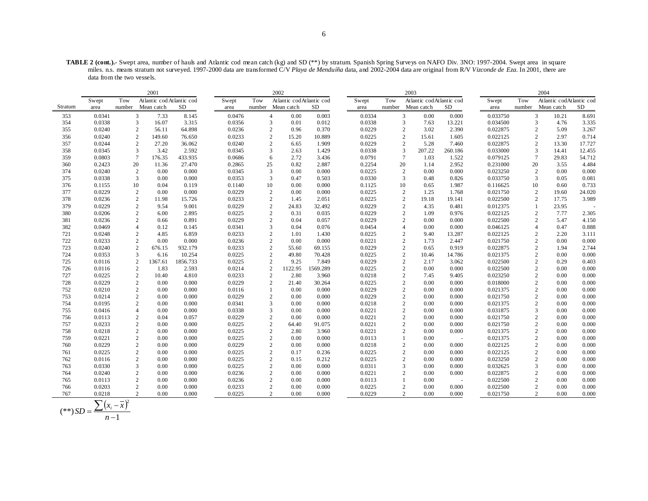**TABLE 2 (cont.).-** Swept area, number of hauls and Atlantic cod mean catch (kg) and SD (\*\*) by stratum. Spanish Spring Surveys on NAFO Div. 3NO: 1997-2004. Swept area in square miles. n.s. means stratum not surveyed. 1997-2000 data are transformed C/V *Playa de Menduíña* data, and 2002-2004 data are original from R/V *Vizconde de Eza*. In 2001, there are data from the two vessels.

|         |        |                  | 2001                      |          |        |                  | 2002                     |          |        |     | 2003                     |         |          |        | 2004                     |        |
|---------|--------|------------------|---------------------------|----------|--------|------------------|--------------------------|----------|--------|-----|--------------------------|---------|----------|--------|--------------------------|--------|
|         | Swept  | Tow              | Atlantic cod Atlantic cod |          | Swept  | Tow              | Atlantic codAtlantic cod |          | Swept  | Tow | Atlantic codAtlantic cod |         | Swept    | Tow    | Atlantic codAtlantic cod |        |
| Stratum | area   | number           | Mean catch                | SD.      | area   |                  | number Mean catch        | SD       | area   |     | number Mean catch        | SD      | area     | number | Mean catch               | SD     |
| 353     | 0.0341 | 3                | 7.33                      | 8.145    | 0.0476 | $\overline{4}$   | 0.00                     | 0.003    | 0.0334 |     | 3<br>0.00                | 0.000   | 0.033750 |        | 3<br>10.21               | 8.691  |
| 354     | 0.0338 | 3                | 16.07                     | 3.315    | 0.0356 | 3                | 0.01                     | 0.012    | 0.0338 |     | 3<br>7.63                | 13.221  | 0.034500 |        | 3<br>4.76                | 3.335  |
| 355     | 0.0240 | 2                | 56.11                     | 64.898   | 0.0236 | 2                | 0.96                     | 0.370    | 0.0229 |     | $\overline{2}$<br>3.02   | 2.390   | 0.022875 |        | $\overline{c}$<br>5.09   | 3.267  |
| 356     | 0.0240 | $\overline{2}$   | 149.60                    | 76.650   | 0.0233 | $\overline{c}$   | 15.20                    | 10.889   | 0.0225 |     | $\overline{2}$<br>15.61  | 1.605   | 0.022125 |        | $\overline{c}$<br>2.97   | 0.714  |
| 357     | 0.0244 | $\overline{2}$   | 27.20                     | 36.062   | 0.0240 | $\mathbf{2}$     | 6.65                     | 1.909    | 0.0229 |     | $\overline{2}$<br>5.28   | 7.460   | 0.022875 |        | $\overline{2}$<br>13.30  | 17.727 |
| 358     | 0.0345 | 3                | 3.42                      | 2.592    | 0.0345 | 3                | 2.63                     | 1.429    | 0.0338 |     | 3<br>207.22              | 260.186 | 0.033000 |        | 3<br>14.41               | 12.455 |
| 359     | 0.0803 | $7\phantom{.0}$  | 176.35                    | 433.935  | 0.0686 | 6                | 2.72                     | 3.436    | 0.0791 |     | $\overline{7}$<br>1.03   | 1.522   | 0.079125 |        | $\overline{7}$<br>29.83  | 54.712 |
| 360     | 0.2423 | 20               | 11.36                     | 27.470   | 0.2865 | 25               | 0.82                     | 2.887    | 0.2254 |     | 20<br>1.14               | 2.952   | 0.231000 | 20     | 3.55                     | 4.484  |
| 374     | 0.0240 | 2                | 0.00                      | 0.000    | 0.0345 | 3                | 0.00                     | 0.000    | 0.0225 |     | $\overline{2}$<br>0.00   | 0.000   | 0.023250 |        | $\mathbf{2}$<br>0.00     | 0.000  |
| 375     | 0.0338 | 3                | 0.00                      | 0.000    | 0.0353 | 3                | 0.47                     | 0.503    | 0.0330 |     | 3<br>0.48                | 0.826   | 0.033750 |        | 3<br>0.05                | 0.081  |
| 376     | 0.1155 | 10               | 0.04                      | 0.119    | 0.1140 | 10               | 0.00                     | 0.000    | 0.1125 |     | 10<br>0.65               | 1.987   | 0.116625 | 10     | 0.60                     | 0.733  |
| 377     | 0.0229 | $\boldsymbol{2}$ | 0.00                      | 0.000    | 0.0229 | $\overline{c}$   | 0.00                     | 0.000    | 0.0225 |     | $\overline{2}$<br>1.25   | 1.768   | 0.021750 |        | $\overline{c}$<br>19.60  | 24.020 |
| 378     | 0.0236 | $\mathbf{2}$     | 11.98                     | 15.726   | 0.0233 | $\overline{2}$   | 1.45                     | 2.051    | 0.0225 |     | $\overline{2}$<br>19.18  | 19.141  | 0.022500 |        | $\overline{2}$<br>17.75  | 3.989  |
| 379     | 0.0229 | $\overline{2}$   | 9.54                      | 9.001    | 0.0229 | $\overline{c}$   | 24.83                    | 32.492   | 0.0229 |     | $\overline{2}$<br>4.35   | 0.481   | 0.012375 |        | 23.95<br>1               |        |
| 380     | 0.0206 | $\overline{2}$   | 6.00                      | 2.895    | 0.0225 | $\mathbf{2}$     | 0.31                     | 0.035    | 0.0229 |     | $\overline{2}$<br>1.09   | 0.976   | 0.022125 |        | $\overline{2}$<br>7.77   | 2.305  |
| 381     | 0.0236 | $\mathbf{2}$     | 0.66                      | 0.891    | 0.0229 | $\overline{c}$   | 0.04                     | 0.057    | 0.0229 |     | $\overline{2}$<br>0.00   | 0.000   | 0.022500 |        | $\overline{2}$<br>5.47   | 4.150  |
| 382     | 0.0469 | $\overline{4}$   | 0.12                      | 0.145    | 0.0341 | 3                | 0.04                     | 0.076    | 0.0454 |     | $\overline{4}$<br>0.00   | 0.000   | 0.046125 |        | 0.47                     | 0.888  |
| 721     | 0.0248 | $\overline{2}$   | 4.85                      | 6.859    | 0.0233 | $\boldsymbol{2}$ | 1.01                     | 1.430    | 0.0225 |     | $\overline{2}$<br>9.40   | 13.287  | 0.022125 |        | 2.20                     | 3.111  |
| 722     | 0.0233 | $\overline{2}$   | 0.00                      | 0.000    | 0.0236 | $\overline{2}$   | 0.00                     | 0.000    | 0.0221 |     | $\overline{2}$<br>1.73   | 2.447   | 0.021750 |        | $\overline{2}$<br>0.00   | 0.000  |
| 723     | 0.0240 | $\overline{2}$   | 676.15                    | 932.179  | 0.0233 | $\overline{c}$   | 55.60                    | 69.155   | 0.0229 |     | $\overline{2}$<br>0.65   | 0.919   | 0.022875 |        | $\overline{2}$<br>1.94   | 2.744  |
| 724     | 0.0353 | 3                | 6.16                      | 10.254   | 0.0225 | 2                | 49.80                    | 70.428   | 0.0225 |     | $\overline{2}$<br>10.46  | 14.786  | 0.021375 |        | 0.00<br>$\overline{2}$   | 0.000  |
| 725     | 0.0116 | $\overline{2}$   | 1367.61                   | 1856.733 | 0.0225 | $\overline{2}$   | 9.25                     | 7.849    | 0.0229 |     | $\overline{2}$<br>2.17   | 3.062   | 0.022500 |        | 2<br>0.29                | 0.403  |
| 726     | 0.0116 | $\sqrt{2}$       | 1.83                      | 2.593    | 0.0214 | $\overline{c}$   | 1122.95                  | 1569.289 | 0.0225 |     | $\overline{2}$<br>0.00   | 0.000   | 0.022500 |        | $\overline{c}$<br>0.00   | 0.000  |
| 727     | 0.0225 | $\overline{2}$   | 10.40                     | 4.810    | 0.0233 | $\overline{2}$   | 2.80                     | 3.960    | 0.0218 |     | $\overline{2}$<br>7.45   | 9.405   | 0.023250 |        | 0.00<br>$\overline{2}$   | 0.000  |
| 728     | 0.0229 | $\overline{2}$   | 0.00                      | 0.000    | 0.0229 | 2                | 21.40                    | 30.264   | 0.0225 |     | $\overline{2}$<br>0.00   | 0.000   | 0.018000 |        | $\overline{c}$<br>0.00   | 0.000  |
| 752     | 0.0210 | $\overline{2}$   | 0.00                      | 0.000    | 0.0116 |                  | 0.00                     | 0.000    | 0.0229 |     | $\overline{2}$<br>0.00   | 0.000   | 0.021375 |        | $\overline{c}$<br>0.00   | 0.000  |
| 753     | 0.0214 | 2                | 0.00                      | 0.000    | 0.0229 | 2                | 0.00                     | 0.000    | 0.0229 |     | $\overline{2}$<br>0.00   | 0.000   | 0.021750 |        | 0.00<br>2                | 0.000  |
| 754     | 0.0195 | $\overline{2}$   | 0.00                      | 0.000    | 0.0341 | 3                | 0.00                     | 0.000    | 0.0218 |     | $\overline{2}$<br>0.00   | 0.000   | 0.021375 |        | $\overline{c}$<br>0.00   | 0.000  |
| 755     | 0.0416 | $\overline{4}$   | 0.00                      | 0.000    | 0.0338 | 3                | 0.00                     | 0.000    | 0.0221 |     | $\overline{2}$<br>0.00   | 0.000   | 0.031875 |        | 3<br>0.00                | 0.000  |
| 756     | 0.0113 | $\overline{2}$   | 0.04                      | 0.057    | 0.0229 | $\overline{c}$   | 0.00                     | 0.000    | 0.0221 |     | $\overline{2}$<br>0.00   | 0.000   | 0.021750 |        | 0.00<br>2                | 0.000  |
| 757     | 0.0233 | $\overline{2}$   | 0.00                      | 0.000    | 0.0225 | $\sqrt{2}$       | 64.40                    | 91.075   | 0.0221 |     | $\overline{2}$<br>0.00   | 0.000   | 0.021750 |        | $\overline{2}$<br>0.00   | 0.000  |
| 758     | 0.0218 | $\mathbf{2}$     | 0.00                      | 0.000    | 0.0225 | $\mathbf{2}$     | 2.80                     | 3.960    | 0.0221 |     | $\overline{2}$<br>0.00   | 0.000   | 0.021375 |        | 2<br>0.00                | 0.000  |
| 759     | 0.0221 | $\overline{2}$   | 0.00                      | 0.000    | 0.0225 | $\overline{c}$   | 0.00                     | 0.000    | 0.0113 |     | 0.00<br>1                |         | 0.021375 |        | 0.00<br>$\overline{c}$   | 0.000  |
| 760     | 0.0229 | $\overline{2}$   | 0.00                      | 0.000    | 0.0229 | $\mathbf{2}$     | 0.00                     | 0.000    | 0.0218 |     | $\overline{2}$<br>0.00   | 0.000   | 0.022125 |        | $\overline{c}$<br>0.00   | 0.000  |
| 761     | 0.0225 | $\overline{2}$   | 0.00                      | 0.000    | 0.0225 | $\mathbf{2}$     | 0.17                     | 0.236    | 0.0225 |     | $\overline{2}$<br>0.00   | 0.000   | 0.022125 |        | 0.00<br>$\mathfrak{D}$   | 0.000  |
| 762     | 0.0116 | $\overline{2}$   | 0.00                      | 0.000    | 0.0225 | $\overline{c}$   | 0.15                     | 0.212    | 0.0225 |     | $\overline{2}$<br>0.00   | 0.000   | 0.023250 |        | $\overline{2}$<br>0.00   | 0.000  |
| 763     | 0.0330 | 3                | 0.00                      | 0.000    | 0.0225 | $\mathbf{2}$     | 0.00                     | 0.000    | 0.0311 |     | 3<br>0.00                | 0.000   | 0.032625 |        | 0.00<br>3                | 0.000  |
| 764     | 0.0240 | $\overline{2}$   | 0.00                      | 0.000    | 0.0236 | $\mathbf{2}$     | 0.00                     | 0.000    | 0.0221 |     | $\overline{2}$<br>0.00   | 0.000   | 0.022875 |        | $\mathfrak{D}$<br>0.00   | 0.000  |
| 765     | 0.0113 | $\overline{2}$   | 0.00                      | 0.000    | 0.0236 | $\mathbf{2}$     | 0.00                     | 0.000    | 0.0113 |     | 1<br>0.00                |         | 0.022500 |        | $\overline{2}$<br>0.00   | 0.000  |
| 766     | 0.0203 | $\overline{2}$   | 0.00                      | 0.000    | 0.0233 | 2                | 0.00                     | 0.000    | 0.0225 |     | $\overline{2}$<br>0.00   | 0.000   | 0.022500 |        | $\overline{2}$<br>0.00   | 0.000  |
| 767     | 0.0218 | $\mathfrak{D}$   | 0.00                      | 0.000    | 0.0225 | $\overline{2}$   | 0.00                     | 0.000    | 0.0229 |     | $\mathfrak{D}$<br>0.00   | 0.000   | 0.021750 |        | $\overline{2}$<br>0.00   | 0.000  |

$$
(**) SD = \frac{\sum (x_i - \overline{x})^2}{n - 1}
$$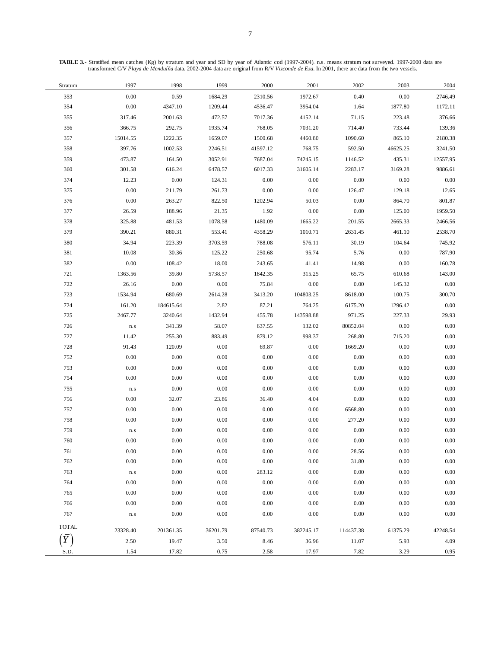**TABLE 3.-** Stratified mean catches (Kg) by stratum and year and SD by year of Atlantic cod (1997-2004). n.s. means stratum not surveyed. 1997-2000 data are transformed C/V *Playa de Menduíña* data. 2002-2004 data are original from R/V *Vizconde de Eza*. In 2001, there are data from the two vessels.

| Stratum      | 1997                    | 1998      | 1999     | 2000     | 2001      | 2002      | 2003     | 2004     |
|--------------|-------------------------|-----------|----------|----------|-----------|-----------|----------|----------|
| 353          | $0.00\,$                | 0.59      | 1684.29  | 2310.56  | 1972.67   | 0.40      | $0.00\,$ | 2746.49  |
| 354          | 0.00                    | 4347.10   | 1209.44  | 4536.47  | 3954.04   | 1.64      | 1877.80  | 1172.11  |
| 355          | 317.46                  | 2001.63   | 472.57   | 7017.36  | 4152.14   | 71.15     | 223.48   | 376.66   |
| 356          | 366.75                  | 292.75    | 1935.74  | 768.05   | 7031.20   | 714.40    | 733.44   | 139.36   |
| 357          | 15014.55                | 1222.35   | 1659.07  | 1500.68  | 4460.80   | 1090.60   | 865.10   | 2180.38  |
| 358          | 397.76                  | 1002.53   | 2246.51  | 41597.12 | 768.75    | 592.50    | 46625.25 | 3241.50  |
| 359          | 473.87                  | 164.50    | 3052.91  | 7687.04  | 74245.15  | 1146.52   | 435.31   | 12557.95 |
| 360          | 301.58                  | 616.24    | 6478.57  | 6017.33  | 31605.14  | 2283.17   | 3169.28  | 9886.61  |
| 374          | 12.23                   | 0.00      | 124.31   | 0.00     | 0.00      | 0.00      | 0.00     | 0.00     |
| 375          | 0.00                    | 211.79    | 261.73   | 0.00     | 0.00      | 126.47    | 129.18   | 12.65    |
| 376          | 0.00                    | 263.27    | 822.50   | 1202.94  | 50.03     | 0.00      | 864.70   | 801.87   |
| 377          | 26.59                   | 188.96    | 21.35    | 1.92     | $0.00\,$  | 0.00      | 125.00   | 1959.50  |
| 378          | 325.88                  | 481.53    | 1078.58  | 1480.09  | 1665.22   | 201.55    | 2665.33  | 2466.56  |
| 379          | 390.21                  | 880.31    | 553.41   | 4358.29  | 1010.71   | 2631.45   | 461.10   | 2538.70  |
| 380          | 34.94                   | 223.39    | 3703.59  | 788.08   | 576.11    | 30.19     | 104.64   | 745.92   |
| 381          | 10.08                   | 30.36     | 125.22   | 250.68   | 95.74     | 5.76      | $0.00\,$ | 787.90   |
| 382          | 0.00                    | 108.42    | 18.00    | 243.65   | 41.41     | 14.98     | $0.00\,$ | 160.78   |
| 721          | 1363.56                 | 39.80     | 5738.57  | 1842.35  | 315.25    | 65.75     | 610.68   | 143.00   |
| 722          | 26.16                   | 0.00      | 0.00     | 75.84    | 0.00      | 0.00      | 145.32   | 0.00     |
| 723          | 1534.94                 | 680.69    | 2614.28  | 3413.20  | 104803.25 | 8618.00   | 100.75   | 300.70   |
| 724          | 161.20                  | 184615.64 | 2.82     | 87.21    | 764.25    | 6175.20   | 1296.42  | 0.00     |
| 725          | 2467.77                 | 3240.64   | 1432.94  | 455.78   | 143598.88 | 971.25    | 227.33   | 29.93    |
| 726          | ${\bf n}.{\bf s}$       | 341.39    | 58.07    | 637.55   | 132.02    | 80852.04  | $0.00\,$ | 0.00     |
| 727          | 11.42                   | 255.30    | 883.49   | 879.12   | 998.37    | 268.80    | 715.20   | 0.00     |
| 728          | 91.43                   | 120.09    | 0.00     | 69.87    | 0.00      | 1669.20   | $0.00\,$ | 0.00     |
| 752          | $0.00\,$                | 0.00      | 0.00     | 0.00     | $0.00\,$  | 0.00      | $0.00\,$ | 0.00     |
| 753          | 0.00                    | 0.00      | 0.00     | 0.00     | 0.00      | 0.00      | $0.00\,$ | 0.00     |
| 754          | 0.00                    | 0.00      | 0.00     | 0.00     | $0.00\,$  | 0.00      | $0.00\,$ | 0.00     |
| 755          | $\mathbf{n}.\mathbf{s}$ | 0.00      | 0.00     | 0.00     | 0.00      | 0.00      | 0.00     | $0.00\,$ |
| 756          | 0.00                    | 32.07     | 23.86    | 36.40    | 4.04      | $0.00\,$  | $0.00\,$ | $0.00\,$ |
| 757          | 0.00                    | 0.00      | 0.00     | 0.00     | 0.00      | 6568.80   | $0.00\,$ | $0.00\,$ |
| 758          | 0.00                    | 0.00      | 0.00     | 0.00     | 0.00      | 277.20    | $0.00\,$ | 0.00     |
| 759          | ${\bf n}.{\bf s}$       | 0.00      | 0.00     | 0.00     | 0.00      | 0.00      | $0.00\,$ | $0.00\,$ |
| 760          | 0.00                    | 0.00      | 0.00     | 0.00     | 0.00      | 0.00      | $0.00\,$ | 0.00     |
| 761          | $0.00\,$                | $0.00\,$  | $0.00\,$ | 0.00     | $0.00\,$  | 28.56     | $0.00\,$ | $0.00\,$ |
| 762          | 0.00                    | 0.00      | 0.00     | 0.00     | $0.00\,$  | 31.80     | $0.00\,$ | $0.00\,$ |
| 763          | $\mathbf{n}.\mathbf{s}$ | 0.00      | 0.00     | 283.12   | 0.00      | 0.00      | 0.00     | 0.00     |
| 764          | 0.00                    | 0.00      | 0.00     | 0.00     | 0.00      | $0.00\,$  | $0.00\,$ | 0.00     |
| 765          | 0.00                    | 0.00      | 0.00     | 0.00     | 0.00      | 0.00      | $0.00\,$ | 0.00     |
| 766          | 0.00                    | 0.00      | 0.00     | 0.00     | 0.00      | $0.00\,$  | $0.00\,$ | 0.00     |
| 767          | ${\bf n}.{\bf s}$       | 0.00      | 0.00     | 0.00     | 0.00      | 0.00      | $0.00\,$ | 0.00     |
| <b>TOTAL</b> | 23328.40                | 201361.35 | 36201.79 | 87540.73 | 382245.17 | 114437.38 | 61375.29 | 42248.54 |
|              | 2.50                    | 19.47     | 3.50     | 8.46     | 36.96     | 11.07     | 5.93     | 4.09     |
| S.D.         | 1.54                    | 17.82     | 0.75     | 2.58     | 17.97     | 7.82      | 3.29     | 0.95     |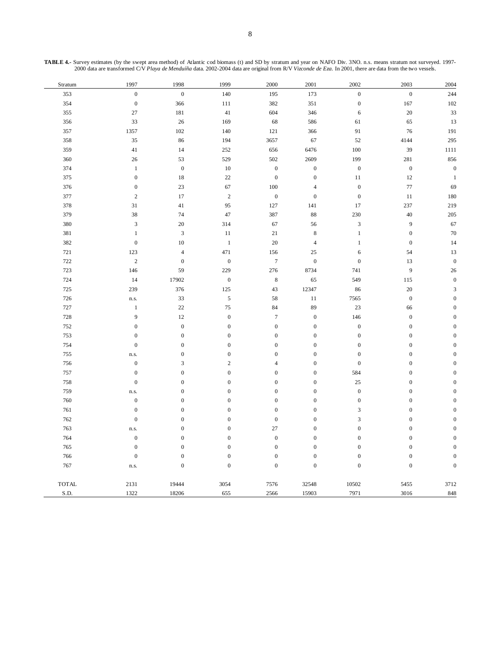| TABLE 4.- Survey estimates (by the swept area method) of Atlantic cod biomass (t) and SD by stratum and year on NAFO Div. 3NO. n.s. means stratum not surveyed. 1997- |
|-----------------------------------------------------------------------------------------------------------------------------------------------------------------------|
| 2000 data are transformed C/V Playa de Menduíña data, 2002-2004 data are original from R/V Vizconde de Eza. In 2001, there are data from the two vessels.             |

| Stratum      | 1997             | 1998             | 1999             | 2000             | 2001             | 2002                        | 2003             | 2004                        |
|--------------|------------------|------------------|------------------|------------------|------------------|-----------------------------|------------------|-----------------------------|
| 353          | $\boldsymbol{0}$ | $\boldsymbol{0}$ | 140              | 195              | 173              | $\boldsymbol{0}$            | $\boldsymbol{0}$ | 244                         |
| 354          | $\boldsymbol{0}$ | 366              | 111              | 382              | 351              | $\boldsymbol{0}$            | 167              | 102                         |
| 355          | 27               | 181              | 41               | 604              | 346              | 6                           | $20\,$           | 33                          |
| 356          | 33               | $26\,$           | 169              | 68               | 586              | 61                          | 65               | 13                          |
| 357          | 1357             | 102              | 140              | 121              | 366              | 91                          | 76               | 191                         |
| 358          | 35               | 86               | 194              | 3657             | 67               | 52                          | 4144             | 295                         |
| 359          | 41               | 14               | 252              | 656              | 6476             | 100                         | 39               | 1111                        |
| 360          | 26               | 53               | 529              | 502              | 2609             | 199                         | 281              | 856                         |
| 374          | $\mathbf{1}$     | $\boldsymbol{0}$ | $10\,$           | $\boldsymbol{0}$ | $\boldsymbol{0}$ | $\boldsymbol{0}$            | $\boldsymbol{0}$ | $\boldsymbol{0}$            |
| 375          | $\mathbf{0}$     | 18               | 22               | $\boldsymbol{0}$ | $\mathbf{0}$     | 11                          | 12               | $\mathbf{1}$                |
| 376          | $\mathbf{0}$     | 23               | 67               | 100              | $\overline{4}$   | $\mathbf{0}$                | 77               | 69                          |
| 377          | $\sqrt{2}$       | 17               | $\sqrt{2}$       | $\boldsymbol{0}$ | $\boldsymbol{0}$ | $\boldsymbol{0}$            | 11               | 180                         |
| 378          | 31               | 41               | 95               | 127              | 141              | 17                          | 237              | 219                         |
| 379          | 38               | 74               | 47               | 387              | 88               | 230                         | 40               | 205                         |
| 380          | $\mathbf{3}$     | 20               | 314              | 67               | 56               | $\ensuremath{\mathfrak{Z}}$ | 9                | 67                          |
| 381          | $\mathbf{1}$     | $\mathfrak z$    | 11               | 21               | $\,8\,$          | $\mathbf{1}$                | $\boldsymbol{0}$ | 70                          |
| 382          | $\boldsymbol{0}$ | $10\,$           | $\,1\,$          | 20               | $\overline{4}$   | $\,1\,$                     | $\boldsymbol{0}$ | 14                          |
| 721          | 123              | $\sqrt{4}$       | 471              | 156              | $25\,$           | 6                           | 54               | 13                          |
| 722          | $\overline{c}$   | $\boldsymbol{0}$ | $\boldsymbol{0}$ | $\boldsymbol{7}$ | $\boldsymbol{0}$ | $\boldsymbol{0}$            | 13               | $\boldsymbol{0}$            |
| 723          | 146              | 59               | 229              | 276              | 8734             | 741                         | 9                | 26                          |
| 724          | 14               | 17902            | $\boldsymbol{0}$ | $\,$ 8 $\,$      | 65               | 549                         | 115              | $\boldsymbol{0}$            |
| 725          | 239              | 376              | 125              | 43               | 12347            | 86                          | $20\,$           | $\ensuremath{\mathfrak{Z}}$ |
| 726          | n.s.             | 33               | $\sqrt{5}$       | 58               | $11\,$           | 7565                        | $\boldsymbol{0}$ | $\boldsymbol{0}$            |
| 727          | $\,1$            | $22\,$           | 75               | 84               | 89               | 23                          | 66               | $\boldsymbol{0}$            |
| 728          | 9                | 12               | $\boldsymbol{0}$ | $\boldsymbol{7}$ | $\boldsymbol{0}$ | 146                         | $\boldsymbol{0}$ | $\boldsymbol{0}$            |
| 752          | $\mathbf{0}$     | $\boldsymbol{0}$ | $\boldsymbol{0}$ | $\boldsymbol{0}$ | $\boldsymbol{0}$ | $\boldsymbol{0}$            | $\boldsymbol{0}$ | $\boldsymbol{0}$            |
| 753          | $\mathbf{0}$     | $\boldsymbol{0}$ | $\boldsymbol{0}$ | $\boldsymbol{0}$ | $\boldsymbol{0}$ | $\boldsymbol{0}$            | $\boldsymbol{0}$ | $\overline{0}$              |
| 754          | $\mathbf{0}$     | $\boldsymbol{0}$ | $\boldsymbol{0}$ | $\boldsymbol{0}$ | $\boldsymbol{0}$ | $\boldsymbol{0}$            | $\boldsymbol{0}$ | $\boldsymbol{0}$            |
| 755          | n.s.             | $\boldsymbol{0}$ | $\boldsymbol{0}$ | $\boldsymbol{0}$ | $\boldsymbol{0}$ | $\boldsymbol{0}$            | $\boldsymbol{0}$ | $\boldsymbol{0}$            |
| 756          | $\boldsymbol{0}$ | $\mathfrak{Z}$   | $\sqrt{2}$       | $\overline{4}$   | $\boldsymbol{0}$ | $\boldsymbol{0}$            | $\boldsymbol{0}$ | $\boldsymbol{0}$            |
| 757          | $\mathbf{0}$     | $\boldsymbol{0}$ | $\boldsymbol{0}$ | $\boldsymbol{0}$ | $\boldsymbol{0}$ | 584                         | $\boldsymbol{0}$ | $\boldsymbol{0}$            |
| 758          | $\boldsymbol{0}$ | $\boldsymbol{0}$ | $\boldsymbol{0}$ | $\boldsymbol{0}$ | $\boldsymbol{0}$ | $25\,$                      | $\mathbf{0}$     | $\overline{0}$              |
| 759          | n.s.             | $\boldsymbol{0}$ | $\boldsymbol{0}$ | $\boldsymbol{0}$ | $\boldsymbol{0}$ | $\boldsymbol{0}$            | $\boldsymbol{0}$ | $\boldsymbol{0}$            |
| 760          | $\boldsymbol{0}$ | $\boldsymbol{0}$ | $\boldsymbol{0}$ | $\boldsymbol{0}$ | $\boldsymbol{0}$ | $\boldsymbol{0}$            | $\boldsymbol{0}$ | $\boldsymbol{0}$            |
| 761          | $\mathbf{0}$     | $\boldsymbol{0}$ | $\boldsymbol{0}$ | $\boldsymbol{0}$ | $\boldsymbol{0}$ | $\overline{3}$              | $\mathbf{0}$     | $\overline{0}$              |
| 762          | $\boldsymbol{0}$ | $\boldsymbol{0}$ | $\boldsymbol{0}$ | $\boldsymbol{0}$ | $\boldsymbol{0}$ | $\sqrt{3}$                  | $\boldsymbol{0}$ | $\boldsymbol{0}$            |
| 763          | n.s.             | $\boldsymbol{0}$ | $\boldsymbol{0}$ | 27               | $\boldsymbol{0}$ | $\boldsymbol{0}$            | $\boldsymbol{0}$ | $\boldsymbol{0}$            |
| 764          | $\boldsymbol{0}$ | $\boldsymbol{0}$ | $\boldsymbol{0}$ | $\boldsymbol{0}$ | $\boldsymbol{0}$ | $\boldsymbol{0}$            | $\boldsymbol{0}$ | $\boldsymbol{0}$            |
| 765          | $\boldsymbol{0}$ | $\boldsymbol{0}$ | $\boldsymbol{0}$ | $\boldsymbol{0}$ | $\boldsymbol{0}$ | $\boldsymbol{0}$            | $\boldsymbol{0}$ | $\boldsymbol{0}$            |
| 766          | $\boldsymbol{0}$ | $\mathbf{0}$     | $\mathbf{0}$     | $\mathbf{0}$     | $\mathbf{0}$     | $\mathbf{0}$                | $\mathbf{0}$     | $\boldsymbol{0}$            |
| 767          | n.s.             | $\boldsymbol{0}$ | $\boldsymbol{0}$ | $\boldsymbol{0}$ | $\boldsymbol{0}$ | $\boldsymbol{0}$            | $\boldsymbol{0}$ | $\boldsymbol{0}$            |
| <b>TOTAL</b> | 2131             | 19444            | 3054             | 7576             | 32548            | 10502                       | 5455             | 3712                        |
| S.D.         | 1322             | 18206            | 655              | 2566             | 15903            | 7971                        | 3016             | 848                         |
|              |                  |                  |                  |                  |                  |                             |                  |                             |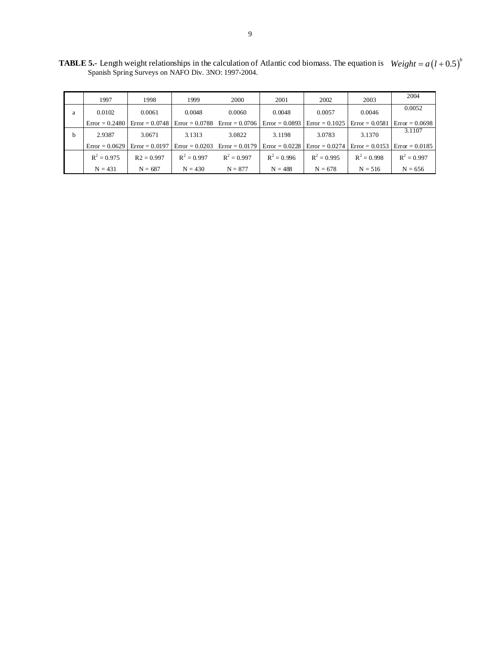**TABLE 5.-** Length weight relationships in the calculation of Atlantic cod biomass. The equation is Spanish Spring Surveys on NAFO Div. 3NO: 1997-2004.  $Weight = a(l+0.5)^b$ 

|   | 1997             | 1998             | 1999             | 2000                              | 2001             | 2002             | 2003             | 2004             |
|---|------------------|------------------|------------------|-----------------------------------|------------------|------------------|------------------|------------------|
| a | 0.0102           | 0.0061           | 0.0048           | 0.0060                            | 0.0048           | 0.0057           | 0.0046           | 0.0052           |
|   | $Error = 0.2480$ | $Error = 0.0748$ |                  | $Error = 0.0788$ $Error = 0.0706$ | $Error = 0.0893$ | $Error = 0.1025$ | $Error = 0.0581$ | $Error = 0.0698$ |
| b | 2.9387           | 3.0671           | 3.1313           | 3.0822                            | 3.1198           | 3.0783           | 3.1370           | 3.1107           |
|   | $Error = 0.0629$ | $Error = 0.0197$ | $Error = 0.0203$ | $Error = 0.0179$                  | $Error = 0.0228$ | $Error = 0.0274$ | $Error = 0.0153$ | $Error = 0.0185$ |
|   | $R^2 = 0.975$    | $R2 = 0.997$     | $R^2 = 0.997$    | $R^2 = 0.997$                     | $R^2 = 0.996$    | $R^2 = 0.995$    | $R^2 = 0.998$    | $R^2 = 0.997$    |
|   | $N = 431$        | $N = 687$        | $N = 430$        | $N = 877$                         | $N = 488$        | $N = 678$        | $N = 516$        | $N = 656$        |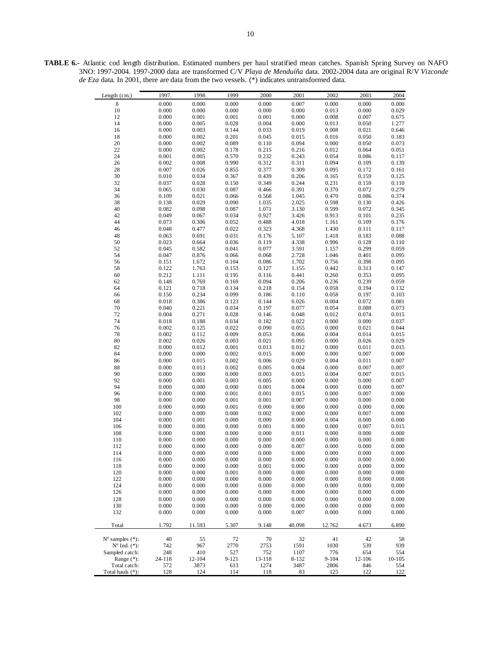**TABLE 6.-** Atlantic cod length distribution. Estimated numbers per haul stratified mean catches. Spanish Spring Survey on NAFO 3NO: 1997-2004. 1997-2000 data are transformed C/V *Playa de Menduíña* data. 2002-2004 data are original R/V *Vizconde de Eza* data. In 2001, there are data from the two vessels. (\*) indicates untransformed data.

| 8<br>0.000<br>0.000<br>0.000<br>0.000<br>0.007<br>0.000<br>0.000<br>0.000<br>10<br>0.000<br>0.000<br>0.000<br>0.000<br>0.000<br>0.013<br>0.000<br>0.029<br>0.000<br>0.001<br>0.001<br>0.000<br>0.001<br>0.008<br>0.007<br>0.675<br>12<br>14<br>0.000<br>0.005<br>0.028<br>0.004<br>0.000<br>0.013<br>0.050<br>1.277<br>0.000<br>0.003<br>0.144<br>0.019<br>0.008<br>0.021<br>0.646<br>16<br>0.033<br>0.000<br>0.002<br>0.201<br>0.045<br>0.015<br>0.016<br>0.050<br>0.183<br>18<br>20<br>0.000<br>0.002<br>0.089<br>0.110<br>0.094<br>0.000<br>0.050<br>0.073<br>22<br>0.000<br>0.002<br>0.215<br>0.051<br>0.178<br>0.216<br>0.012<br>0.064<br>24<br>0.001<br>0.005<br>0.570<br>0.232<br>0.243<br>0.054<br>0.086<br>0.117<br>0.002<br>0.008<br>0.990<br>0.312<br>0.311<br>0.094<br>0.109<br>0.139<br>26<br>0.007<br>0.377<br>0.309<br>28<br>0.026<br>0.855<br>0.095<br>0.172<br>0.161<br>30<br>0.010<br>0.034<br>0.367<br>0.439<br>0.206<br>0.159<br>0.125<br>0.165<br>0.349<br>0.159<br>0.110<br>32<br>0.037<br>0.028<br>0.150<br>0.244<br>0.231<br>0.370<br>34<br>0.065<br>0.030<br>0.087<br>0.466<br>0.391<br>0.072<br>0.279<br>0.109<br>0.021<br>0.066<br>0.568<br>1.045<br>0.470<br>0.086<br>0.374<br>36<br>0.029<br>2.025<br>38<br>0.138<br>0.090<br>1.035<br>0.598<br>0.130<br>0.426<br>0.599<br>0.082<br>0.098<br>0.087<br>1.071<br>3.130<br>0.072<br>0.345<br>40<br>0.049<br>0.067<br>0.034<br>0.927<br>3.426<br>0.913<br>0.101<br>0.235<br>42<br>0.073<br>0.488<br>44<br>0.306<br>0.052<br>4.018<br>1.161<br>0.109<br>0.176<br>0.048<br>0.477<br>0.022<br>0.323<br>4.368<br>1.430<br>0.117<br>46<br>0.111<br>48<br>0.063<br>0.691<br>0.031<br>0.176<br>1.418<br>0.183<br>0.088<br>5.107<br>50<br>0.023<br>0.664<br>0.036<br>4.338<br>0.996<br>0.128<br>0.110<br>0.119<br>0.299<br>52<br>0.045<br>0.582<br>0.041<br>0.077<br>3.591<br>1.157<br>0.059<br>54<br>0.047<br>0.876<br>0.066<br>0.068<br>2.728<br>1.046<br>0.401<br>0.095<br>56<br>0.151<br>1.672<br>0.104<br>0.086<br>1.702<br>0.756<br>0.398<br>0.095<br>58<br>0.122<br>1.763<br>0.127<br>1.155<br>0.442<br>0.313<br>0.147<br>0.153<br>60<br>0.212<br>1.111<br>0.195<br>0.441<br>0.260<br>0.353<br>0.095<br>0.116<br>0.148<br>0.769<br>0.169<br>0.094<br>0.206<br>0.236<br>0.239<br>0.059<br>62<br>0.121<br>0.718<br>0.134<br>0.218<br>0.154<br>0.058<br>0.194<br>0.132<br>64<br>0.099<br>0.234<br>0.058<br>0.197<br>0.103<br>66<br>0.150<br>0.186<br>0.110<br>68<br>0.018<br>0.386<br>0.123<br>0.144<br>0.026<br>0.004<br>0.072<br>0.081<br>0.040<br>0.221<br>0.197<br>0.077<br>0.054<br>0.073<br>70<br>0.034<br>0.088<br>0.004<br>72<br>0.271<br>0.028<br>0.146<br>0.048<br>0.012<br>0.074<br>0.015<br>74<br>0.018<br>0.188<br>0.034<br>0.182<br>0.022<br>0.000<br>0.000<br>0.037<br>0.090<br>0.000<br>76<br>0.002<br>0.125<br>0.022<br>0.055<br>0.021<br>0.044<br>78<br>0.002<br>0.112<br>0.009<br>0.053<br>0.066<br>0.004<br>0.014<br>0.015<br>80<br>0.002<br>0.026<br>0.003<br>0.021<br>0.095<br>0.000<br>0.026<br>0.029<br>0.000<br>0.012<br>0.012<br>0.000<br>82<br>0.001<br>0.013<br>0.011<br>0.015<br>0.007<br>0.000<br>0.000<br>0.002<br>0.015<br>0.000<br>0.000<br>0.000<br>84<br>86<br>0.000<br>0.015<br>0.002<br>0.006<br>0.029<br>0.004<br>0.011<br>0.007<br>0.013<br>0.007<br>88<br>0.000<br>0.002<br>0.005<br>0.004<br>0.000<br>0.007<br>90<br>0.000<br>0.000<br>0.000<br>0.003<br>0.015<br>0.004<br>0.007<br>0.015<br>92<br>0.000<br>0.001<br>0.003<br>0.005<br>0.000<br>0.000<br>0.000<br>0.007<br>0.000<br>0.001<br>0.000<br>94<br>0.000<br>0.000<br>0.004<br>0.000<br>0.007<br>96<br>0.000<br>0.000<br>0.001<br>0.001<br>0.015<br>0.000<br>0.007<br>0.000<br>98<br>0.000<br>0.000<br>0.001<br>0.001<br>0.007<br>0.000<br>0.000<br>0.000<br>100<br>0.000<br>0.000<br>0.001<br>0.000<br>0.000<br>0.000<br>0.000<br>0.000<br>102<br>0.000<br>0.000<br>0.000<br>0.002<br>0.000<br>0.000<br>0.007<br>0.000<br>104<br>0.000<br>0.001<br>0.000<br>0.000<br>0.000<br>0.004<br>0.000<br>0.000<br>106<br>0.000<br>0.000<br>0.000<br>0.001<br>0.000<br>0.000<br>0.007<br>0.015<br>108<br>0.000<br>0.000<br>0.000<br>0.000<br>0.000<br>0.011<br>0.000<br>0.000<br>110<br>0.000<br>0.000<br>0.000<br>0.000<br>0.000<br>0.000<br>0.000<br>0.000<br>112<br>0.000<br>0.000<br>0.000<br>0.000<br>0.007<br>0.000<br>0.000<br>0.000<br>0.000<br>0.000<br>0.000<br>0.000<br>0.000<br>0.000<br>0.000<br>114<br>0.000<br>116<br>0.000<br>0.000<br>0.000<br>0.000<br>0.000<br>0.000<br>0.000<br>0.000<br>0.000<br>0.000<br>0.000<br>0.001<br>0.000<br>0.000<br>0.000<br>0.000<br>118<br>120<br>0.000<br>0.000<br>0.001<br>0.000<br>0.000<br>0.000<br>0.000<br>0.000<br>122<br>0.000<br>0.000<br>0.000<br>0.000<br>0.000<br>0.000<br>0.000<br>0.000<br>124<br>0.000<br>0.000<br>0.000<br>0.000<br>0.000<br>0.000<br>0.000<br>0.000<br>126<br>0.000<br>0.000<br>0.000<br>0.000<br>0.000<br>0.000<br>0.000<br>0.000<br>128<br>0.000<br>0.000<br>0.000<br>0.000<br>0.000<br>0.000<br>0.000<br>0.000<br>130<br>0.000<br>0.000<br>0.000<br>0.000<br>0.000<br>0.000<br>0.000<br>0.000<br>132<br>0.000<br>0.000<br>0.000<br>0.000<br>0.007<br>0.000<br>0.000<br>0.000<br>1.792<br>11.593<br>5.307<br>9.148<br>40.098<br>12.762<br>Total<br>4.673<br>6.890<br>$N^{\circ}$ samples $(*)$ :<br>40<br>55<br>72<br>70<br>32<br>41<br>42<br>58<br>$N^{\circ}$ Ind. $(*)$ :<br>742<br>967<br>2770<br>2753<br>1591<br>1030<br>539<br>939<br>Sampled catch:<br>248<br>410<br>527<br>776<br>554<br>752<br>1107<br>654<br>Range $(*)$ :<br>24-118<br>12-104<br>9-121<br>13-118<br>8-132<br>$9 - 104$<br>12-106<br>$10 - 105$<br>Total catch:<br>572<br>3873<br>613<br>1274<br>3487<br>2806<br>846<br>554<br>Total hauls (*):<br>122<br>128<br>124<br>114<br>118<br>83<br>125 | Length $(cm.)$ | 1997. | 1998 | 1999 | 2000 | 2001 | 2002 | 2003 | 2004 |
|----------------------------------------------------------------------------------------------------------------------------------------------------------------------------------------------------------------------------------------------------------------------------------------------------------------------------------------------------------------------------------------------------------------------------------------------------------------------------------------------------------------------------------------------------------------------------------------------------------------------------------------------------------------------------------------------------------------------------------------------------------------------------------------------------------------------------------------------------------------------------------------------------------------------------------------------------------------------------------------------------------------------------------------------------------------------------------------------------------------------------------------------------------------------------------------------------------------------------------------------------------------------------------------------------------------------------------------------------------------------------------------------------------------------------------------------------------------------------------------------------------------------------------------------------------------------------------------------------------------------------------------------------------------------------------------------------------------------------------------------------------------------------------------------------------------------------------------------------------------------------------------------------------------------------------------------------------------------------------------------------------------------------------------------------------------------------------------------------------------------------------------------------------------------------------------------------------------------------------------------------------------------------------------------------------------------------------------------------------------------------------------------------------------------------------------------------------------------------------------------------------------------------------------------------------------------------------------------------------------------------------------------------------------------------------------------------------------------------------------------------------------------------------------------------------------------------------------------------------------------------------------------------------------------------------------------------------------------------------------------------------------------------------------------------------------------------------------------------------------------------------------------------------------------------------------------------------------------------------------------------------------------------------------------------------------------------------------------------------------------------------------------------------------------------------------------------------------------------------------------------------------------------------------------------------------------------------------------------------------------------------------------------------------------------------------------------------------------------------------------------------------------------------------------------------------------------------------------------------------------------------------------------------------------------------------------------------------------------------------------------------------------------------------------------------------------------------------------------------------------------------------------------------------------------------------------------------------------------------------------------------------------------------------------------------------------------------------------------------------------------------------------------------------------------------------------------------------------------------------------------------------------------------------------------------------------------------------------------------------------------------------------------------------------------------------------------------------------------------------------------------------------------------------------------------------------------------------------------------------------------------------------------------------------------------------------------------------------------------------------------------------------------------------------------------------------------------------------------------------------------------------------------------------------------------------------------------------------------------------------------------------------------------------------------------------------------------------------------------------------------------------------------------------------------------------------------------------------------------------------------------------------------------------------------------------------------------------------------------------------------------------------------------------------------------------------------------------------------|----------------|-------|------|------|------|------|------|------|------|
|                                                                                                                                                                                                                                                                                                                                                                                                                                                                                                                                                                                                                                                                                                                                                                                                                                                                                                                                                                                                                                                                                                                                                                                                                                                                                                                                                                                                                                                                                                                                                                                                                                                                                                                                                                                                                                                                                                                                                                                                                                                                                                                                                                                                                                                                                                                                                                                                                                                                                                                                                                                                                                                                                                                                                                                                                                                                                                                                                                                                                                                                                                                                                                                                                                                                                                                                                                                                                                                                                                                                                                                                                                                                                                                                                                                                                                                                                                                                                                                                                                                                                                                                                                                                                                                                                                                                                                                                                                                                                                                                                                                                                                                                                                                                                                                                                                                                                                                                                                                                                                                                                                                                                                                                                                                                                                                                                                                                                                                                                                                                                                                                                                                                                                                            |                |       |      |      |      |      |      |      |      |
|                                                                                                                                                                                                                                                                                                                                                                                                                                                                                                                                                                                                                                                                                                                                                                                                                                                                                                                                                                                                                                                                                                                                                                                                                                                                                                                                                                                                                                                                                                                                                                                                                                                                                                                                                                                                                                                                                                                                                                                                                                                                                                                                                                                                                                                                                                                                                                                                                                                                                                                                                                                                                                                                                                                                                                                                                                                                                                                                                                                                                                                                                                                                                                                                                                                                                                                                                                                                                                                                                                                                                                                                                                                                                                                                                                                                                                                                                                                                                                                                                                                                                                                                                                                                                                                                                                                                                                                                                                                                                                                                                                                                                                                                                                                                                                                                                                                                                                                                                                                                                                                                                                                                                                                                                                                                                                                                                                                                                                                                                                                                                                                                                                                                                                                            |                |       |      |      |      |      |      |      |      |
|                                                                                                                                                                                                                                                                                                                                                                                                                                                                                                                                                                                                                                                                                                                                                                                                                                                                                                                                                                                                                                                                                                                                                                                                                                                                                                                                                                                                                                                                                                                                                                                                                                                                                                                                                                                                                                                                                                                                                                                                                                                                                                                                                                                                                                                                                                                                                                                                                                                                                                                                                                                                                                                                                                                                                                                                                                                                                                                                                                                                                                                                                                                                                                                                                                                                                                                                                                                                                                                                                                                                                                                                                                                                                                                                                                                                                                                                                                                                                                                                                                                                                                                                                                                                                                                                                                                                                                                                                                                                                                                                                                                                                                                                                                                                                                                                                                                                                                                                                                                                                                                                                                                                                                                                                                                                                                                                                                                                                                                                                                                                                                                                                                                                                                                            |                |       |      |      |      |      |      |      |      |
|                                                                                                                                                                                                                                                                                                                                                                                                                                                                                                                                                                                                                                                                                                                                                                                                                                                                                                                                                                                                                                                                                                                                                                                                                                                                                                                                                                                                                                                                                                                                                                                                                                                                                                                                                                                                                                                                                                                                                                                                                                                                                                                                                                                                                                                                                                                                                                                                                                                                                                                                                                                                                                                                                                                                                                                                                                                                                                                                                                                                                                                                                                                                                                                                                                                                                                                                                                                                                                                                                                                                                                                                                                                                                                                                                                                                                                                                                                                                                                                                                                                                                                                                                                                                                                                                                                                                                                                                                                                                                                                                                                                                                                                                                                                                                                                                                                                                                                                                                                                                                                                                                                                                                                                                                                                                                                                                                                                                                                                                                                                                                                                                                                                                                                                            |                |       |      |      |      |      |      |      |      |
|                                                                                                                                                                                                                                                                                                                                                                                                                                                                                                                                                                                                                                                                                                                                                                                                                                                                                                                                                                                                                                                                                                                                                                                                                                                                                                                                                                                                                                                                                                                                                                                                                                                                                                                                                                                                                                                                                                                                                                                                                                                                                                                                                                                                                                                                                                                                                                                                                                                                                                                                                                                                                                                                                                                                                                                                                                                                                                                                                                                                                                                                                                                                                                                                                                                                                                                                                                                                                                                                                                                                                                                                                                                                                                                                                                                                                                                                                                                                                                                                                                                                                                                                                                                                                                                                                                                                                                                                                                                                                                                                                                                                                                                                                                                                                                                                                                                                                                                                                                                                                                                                                                                                                                                                                                                                                                                                                                                                                                                                                                                                                                                                                                                                                                                            |                |       |      |      |      |      |      |      |      |
|                                                                                                                                                                                                                                                                                                                                                                                                                                                                                                                                                                                                                                                                                                                                                                                                                                                                                                                                                                                                                                                                                                                                                                                                                                                                                                                                                                                                                                                                                                                                                                                                                                                                                                                                                                                                                                                                                                                                                                                                                                                                                                                                                                                                                                                                                                                                                                                                                                                                                                                                                                                                                                                                                                                                                                                                                                                                                                                                                                                                                                                                                                                                                                                                                                                                                                                                                                                                                                                                                                                                                                                                                                                                                                                                                                                                                                                                                                                                                                                                                                                                                                                                                                                                                                                                                                                                                                                                                                                                                                                                                                                                                                                                                                                                                                                                                                                                                                                                                                                                                                                                                                                                                                                                                                                                                                                                                                                                                                                                                                                                                                                                                                                                                                                            |                |       |      |      |      |      |      |      |      |
|                                                                                                                                                                                                                                                                                                                                                                                                                                                                                                                                                                                                                                                                                                                                                                                                                                                                                                                                                                                                                                                                                                                                                                                                                                                                                                                                                                                                                                                                                                                                                                                                                                                                                                                                                                                                                                                                                                                                                                                                                                                                                                                                                                                                                                                                                                                                                                                                                                                                                                                                                                                                                                                                                                                                                                                                                                                                                                                                                                                                                                                                                                                                                                                                                                                                                                                                                                                                                                                                                                                                                                                                                                                                                                                                                                                                                                                                                                                                                                                                                                                                                                                                                                                                                                                                                                                                                                                                                                                                                                                                                                                                                                                                                                                                                                                                                                                                                                                                                                                                                                                                                                                                                                                                                                                                                                                                                                                                                                                                                                                                                                                                                                                                                                                            |                |       |      |      |      |      |      |      |      |
|                                                                                                                                                                                                                                                                                                                                                                                                                                                                                                                                                                                                                                                                                                                                                                                                                                                                                                                                                                                                                                                                                                                                                                                                                                                                                                                                                                                                                                                                                                                                                                                                                                                                                                                                                                                                                                                                                                                                                                                                                                                                                                                                                                                                                                                                                                                                                                                                                                                                                                                                                                                                                                                                                                                                                                                                                                                                                                                                                                                                                                                                                                                                                                                                                                                                                                                                                                                                                                                                                                                                                                                                                                                                                                                                                                                                                                                                                                                                                                                                                                                                                                                                                                                                                                                                                                                                                                                                                                                                                                                                                                                                                                                                                                                                                                                                                                                                                                                                                                                                                                                                                                                                                                                                                                                                                                                                                                                                                                                                                                                                                                                                                                                                                                                            |                |       |      |      |      |      |      |      |      |
|                                                                                                                                                                                                                                                                                                                                                                                                                                                                                                                                                                                                                                                                                                                                                                                                                                                                                                                                                                                                                                                                                                                                                                                                                                                                                                                                                                                                                                                                                                                                                                                                                                                                                                                                                                                                                                                                                                                                                                                                                                                                                                                                                                                                                                                                                                                                                                                                                                                                                                                                                                                                                                                                                                                                                                                                                                                                                                                                                                                                                                                                                                                                                                                                                                                                                                                                                                                                                                                                                                                                                                                                                                                                                                                                                                                                                                                                                                                                                                                                                                                                                                                                                                                                                                                                                                                                                                                                                                                                                                                                                                                                                                                                                                                                                                                                                                                                                                                                                                                                                                                                                                                                                                                                                                                                                                                                                                                                                                                                                                                                                                                                                                                                                                                            |                |       |      |      |      |      |      |      |      |
|                                                                                                                                                                                                                                                                                                                                                                                                                                                                                                                                                                                                                                                                                                                                                                                                                                                                                                                                                                                                                                                                                                                                                                                                                                                                                                                                                                                                                                                                                                                                                                                                                                                                                                                                                                                                                                                                                                                                                                                                                                                                                                                                                                                                                                                                                                                                                                                                                                                                                                                                                                                                                                                                                                                                                                                                                                                                                                                                                                                                                                                                                                                                                                                                                                                                                                                                                                                                                                                                                                                                                                                                                                                                                                                                                                                                                                                                                                                                                                                                                                                                                                                                                                                                                                                                                                                                                                                                                                                                                                                                                                                                                                                                                                                                                                                                                                                                                                                                                                                                                                                                                                                                                                                                                                                                                                                                                                                                                                                                                                                                                                                                                                                                                                                            |                |       |      |      |      |      |      |      |      |
|                                                                                                                                                                                                                                                                                                                                                                                                                                                                                                                                                                                                                                                                                                                                                                                                                                                                                                                                                                                                                                                                                                                                                                                                                                                                                                                                                                                                                                                                                                                                                                                                                                                                                                                                                                                                                                                                                                                                                                                                                                                                                                                                                                                                                                                                                                                                                                                                                                                                                                                                                                                                                                                                                                                                                                                                                                                                                                                                                                                                                                                                                                                                                                                                                                                                                                                                                                                                                                                                                                                                                                                                                                                                                                                                                                                                                                                                                                                                                                                                                                                                                                                                                                                                                                                                                                                                                                                                                                                                                                                                                                                                                                                                                                                                                                                                                                                                                                                                                                                                                                                                                                                                                                                                                                                                                                                                                                                                                                                                                                                                                                                                                                                                                                                            |                |       |      |      |      |      |      |      |      |
|                                                                                                                                                                                                                                                                                                                                                                                                                                                                                                                                                                                                                                                                                                                                                                                                                                                                                                                                                                                                                                                                                                                                                                                                                                                                                                                                                                                                                                                                                                                                                                                                                                                                                                                                                                                                                                                                                                                                                                                                                                                                                                                                                                                                                                                                                                                                                                                                                                                                                                                                                                                                                                                                                                                                                                                                                                                                                                                                                                                                                                                                                                                                                                                                                                                                                                                                                                                                                                                                                                                                                                                                                                                                                                                                                                                                                                                                                                                                                                                                                                                                                                                                                                                                                                                                                                                                                                                                                                                                                                                                                                                                                                                                                                                                                                                                                                                                                                                                                                                                                                                                                                                                                                                                                                                                                                                                                                                                                                                                                                                                                                                                                                                                                                                            |                |       |      |      |      |      |      |      |      |
|                                                                                                                                                                                                                                                                                                                                                                                                                                                                                                                                                                                                                                                                                                                                                                                                                                                                                                                                                                                                                                                                                                                                                                                                                                                                                                                                                                                                                                                                                                                                                                                                                                                                                                                                                                                                                                                                                                                                                                                                                                                                                                                                                                                                                                                                                                                                                                                                                                                                                                                                                                                                                                                                                                                                                                                                                                                                                                                                                                                                                                                                                                                                                                                                                                                                                                                                                                                                                                                                                                                                                                                                                                                                                                                                                                                                                                                                                                                                                                                                                                                                                                                                                                                                                                                                                                                                                                                                                                                                                                                                                                                                                                                                                                                                                                                                                                                                                                                                                                                                                                                                                                                                                                                                                                                                                                                                                                                                                                                                                                                                                                                                                                                                                                                            |                |       |      |      |      |      |      |      |      |
|                                                                                                                                                                                                                                                                                                                                                                                                                                                                                                                                                                                                                                                                                                                                                                                                                                                                                                                                                                                                                                                                                                                                                                                                                                                                                                                                                                                                                                                                                                                                                                                                                                                                                                                                                                                                                                                                                                                                                                                                                                                                                                                                                                                                                                                                                                                                                                                                                                                                                                                                                                                                                                                                                                                                                                                                                                                                                                                                                                                                                                                                                                                                                                                                                                                                                                                                                                                                                                                                                                                                                                                                                                                                                                                                                                                                                                                                                                                                                                                                                                                                                                                                                                                                                                                                                                                                                                                                                                                                                                                                                                                                                                                                                                                                                                                                                                                                                                                                                                                                                                                                                                                                                                                                                                                                                                                                                                                                                                                                                                                                                                                                                                                                                                                            |                |       |      |      |      |      |      |      |      |
|                                                                                                                                                                                                                                                                                                                                                                                                                                                                                                                                                                                                                                                                                                                                                                                                                                                                                                                                                                                                                                                                                                                                                                                                                                                                                                                                                                                                                                                                                                                                                                                                                                                                                                                                                                                                                                                                                                                                                                                                                                                                                                                                                                                                                                                                                                                                                                                                                                                                                                                                                                                                                                                                                                                                                                                                                                                                                                                                                                                                                                                                                                                                                                                                                                                                                                                                                                                                                                                                                                                                                                                                                                                                                                                                                                                                                                                                                                                                                                                                                                                                                                                                                                                                                                                                                                                                                                                                                                                                                                                                                                                                                                                                                                                                                                                                                                                                                                                                                                                                                                                                                                                                                                                                                                                                                                                                                                                                                                                                                                                                                                                                                                                                                                                            |                |       |      |      |      |      |      |      |      |
|                                                                                                                                                                                                                                                                                                                                                                                                                                                                                                                                                                                                                                                                                                                                                                                                                                                                                                                                                                                                                                                                                                                                                                                                                                                                                                                                                                                                                                                                                                                                                                                                                                                                                                                                                                                                                                                                                                                                                                                                                                                                                                                                                                                                                                                                                                                                                                                                                                                                                                                                                                                                                                                                                                                                                                                                                                                                                                                                                                                                                                                                                                                                                                                                                                                                                                                                                                                                                                                                                                                                                                                                                                                                                                                                                                                                                                                                                                                                                                                                                                                                                                                                                                                                                                                                                                                                                                                                                                                                                                                                                                                                                                                                                                                                                                                                                                                                                                                                                                                                                                                                                                                                                                                                                                                                                                                                                                                                                                                                                                                                                                                                                                                                                                                            |                |       |      |      |      |      |      |      |      |
|                                                                                                                                                                                                                                                                                                                                                                                                                                                                                                                                                                                                                                                                                                                                                                                                                                                                                                                                                                                                                                                                                                                                                                                                                                                                                                                                                                                                                                                                                                                                                                                                                                                                                                                                                                                                                                                                                                                                                                                                                                                                                                                                                                                                                                                                                                                                                                                                                                                                                                                                                                                                                                                                                                                                                                                                                                                                                                                                                                                                                                                                                                                                                                                                                                                                                                                                                                                                                                                                                                                                                                                                                                                                                                                                                                                                                                                                                                                                                                                                                                                                                                                                                                                                                                                                                                                                                                                                                                                                                                                                                                                                                                                                                                                                                                                                                                                                                                                                                                                                                                                                                                                                                                                                                                                                                                                                                                                                                                                                                                                                                                                                                                                                                                                            |                |       |      |      |      |      |      |      |      |
|                                                                                                                                                                                                                                                                                                                                                                                                                                                                                                                                                                                                                                                                                                                                                                                                                                                                                                                                                                                                                                                                                                                                                                                                                                                                                                                                                                                                                                                                                                                                                                                                                                                                                                                                                                                                                                                                                                                                                                                                                                                                                                                                                                                                                                                                                                                                                                                                                                                                                                                                                                                                                                                                                                                                                                                                                                                                                                                                                                                                                                                                                                                                                                                                                                                                                                                                                                                                                                                                                                                                                                                                                                                                                                                                                                                                                                                                                                                                                                                                                                                                                                                                                                                                                                                                                                                                                                                                                                                                                                                                                                                                                                                                                                                                                                                                                                                                                                                                                                                                                                                                                                                                                                                                                                                                                                                                                                                                                                                                                                                                                                                                                                                                                                                            |                |       |      |      |      |      |      |      |      |
|                                                                                                                                                                                                                                                                                                                                                                                                                                                                                                                                                                                                                                                                                                                                                                                                                                                                                                                                                                                                                                                                                                                                                                                                                                                                                                                                                                                                                                                                                                                                                                                                                                                                                                                                                                                                                                                                                                                                                                                                                                                                                                                                                                                                                                                                                                                                                                                                                                                                                                                                                                                                                                                                                                                                                                                                                                                                                                                                                                                                                                                                                                                                                                                                                                                                                                                                                                                                                                                                                                                                                                                                                                                                                                                                                                                                                                                                                                                                                                                                                                                                                                                                                                                                                                                                                                                                                                                                                                                                                                                                                                                                                                                                                                                                                                                                                                                                                                                                                                                                                                                                                                                                                                                                                                                                                                                                                                                                                                                                                                                                                                                                                                                                                                                            |                |       |      |      |      |      |      |      |      |
|                                                                                                                                                                                                                                                                                                                                                                                                                                                                                                                                                                                                                                                                                                                                                                                                                                                                                                                                                                                                                                                                                                                                                                                                                                                                                                                                                                                                                                                                                                                                                                                                                                                                                                                                                                                                                                                                                                                                                                                                                                                                                                                                                                                                                                                                                                                                                                                                                                                                                                                                                                                                                                                                                                                                                                                                                                                                                                                                                                                                                                                                                                                                                                                                                                                                                                                                                                                                                                                                                                                                                                                                                                                                                                                                                                                                                                                                                                                                                                                                                                                                                                                                                                                                                                                                                                                                                                                                                                                                                                                                                                                                                                                                                                                                                                                                                                                                                                                                                                                                                                                                                                                                                                                                                                                                                                                                                                                                                                                                                                                                                                                                                                                                                                                            |                |       |      |      |      |      |      |      |      |
|                                                                                                                                                                                                                                                                                                                                                                                                                                                                                                                                                                                                                                                                                                                                                                                                                                                                                                                                                                                                                                                                                                                                                                                                                                                                                                                                                                                                                                                                                                                                                                                                                                                                                                                                                                                                                                                                                                                                                                                                                                                                                                                                                                                                                                                                                                                                                                                                                                                                                                                                                                                                                                                                                                                                                                                                                                                                                                                                                                                                                                                                                                                                                                                                                                                                                                                                                                                                                                                                                                                                                                                                                                                                                                                                                                                                                                                                                                                                                                                                                                                                                                                                                                                                                                                                                                                                                                                                                                                                                                                                                                                                                                                                                                                                                                                                                                                                                                                                                                                                                                                                                                                                                                                                                                                                                                                                                                                                                                                                                                                                                                                                                                                                                                                            |                |       |      |      |      |      |      |      |      |
|                                                                                                                                                                                                                                                                                                                                                                                                                                                                                                                                                                                                                                                                                                                                                                                                                                                                                                                                                                                                                                                                                                                                                                                                                                                                                                                                                                                                                                                                                                                                                                                                                                                                                                                                                                                                                                                                                                                                                                                                                                                                                                                                                                                                                                                                                                                                                                                                                                                                                                                                                                                                                                                                                                                                                                                                                                                                                                                                                                                                                                                                                                                                                                                                                                                                                                                                                                                                                                                                                                                                                                                                                                                                                                                                                                                                                                                                                                                                                                                                                                                                                                                                                                                                                                                                                                                                                                                                                                                                                                                                                                                                                                                                                                                                                                                                                                                                                                                                                                                                                                                                                                                                                                                                                                                                                                                                                                                                                                                                                                                                                                                                                                                                                                                            |                |       |      |      |      |      |      |      |      |
|                                                                                                                                                                                                                                                                                                                                                                                                                                                                                                                                                                                                                                                                                                                                                                                                                                                                                                                                                                                                                                                                                                                                                                                                                                                                                                                                                                                                                                                                                                                                                                                                                                                                                                                                                                                                                                                                                                                                                                                                                                                                                                                                                                                                                                                                                                                                                                                                                                                                                                                                                                                                                                                                                                                                                                                                                                                                                                                                                                                                                                                                                                                                                                                                                                                                                                                                                                                                                                                                                                                                                                                                                                                                                                                                                                                                                                                                                                                                                                                                                                                                                                                                                                                                                                                                                                                                                                                                                                                                                                                                                                                                                                                                                                                                                                                                                                                                                                                                                                                                                                                                                                                                                                                                                                                                                                                                                                                                                                                                                                                                                                                                                                                                                                                            |                |       |      |      |      |      |      |      |      |
|                                                                                                                                                                                                                                                                                                                                                                                                                                                                                                                                                                                                                                                                                                                                                                                                                                                                                                                                                                                                                                                                                                                                                                                                                                                                                                                                                                                                                                                                                                                                                                                                                                                                                                                                                                                                                                                                                                                                                                                                                                                                                                                                                                                                                                                                                                                                                                                                                                                                                                                                                                                                                                                                                                                                                                                                                                                                                                                                                                                                                                                                                                                                                                                                                                                                                                                                                                                                                                                                                                                                                                                                                                                                                                                                                                                                                                                                                                                                                                                                                                                                                                                                                                                                                                                                                                                                                                                                                                                                                                                                                                                                                                                                                                                                                                                                                                                                                                                                                                                                                                                                                                                                                                                                                                                                                                                                                                                                                                                                                                                                                                                                                                                                                                                            |                |       |      |      |      |      |      |      |      |
|                                                                                                                                                                                                                                                                                                                                                                                                                                                                                                                                                                                                                                                                                                                                                                                                                                                                                                                                                                                                                                                                                                                                                                                                                                                                                                                                                                                                                                                                                                                                                                                                                                                                                                                                                                                                                                                                                                                                                                                                                                                                                                                                                                                                                                                                                                                                                                                                                                                                                                                                                                                                                                                                                                                                                                                                                                                                                                                                                                                                                                                                                                                                                                                                                                                                                                                                                                                                                                                                                                                                                                                                                                                                                                                                                                                                                                                                                                                                                                                                                                                                                                                                                                                                                                                                                                                                                                                                                                                                                                                                                                                                                                                                                                                                                                                                                                                                                                                                                                                                                                                                                                                                                                                                                                                                                                                                                                                                                                                                                                                                                                                                                                                                                                                            |                |       |      |      |      |      |      |      |      |
|                                                                                                                                                                                                                                                                                                                                                                                                                                                                                                                                                                                                                                                                                                                                                                                                                                                                                                                                                                                                                                                                                                                                                                                                                                                                                                                                                                                                                                                                                                                                                                                                                                                                                                                                                                                                                                                                                                                                                                                                                                                                                                                                                                                                                                                                                                                                                                                                                                                                                                                                                                                                                                                                                                                                                                                                                                                                                                                                                                                                                                                                                                                                                                                                                                                                                                                                                                                                                                                                                                                                                                                                                                                                                                                                                                                                                                                                                                                                                                                                                                                                                                                                                                                                                                                                                                                                                                                                                                                                                                                                                                                                                                                                                                                                                                                                                                                                                                                                                                                                                                                                                                                                                                                                                                                                                                                                                                                                                                                                                                                                                                                                                                                                                                                            |                |       |      |      |      |      |      |      |      |
|                                                                                                                                                                                                                                                                                                                                                                                                                                                                                                                                                                                                                                                                                                                                                                                                                                                                                                                                                                                                                                                                                                                                                                                                                                                                                                                                                                                                                                                                                                                                                                                                                                                                                                                                                                                                                                                                                                                                                                                                                                                                                                                                                                                                                                                                                                                                                                                                                                                                                                                                                                                                                                                                                                                                                                                                                                                                                                                                                                                                                                                                                                                                                                                                                                                                                                                                                                                                                                                                                                                                                                                                                                                                                                                                                                                                                                                                                                                                                                                                                                                                                                                                                                                                                                                                                                                                                                                                                                                                                                                                                                                                                                                                                                                                                                                                                                                                                                                                                                                                                                                                                                                                                                                                                                                                                                                                                                                                                                                                                                                                                                                                                                                                                                                            |                |       |      |      |      |      |      |      |      |
|                                                                                                                                                                                                                                                                                                                                                                                                                                                                                                                                                                                                                                                                                                                                                                                                                                                                                                                                                                                                                                                                                                                                                                                                                                                                                                                                                                                                                                                                                                                                                                                                                                                                                                                                                                                                                                                                                                                                                                                                                                                                                                                                                                                                                                                                                                                                                                                                                                                                                                                                                                                                                                                                                                                                                                                                                                                                                                                                                                                                                                                                                                                                                                                                                                                                                                                                                                                                                                                                                                                                                                                                                                                                                                                                                                                                                                                                                                                                                                                                                                                                                                                                                                                                                                                                                                                                                                                                                                                                                                                                                                                                                                                                                                                                                                                                                                                                                                                                                                                                                                                                                                                                                                                                                                                                                                                                                                                                                                                                                                                                                                                                                                                                                                                            |                |       |      |      |      |      |      |      |      |
|                                                                                                                                                                                                                                                                                                                                                                                                                                                                                                                                                                                                                                                                                                                                                                                                                                                                                                                                                                                                                                                                                                                                                                                                                                                                                                                                                                                                                                                                                                                                                                                                                                                                                                                                                                                                                                                                                                                                                                                                                                                                                                                                                                                                                                                                                                                                                                                                                                                                                                                                                                                                                                                                                                                                                                                                                                                                                                                                                                                                                                                                                                                                                                                                                                                                                                                                                                                                                                                                                                                                                                                                                                                                                                                                                                                                                                                                                                                                                                                                                                                                                                                                                                                                                                                                                                                                                                                                                                                                                                                                                                                                                                                                                                                                                                                                                                                                                                                                                                                                                                                                                                                                                                                                                                                                                                                                                                                                                                                                                                                                                                                                                                                                                                                            |                |       |      |      |      |      |      |      |      |
|                                                                                                                                                                                                                                                                                                                                                                                                                                                                                                                                                                                                                                                                                                                                                                                                                                                                                                                                                                                                                                                                                                                                                                                                                                                                                                                                                                                                                                                                                                                                                                                                                                                                                                                                                                                                                                                                                                                                                                                                                                                                                                                                                                                                                                                                                                                                                                                                                                                                                                                                                                                                                                                                                                                                                                                                                                                                                                                                                                                                                                                                                                                                                                                                                                                                                                                                                                                                                                                                                                                                                                                                                                                                                                                                                                                                                                                                                                                                                                                                                                                                                                                                                                                                                                                                                                                                                                                                                                                                                                                                                                                                                                                                                                                                                                                                                                                                                                                                                                                                                                                                                                                                                                                                                                                                                                                                                                                                                                                                                                                                                                                                                                                                                                                            |                |       |      |      |      |      |      |      |      |
|                                                                                                                                                                                                                                                                                                                                                                                                                                                                                                                                                                                                                                                                                                                                                                                                                                                                                                                                                                                                                                                                                                                                                                                                                                                                                                                                                                                                                                                                                                                                                                                                                                                                                                                                                                                                                                                                                                                                                                                                                                                                                                                                                                                                                                                                                                                                                                                                                                                                                                                                                                                                                                                                                                                                                                                                                                                                                                                                                                                                                                                                                                                                                                                                                                                                                                                                                                                                                                                                                                                                                                                                                                                                                                                                                                                                                                                                                                                                                                                                                                                                                                                                                                                                                                                                                                                                                                                                                                                                                                                                                                                                                                                                                                                                                                                                                                                                                                                                                                                                                                                                                                                                                                                                                                                                                                                                                                                                                                                                                                                                                                                                                                                                                                                            |                |       |      |      |      |      |      |      |      |
|                                                                                                                                                                                                                                                                                                                                                                                                                                                                                                                                                                                                                                                                                                                                                                                                                                                                                                                                                                                                                                                                                                                                                                                                                                                                                                                                                                                                                                                                                                                                                                                                                                                                                                                                                                                                                                                                                                                                                                                                                                                                                                                                                                                                                                                                                                                                                                                                                                                                                                                                                                                                                                                                                                                                                                                                                                                                                                                                                                                                                                                                                                                                                                                                                                                                                                                                                                                                                                                                                                                                                                                                                                                                                                                                                                                                                                                                                                                                                                                                                                                                                                                                                                                                                                                                                                                                                                                                                                                                                                                                                                                                                                                                                                                                                                                                                                                                                                                                                                                                                                                                                                                                                                                                                                                                                                                                                                                                                                                                                                                                                                                                                                                                                                                            |                |       |      |      |      |      |      |      |      |
|                                                                                                                                                                                                                                                                                                                                                                                                                                                                                                                                                                                                                                                                                                                                                                                                                                                                                                                                                                                                                                                                                                                                                                                                                                                                                                                                                                                                                                                                                                                                                                                                                                                                                                                                                                                                                                                                                                                                                                                                                                                                                                                                                                                                                                                                                                                                                                                                                                                                                                                                                                                                                                                                                                                                                                                                                                                                                                                                                                                                                                                                                                                                                                                                                                                                                                                                                                                                                                                                                                                                                                                                                                                                                                                                                                                                                                                                                                                                                                                                                                                                                                                                                                                                                                                                                                                                                                                                                                                                                                                                                                                                                                                                                                                                                                                                                                                                                                                                                                                                                                                                                                                                                                                                                                                                                                                                                                                                                                                                                                                                                                                                                                                                                                                            |                |       |      |      |      |      |      |      |      |
|                                                                                                                                                                                                                                                                                                                                                                                                                                                                                                                                                                                                                                                                                                                                                                                                                                                                                                                                                                                                                                                                                                                                                                                                                                                                                                                                                                                                                                                                                                                                                                                                                                                                                                                                                                                                                                                                                                                                                                                                                                                                                                                                                                                                                                                                                                                                                                                                                                                                                                                                                                                                                                                                                                                                                                                                                                                                                                                                                                                                                                                                                                                                                                                                                                                                                                                                                                                                                                                                                                                                                                                                                                                                                                                                                                                                                                                                                                                                                                                                                                                                                                                                                                                                                                                                                                                                                                                                                                                                                                                                                                                                                                                                                                                                                                                                                                                                                                                                                                                                                                                                                                                                                                                                                                                                                                                                                                                                                                                                                                                                                                                                                                                                                                                            |                |       |      |      |      |      |      |      |      |
|                                                                                                                                                                                                                                                                                                                                                                                                                                                                                                                                                                                                                                                                                                                                                                                                                                                                                                                                                                                                                                                                                                                                                                                                                                                                                                                                                                                                                                                                                                                                                                                                                                                                                                                                                                                                                                                                                                                                                                                                                                                                                                                                                                                                                                                                                                                                                                                                                                                                                                                                                                                                                                                                                                                                                                                                                                                                                                                                                                                                                                                                                                                                                                                                                                                                                                                                                                                                                                                                                                                                                                                                                                                                                                                                                                                                                                                                                                                                                                                                                                                                                                                                                                                                                                                                                                                                                                                                                                                                                                                                                                                                                                                                                                                                                                                                                                                                                                                                                                                                                                                                                                                                                                                                                                                                                                                                                                                                                                                                                                                                                                                                                                                                                                                            |                |       |      |      |      |      |      |      |      |
|                                                                                                                                                                                                                                                                                                                                                                                                                                                                                                                                                                                                                                                                                                                                                                                                                                                                                                                                                                                                                                                                                                                                                                                                                                                                                                                                                                                                                                                                                                                                                                                                                                                                                                                                                                                                                                                                                                                                                                                                                                                                                                                                                                                                                                                                                                                                                                                                                                                                                                                                                                                                                                                                                                                                                                                                                                                                                                                                                                                                                                                                                                                                                                                                                                                                                                                                                                                                                                                                                                                                                                                                                                                                                                                                                                                                                                                                                                                                                                                                                                                                                                                                                                                                                                                                                                                                                                                                                                                                                                                                                                                                                                                                                                                                                                                                                                                                                                                                                                                                                                                                                                                                                                                                                                                                                                                                                                                                                                                                                                                                                                                                                                                                                                                            |                |       |      |      |      |      |      |      |      |
|                                                                                                                                                                                                                                                                                                                                                                                                                                                                                                                                                                                                                                                                                                                                                                                                                                                                                                                                                                                                                                                                                                                                                                                                                                                                                                                                                                                                                                                                                                                                                                                                                                                                                                                                                                                                                                                                                                                                                                                                                                                                                                                                                                                                                                                                                                                                                                                                                                                                                                                                                                                                                                                                                                                                                                                                                                                                                                                                                                                                                                                                                                                                                                                                                                                                                                                                                                                                                                                                                                                                                                                                                                                                                                                                                                                                                                                                                                                                                                                                                                                                                                                                                                                                                                                                                                                                                                                                                                                                                                                                                                                                                                                                                                                                                                                                                                                                                                                                                                                                                                                                                                                                                                                                                                                                                                                                                                                                                                                                                                                                                                                                                                                                                                                            |                |       |      |      |      |      |      |      |      |
|                                                                                                                                                                                                                                                                                                                                                                                                                                                                                                                                                                                                                                                                                                                                                                                                                                                                                                                                                                                                                                                                                                                                                                                                                                                                                                                                                                                                                                                                                                                                                                                                                                                                                                                                                                                                                                                                                                                                                                                                                                                                                                                                                                                                                                                                                                                                                                                                                                                                                                                                                                                                                                                                                                                                                                                                                                                                                                                                                                                                                                                                                                                                                                                                                                                                                                                                                                                                                                                                                                                                                                                                                                                                                                                                                                                                                                                                                                                                                                                                                                                                                                                                                                                                                                                                                                                                                                                                                                                                                                                                                                                                                                                                                                                                                                                                                                                                                                                                                                                                                                                                                                                                                                                                                                                                                                                                                                                                                                                                                                                                                                                                                                                                                                                            |                |       |      |      |      |      |      |      |      |
|                                                                                                                                                                                                                                                                                                                                                                                                                                                                                                                                                                                                                                                                                                                                                                                                                                                                                                                                                                                                                                                                                                                                                                                                                                                                                                                                                                                                                                                                                                                                                                                                                                                                                                                                                                                                                                                                                                                                                                                                                                                                                                                                                                                                                                                                                                                                                                                                                                                                                                                                                                                                                                                                                                                                                                                                                                                                                                                                                                                                                                                                                                                                                                                                                                                                                                                                                                                                                                                                                                                                                                                                                                                                                                                                                                                                                                                                                                                                                                                                                                                                                                                                                                                                                                                                                                                                                                                                                                                                                                                                                                                                                                                                                                                                                                                                                                                                                                                                                                                                                                                                                                                                                                                                                                                                                                                                                                                                                                                                                                                                                                                                                                                                                                                            |                |       |      |      |      |      |      |      |      |
|                                                                                                                                                                                                                                                                                                                                                                                                                                                                                                                                                                                                                                                                                                                                                                                                                                                                                                                                                                                                                                                                                                                                                                                                                                                                                                                                                                                                                                                                                                                                                                                                                                                                                                                                                                                                                                                                                                                                                                                                                                                                                                                                                                                                                                                                                                                                                                                                                                                                                                                                                                                                                                                                                                                                                                                                                                                                                                                                                                                                                                                                                                                                                                                                                                                                                                                                                                                                                                                                                                                                                                                                                                                                                                                                                                                                                                                                                                                                                                                                                                                                                                                                                                                                                                                                                                                                                                                                                                                                                                                                                                                                                                                                                                                                                                                                                                                                                                                                                                                                                                                                                                                                                                                                                                                                                                                                                                                                                                                                                                                                                                                                                                                                                                                            |                |       |      |      |      |      |      |      |      |
|                                                                                                                                                                                                                                                                                                                                                                                                                                                                                                                                                                                                                                                                                                                                                                                                                                                                                                                                                                                                                                                                                                                                                                                                                                                                                                                                                                                                                                                                                                                                                                                                                                                                                                                                                                                                                                                                                                                                                                                                                                                                                                                                                                                                                                                                                                                                                                                                                                                                                                                                                                                                                                                                                                                                                                                                                                                                                                                                                                                                                                                                                                                                                                                                                                                                                                                                                                                                                                                                                                                                                                                                                                                                                                                                                                                                                                                                                                                                                                                                                                                                                                                                                                                                                                                                                                                                                                                                                                                                                                                                                                                                                                                                                                                                                                                                                                                                                                                                                                                                                                                                                                                                                                                                                                                                                                                                                                                                                                                                                                                                                                                                                                                                                                                            |                |       |      |      |      |      |      |      |      |
|                                                                                                                                                                                                                                                                                                                                                                                                                                                                                                                                                                                                                                                                                                                                                                                                                                                                                                                                                                                                                                                                                                                                                                                                                                                                                                                                                                                                                                                                                                                                                                                                                                                                                                                                                                                                                                                                                                                                                                                                                                                                                                                                                                                                                                                                                                                                                                                                                                                                                                                                                                                                                                                                                                                                                                                                                                                                                                                                                                                                                                                                                                                                                                                                                                                                                                                                                                                                                                                                                                                                                                                                                                                                                                                                                                                                                                                                                                                                                                                                                                                                                                                                                                                                                                                                                                                                                                                                                                                                                                                                                                                                                                                                                                                                                                                                                                                                                                                                                                                                                                                                                                                                                                                                                                                                                                                                                                                                                                                                                                                                                                                                                                                                                                                            |                |       |      |      |      |      |      |      |      |
|                                                                                                                                                                                                                                                                                                                                                                                                                                                                                                                                                                                                                                                                                                                                                                                                                                                                                                                                                                                                                                                                                                                                                                                                                                                                                                                                                                                                                                                                                                                                                                                                                                                                                                                                                                                                                                                                                                                                                                                                                                                                                                                                                                                                                                                                                                                                                                                                                                                                                                                                                                                                                                                                                                                                                                                                                                                                                                                                                                                                                                                                                                                                                                                                                                                                                                                                                                                                                                                                                                                                                                                                                                                                                                                                                                                                                                                                                                                                                                                                                                                                                                                                                                                                                                                                                                                                                                                                                                                                                                                                                                                                                                                                                                                                                                                                                                                                                                                                                                                                                                                                                                                                                                                                                                                                                                                                                                                                                                                                                                                                                                                                                                                                                                                            |                |       |      |      |      |      |      |      |      |
|                                                                                                                                                                                                                                                                                                                                                                                                                                                                                                                                                                                                                                                                                                                                                                                                                                                                                                                                                                                                                                                                                                                                                                                                                                                                                                                                                                                                                                                                                                                                                                                                                                                                                                                                                                                                                                                                                                                                                                                                                                                                                                                                                                                                                                                                                                                                                                                                                                                                                                                                                                                                                                                                                                                                                                                                                                                                                                                                                                                                                                                                                                                                                                                                                                                                                                                                                                                                                                                                                                                                                                                                                                                                                                                                                                                                                                                                                                                                                                                                                                                                                                                                                                                                                                                                                                                                                                                                                                                                                                                                                                                                                                                                                                                                                                                                                                                                                                                                                                                                                                                                                                                                                                                                                                                                                                                                                                                                                                                                                                                                                                                                                                                                                                                            |                |       |      |      |      |      |      |      |      |
|                                                                                                                                                                                                                                                                                                                                                                                                                                                                                                                                                                                                                                                                                                                                                                                                                                                                                                                                                                                                                                                                                                                                                                                                                                                                                                                                                                                                                                                                                                                                                                                                                                                                                                                                                                                                                                                                                                                                                                                                                                                                                                                                                                                                                                                                                                                                                                                                                                                                                                                                                                                                                                                                                                                                                                                                                                                                                                                                                                                                                                                                                                                                                                                                                                                                                                                                                                                                                                                                                                                                                                                                                                                                                                                                                                                                                                                                                                                                                                                                                                                                                                                                                                                                                                                                                                                                                                                                                                                                                                                                                                                                                                                                                                                                                                                                                                                                                                                                                                                                                                                                                                                                                                                                                                                                                                                                                                                                                                                                                                                                                                                                                                                                                                                            |                |       |      |      |      |      |      |      |      |
|                                                                                                                                                                                                                                                                                                                                                                                                                                                                                                                                                                                                                                                                                                                                                                                                                                                                                                                                                                                                                                                                                                                                                                                                                                                                                                                                                                                                                                                                                                                                                                                                                                                                                                                                                                                                                                                                                                                                                                                                                                                                                                                                                                                                                                                                                                                                                                                                                                                                                                                                                                                                                                                                                                                                                                                                                                                                                                                                                                                                                                                                                                                                                                                                                                                                                                                                                                                                                                                                                                                                                                                                                                                                                                                                                                                                                                                                                                                                                                                                                                                                                                                                                                                                                                                                                                                                                                                                                                                                                                                                                                                                                                                                                                                                                                                                                                                                                                                                                                                                                                                                                                                                                                                                                                                                                                                                                                                                                                                                                                                                                                                                                                                                                                                            |                |       |      |      |      |      |      |      |      |
|                                                                                                                                                                                                                                                                                                                                                                                                                                                                                                                                                                                                                                                                                                                                                                                                                                                                                                                                                                                                                                                                                                                                                                                                                                                                                                                                                                                                                                                                                                                                                                                                                                                                                                                                                                                                                                                                                                                                                                                                                                                                                                                                                                                                                                                                                                                                                                                                                                                                                                                                                                                                                                                                                                                                                                                                                                                                                                                                                                                                                                                                                                                                                                                                                                                                                                                                                                                                                                                                                                                                                                                                                                                                                                                                                                                                                                                                                                                                                                                                                                                                                                                                                                                                                                                                                                                                                                                                                                                                                                                                                                                                                                                                                                                                                                                                                                                                                                                                                                                                                                                                                                                                                                                                                                                                                                                                                                                                                                                                                                                                                                                                                                                                                                                            |                |       |      |      |      |      |      |      |      |
|                                                                                                                                                                                                                                                                                                                                                                                                                                                                                                                                                                                                                                                                                                                                                                                                                                                                                                                                                                                                                                                                                                                                                                                                                                                                                                                                                                                                                                                                                                                                                                                                                                                                                                                                                                                                                                                                                                                                                                                                                                                                                                                                                                                                                                                                                                                                                                                                                                                                                                                                                                                                                                                                                                                                                                                                                                                                                                                                                                                                                                                                                                                                                                                                                                                                                                                                                                                                                                                                                                                                                                                                                                                                                                                                                                                                                                                                                                                                                                                                                                                                                                                                                                                                                                                                                                                                                                                                                                                                                                                                                                                                                                                                                                                                                                                                                                                                                                                                                                                                                                                                                                                                                                                                                                                                                                                                                                                                                                                                                                                                                                                                                                                                                                                            |                |       |      |      |      |      |      |      |      |
|                                                                                                                                                                                                                                                                                                                                                                                                                                                                                                                                                                                                                                                                                                                                                                                                                                                                                                                                                                                                                                                                                                                                                                                                                                                                                                                                                                                                                                                                                                                                                                                                                                                                                                                                                                                                                                                                                                                                                                                                                                                                                                                                                                                                                                                                                                                                                                                                                                                                                                                                                                                                                                                                                                                                                                                                                                                                                                                                                                                                                                                                                                                                                                                                                                                                                                                                                                                                                                                                                                                                                                                                                                                                                                                                                                                                                                                                                                                                                                                                                                                                                                                                                                                                                                                                                                                                                                                                                                                                                                                                                                                                                                                                                                                                                                                                                                                                                                                                                                                                                                                                                                                                                                                                                                                                                                                                                                                                                                                                                                                                                                                                                                                                                                                            |                |       |      |      |      |      |      |      |      |
|                                                                                                                                                                                                                                                                                                                                                                                                                                                                                                                                                                                                                                                                                                                                                                                                                                                                                                                                                                                                                                                                                                                                                                                                                                                                                                                                                                                                                                                                                                                                                                                                                                                                                                                                                                                                                                                                                                                                                                                                                                                                                                                                                                                                                                                                                                                                                                                                                                                                                                                                                                                                                                                                                                                                                                                                                                                                                                                                                                                                                                                                                                                                                                                                                                                                                                                                                                                                                                                                                                                                                                                                                                                                                                                                                                                                                                                                                                                                                                                                                                                                                                                                                                                                                                                                                                                                                                                                                                                                                                                                                                                                                                                                                                                                                                                                                                                                                                                                                                                                                                                                                                                                                                                                                                                                                                                                                                                                                                                                                                                                                                                                                                                                                                                            |                |       |      |      |      |      |      |      |      |
|                                                                                                                                                                                                                                                                                                                                                                                                                                                                                                                                                                                                                                                                                                                                                                                                                                                                                                                                                                                                                                                                                                                                                                                                                                                                                                                                                                                                                                                                                                                                                                                                                                                                                                                                                                                                                                                                                                                                                                                                                                                                                                                                                                                                                                                                                                                                                                                                                                                                                                                                                                                                                                                                                                                                                                                                                                                                                                                                                                                                                                                                                                                                                                                                                                                                                                                                                                                                                                                                                                                                                                                                                                                                                                                                                                                                                                                                                                                                                                                                                                                                                                                                                                                                                                                                                                                                                                                                                                                                                                                                                                                                                                                                                                                                                                                                                                                                                                                                                                                                                                                                                                                                                                                                                                                                                                                                                                                                                                                                                                                                                                                                                                                                                                                            |                |       |      |      |      |      |      |      |      |
|                                                                                                                                                                                                                                                                                                                                                                                                                                                                                                                                                                                                                                                                                                                                                                                                                                                                                                                                                                                                                                                                                                                                                                                                                                                                                                                                                                                                                                                                                                                                                                                                                                                                                                                                                                                                                                                                                                                                                                                                                                                                                                                                                                                                                                                                                                                                                                                                                                                                                                                                                                                                                                                                                                                                                                                                                                                                                                                                                                                                                                                                                                                                                                                                                                                                                                                                                                                                                                                                                                                                                                                                                                                                                                                                                                                                                                                                                                                                                                                                                                                                                                                                                                                                                                                                                                                                                                                                                                                                                                                                                                                                                                                                                                                                                                                                                                                                                                                                                                                                                                                                                                                                                                                                                                                                                                                                                                                                                                                                                                                                                                                                                                                                                                                            |                |       |      |      |      |      |      |      |      |
|                                                                                                                                                                                                                                                                                                                                                                                                                                                                                                                                                                                                                                                                                                                                                                                                                                                                                                                                                                                                                                                                                                                                                                                                                                                                                                                                                                                                                                                                                                                                                                                                                                                                                                                                                                                                                                                                                                                                                                                                                                                                                                                                                                                                                                                                                                                                                                                                                                                                                                                                                                                                                                                                                                                                                                                                                                                                                                                                                                                                                                                                                                                                                                                                                                                                                                                                                                                                                                                                                                                                                                                                                                                                                                                                                                                                                                                                                                                                                                                                                                                                                                                                                                                                                                                                                                                                                                                                                                                                                                                                                                                                                                                                                                                                                                                                                                                                                                                                                                                                                                                                                                                                                                                                                                                                                                                                                                                                                                                                                                                                                                                                                                                                                                                            |                |       |      |      |      |      |      |      |      |
|                                                                                                                                                                                                                                                                                                                                                                                                                                                                                                                                                                                                                                                                                                                                                                                                                                                                                                                                                                                                                                                                                                                                                                                                                                                                                                                                                                                                                                                                                                                                                                                                                                                                                                                                                                                                                                                                                                                                                                                                                                                                                                                                                                                                                                                                                                                                                                                                                                                                                                                                                                                                                                                                                                                                                                                                                                                                                                                                                                                                                                                                                                                                                                                                                                                                                                                                                                                                                                                                                                                                                                                                                                                                                                                                                                                                                                                                                                                                                                                                                                                                                                                                                                                                                                                                                                                                                                                                                                                                                                                                                                                                                                                                                                                                                                                                                                                                                                                                                                                                                                                                                                                                                                                                                                                                                                                                                                                                                                                                                                                                                                                                                                                                                                                            |                |       |      |      |      |      |      |      |      |
|                                                                                                                                                                                                                                                                                                                                                                                                                                                                                                                                                                                                                                                                                                                                                                                                                                                                                                                                                                                                                                                                                                                                                                                                                                                                                                                                                                                                                                                                                                                                                                                                                                                                                                                                                                                                                                                                                                                                                                                                                                                                                                                                                                                                                                                                                                                                                                                                                                                                                                                                                                                                                                                                                                                                                                                                                                                                                                                                                                                                                                                                                                                                                                                                                                                                                                                                                                                                                                                                                                                                                                                                                                                                                                                                                                                                                                                                                                                                                                                                                                                                                                                                                                                                                                                                                                                                                                                                                                                                                                                                                                                                                                                                                                                                                                                                                                                                                                                                                                                                                                                                                                                                                                                                                                                                                                                                                                                                                                                                                                                                                                                                                                                                                                                            |                |       |      |      |      |      |      |      |      |
|                                                                                                                                                                                                                                                                                                                                                                                                                                                                                                                                                                                                                                                                                                                                                                                                                                                                                                                                                                                                                                                                                                                                                                                                                                                                                                                                                                                                                                                                                                                                                                                                                                                                                                                                                                                                                                                                                                                                                                                                                                                                                                                                                                                                                                                                                                                                                                                                                                                                                                                                                                                                                                                                                                                                                                                                                                                                                                                                                                                                                                                                                                                                                                                                                                                                                                                                                                                                                                                                                                                                                                                                                                                                                                                                                                                                                                                                                                                                                                                                                                                                                                                                                                                                                                                                                                                                                                                                                                                                                                                                                                                                                                                                                                                                                                                                                                                                                                                                                                                                                                                                                                                                                                                                                                                                                                                                                                                                                                                                                                                                                                                                                                                                                                                            |                |       |      |      |      |      |      |      |      |
|                                                                                                                                                                                                                                                                                                                                                                                                                                                                                                                                                                                                                                                                                                                                                                                                                                                                                                                                                                                                                                                                                                                                                                                                                                                                                                                                                                                                                                                                                                                                                                                                                                                                                                                                                                                                                                                                                                                                                                                                                                                                                                                                                                                                                                                                                                                                                                                                                                                                                                                                                                                                                                                                                                                                                                                                                                                                                                                                                                                                                                                                                                                                                                                                                                                                                                                                                                                                                                                                                                                                                                                                                                                                                                                                                                                                                                                                                                                                                                                                                                                                                                                                                                                                                                                                                                                                                                                                                                                                                                                                                                                                                                                                                                                                                                                                                                                                                                                                                                                                                                                                                                                                                                                                                                                                                                                                                                                                                                                                                                                                                                                                                                                                                                                            |                |       |      |      |      |      |      |      |      |
|                                                                                                                                                                                                                                                                                                                                                                                                                                                                                                                                                                                                                                                                                                                                                                                                                                                                                                                                                                                                                                                                                                                                                                                                                                                                                                                                                                                                                                                                                                                                                                                                                                                                                                                                                                                                                                                                                                                                                                                                                                                                                                                                                                                                                                                                                                                                                                                                                                                                                                                                                                                                                                                                                                                                                                                                                                                                                                                                                                                                                                                                                                                                                                                                                                                                                                                                                                                                                                                                                                                                                                                                                                                                                                                                                                                                                                                                                                                                                                                                                                                                                                                                                                                                                                                                                                                                                                                                                                                                                                                                                                                                                                                                                                                                                                                                                                                                                                                                                                                                                                                                                                                                                                                                                                                                                                                                                                                                                                                                                                                                                                                                                                                                                                                            |                |       |      |      |      |      |      |      |      |
|                                                                                                                                                                                                                                                                                                                                                                                                                                                                                                                                                                                                                                                                                                                                                                                                                                                                                                                                                                                                                                                                                                                                                                                                                                                                                                                                                                                                                                                                                                                                                                                                                                                                                                                                                                                                                                                                                                                                                                                                                                                                                                                                                                                                                                                                                                                                                                                                                                                                                                                                                                                                                                                                                                                                                                                                                                                                                                                                                                                                                                                                                                                                                                                                                                                                                                                                                                                                                                                                                                                                                                                                                                                                                                                                                                                                                                                                                                                                                                                                                                                                                                                                                                                                                                                                                                                                                                                                                                                                                                                                                                                                                                                                                                                                                                                                                                                                                                                                                                                                                                                                                                                                                                                                                                                                                                                                                                                                                                                                                                                                                                                                                                                                                                                            |                |       |      |      |      |      |      |      |      |
|                                                                                                                                                                                                                                                                                                                                                                                                                                                                                                                                                                                                                                                                                                                                                                                                                                                                                                                                                                                                                                                                                                                                                                                                                                                                                                                                                                                                                                                                                                                                                                                                                                                                                                                                                                                                                                                                                                                                                                                                                                                                                                                                                                                                                                                                                                                                                                                                                                                                                                                                                                                                                                                                                                                                                                                                                                                                                                                                                                                                                                                                                                                                                                                                                                                                                                                                                                                                                                                                                                                                                                                                                                                                                                                                                                                                                                                                                                                                                                                                                                                                                                                                                                                                                                                                                                                                                                                                                                                                                                                                                                                                                                                                                                                                                                                                                                                                                                                                                                                                                                                                                                                                                                                                                                                                                                                                                                                                                                                                                                                                                                                                                                                                                                                            |                |       |      |      |      |      |      |      |      |
|                                                                                                                                                                                                                                                                                                                                                                                                                                                                                                                                                                                                                                                                                                                                                                                                                                                                                                                                                                                                                                                                                                                                                                                                                                                                                                                                                                                                                                                                                                                                                                                                                                                                                                                                                                                                                                                                                                                                                                                                                                                                                                                                                                                                                                                                                                                                                                                                                                                                                                                                                                                                                                                                                                                                                                                                                                                                                                                                                                                                                                                                                                                                                                                                                                                                                                                                                                                                                                                                                                                                                                                                                                                                                                                                                                                                                                                                                                                                                                                                                                                                                                                                                                                                                                                                                                                                                                                                                                                                                                                                                                                                                                                                                                                                                                                                                                                                                                                                                                                                                                                                                                                                                                                                                                                                                                                                                                                                                                                                                                                                                                                                                                                                                                                            |                |       |      |      |      |      |      |      |      |
| 122                                                                                                                                                                                                                                                                                                                                                                                                                                                                                                                                                                                                                                                                                                                                                                                                                                                                                                                                                                                                                                                                                                                                                                                                                                                                                                                                                                                                                                                                                                                                                                                                                                                                                                                                                                                                                                                                                                                                                                                                                                                                                                                                                                                                                                                                                                                                                                                                                                                                                                                                                                                                                                                                                                                                                                                                                                                                                                                                                                                                                                                                                                                                                                                                                                                                                                                                                                                                                                                                                                                                                                                                                                                                                                                                                                                                                                                                                                                                                                                                                                                                                                                                                                                                                                                                                                                                                                                                                                                                                                                                                                                                                                                                                                                                                                                                                                                                                                                                                                                                                                                                                                                                                                                                                                                                                                                                                                                                                                                                                                                                                                                                                                                                                                                        |                |       |      |      |      |      |      |      |      |
|                                                                                                                                                                                                                                                                                                                                                                                                                                                                                                                                                                                                                                                                                                                                                                                                                                                                                                                                                                                                                                                                                                                                                                                                                                                                                                                                                                                                                                                                                                                                                                                                                                                                                                                                                                                                                                                                                                                                                                                                                                                                                                                                                                                                                                                                                                                                                                                                                                                                                                                                                                                                                                                                                                                                                                                                                                                                                                                                                                                                                                                                                                                                                                                                                                                                                                                                                                                                                                                                                                                                                                                                                                                                                                                                                                                                                                                                                                                                                                                                                                                                                                                                                                                                                                                                                                                                                                                                                                                                                                                                                                                                                                                                                                                                                                                                                                                                                                                                                                                                                                                                                                                                                                                                                                                                                                                                                                                                                                                                                                                                                                                                                                                                                                                            |                |       |      |      |      |      |      |      |      |
|                                                                                                                                                                                                                                                                                                                                                                                                                                                                                                                                                                                                                                                                                                                                                                                                                                                                                                                                                                                                                                                                                                                                                                                                                                                                                                                                                                                                                                                                                                                                                                                                                                                                                                                                                                                                                                                                                                                                                                                                                                                                                                                                                                                                                                                                                                                                                                                                                                                                                                                                                                                                                                                                                                                                                                                                                                                                                                                                                                                                                                                                                                                                                                                                                                                                                                                                                                                                                                                                                                                                                                                                                                                                                                                                                                                                                                                                                                                                                                                                                                                                                                                                                                                                                                                                                                                                                                                                                                                                                                                                                                                                                                                                                                                                                                                                                                                                                                                                                                                                                                                                                                                                                                                                                                                                                                                                                                                                                                                                                                                                                                                                                                                                                                                            |                |       |      |      |      |      |      |      |      |
|                                                                                                                                                                                                                                                                                                                                                                                                                                                                                                                                                                                                                                                                                                                                                                                                                                                                                                                                                                                                                                                                                                                                                                                                                                                                                                                                                                                                                                                                                                                                                                                                                                                                                                                                                                                                                                                                                                                                                                                                                                                                                                                                                                                                                                                                                                                                                                                                                                                                                                                                                                                                                                                                                                                                                                                                                                                                                                                                                                                                                                                                                                                                                                                                                                                                                                                                                                                                                                                                                                                                                                                                                                                                                                                                                                                                                                                                                                                                                                                                                                                                                                                                                                                                                                                                                                                                                                                                                                                                                                                                                                                                                                                                                                                                                                                                                                                                                                                                                                                                                                                                                                                                                                                                                                                                                                                                                                                                                                                                                                                                                                                                                                                                                                                            |                |       |      |      |      |      |      |      |      |
|                                                                                                                                                                                                                                                                                                                                                                                                                                                                                                                                                                                                                                                                                                                                                                                                                                                                                                                                                                                                                                                                                                                                                                                                                                                                                                                                                                                                                                                                                                                                                                                                                                                                                                                                                                                                                                                                                                                                                                                                                                                                                                                                                                                                                                                                                                                                                                                                                                                                                                                                                                                                                                                                                                                                                                                                                                                                                                                                                                                                                                                                                                                                                                                                                                                                                                                                                                                                                                                                                                                                                                                                                                                                                                                                                                                                                                                                                                                                                                                                                                                                                                                                                                                                                                                                                                                                                                                                                                                                                                                                                                                                                                                                                                                                                                                                                                                                                                                                                                                                                                                                                                                                                                                                                                                                                                                                                                                                                                                                                                                                                                                                                                                                                                                            |                |       |      |      |      |      |      |      |      |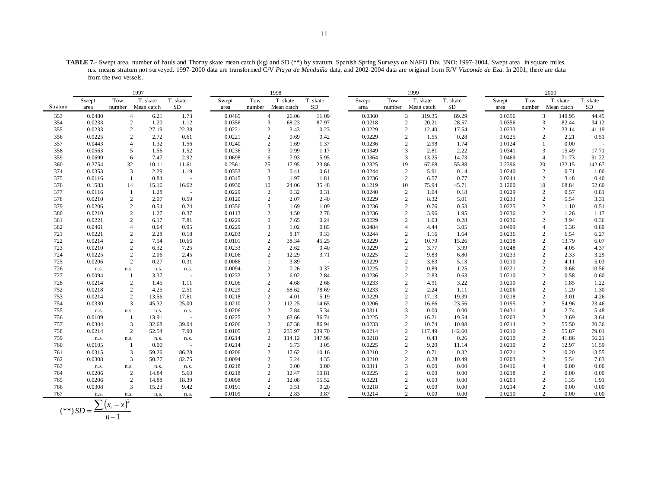**TABLE 7.-** Swept area, number of hauls and Thorny skate mean catch (kg) and SD (\*\*) by stratum. Spanish Spring Surveys on NAFO Div. 3NO: 1997-2004. Swept area in square miles. n.s. means stratum not surveyed. 1997-2000 data are transformed C/V *Playa de Menduíña* data, and 2002-2004 data are original from R/V *Vizconde de Eza*. In 2001, there are data from the two vessels.

|         |        |        | 1997                    |            |        |                | 1998       |          |        |                | 1999       |          |        |        | 2000                    |          |
|---------|--------|--------|-------------------------|------------|--------|----------------|------------|----------|--------|----------------|------------|----------|--------|--------|-------------------------|----------|
|         | Swept  | Tow    | T. skate                | T. skate   | Swept  | Tow            | T. skate   | T. skate | Swept  | Tow            | T. skate   | T. skate | Swept  | Tow    | T. skate                | T. skate |
| Stratum | area   | number | Mean catch              | SD         | area   | number         | Mean catch | SD       | area   | number         | Mean catch | SD       | area   | number | Mean catch              | SD       |
| 353     | 0.0480 |        | $\overline{4}$<br>6.21  | 1.73       | 0.0465 | $\overline{4}$ | 26.06      | 11.09    | 0.0360 | 3              | 319.35     | 89.29    | 0.0356 |        | 3<br>149.95             | 44.45    |
| 354     | 0.0233 |        | $\overline{c}$<br>1.20  | 1.12       | 0.0356 | 3              | 68.23      | 87.97    | 0.0218 | $\overline{2}$ | 20.21      | 28.57    | 0.0356 |        | 3<br>82.44              | 34.12    |
| 355     | 0.0233 |        | $\overline{c}$<br>27.19 | 22.38      | 0.0221 | $\overline{2}$ | 3.43       | 0.23     | 0.0229 | $\overline{2}$ | 12.40      | 17.54    | 0.0233 |        | $\overline{c}$<br>33.14 | 41.19    |
| 356     | 0.0225 |        | $\overline{2}$<br>2.72  | 0.61       | 0.0221 | $\overline{2}$ | 0.69       | 0.42     | 0.0229 | $\overline{c}$ | 1.55       | 0.28     | 0.0225 |        | $\overline{c}$<br>2.21  | 0.51     |
| 357     | 0.0443 |        | $\overline{4}$<br>1.32  | 1.56       | 0.0240 | $\overline{2}$ | 1.69       | 1.37     | 0.0236 | $\overline{2}$ | 2.98       | 1.74     | 0.0124 |        | 0.00<br>-1              |          |
| 358     | 0.0563 |        | 5<br>1.56               | 1.52       | 0.0236 | 3              | 0.99       | 1.17     | 0.0349 | 3              | 2.81       | 2.22     | 0.0341 |        | 3<br>15.49              | 17.71    |
| 359     | 0.0690 |        | 6<br>7.47               | 2.92       | 0.0698 | 6              | 7.93       | 5.95     | 0.0364 | 3              | 13.25      | 14.73    | 0.0469 |        | $\overline{4}$<br>71.73 | 91.22    |
| 360     | 0.3754 | 32     | 10.11                   | 11.61      | 0.2561 | 25             | 17.95      | 23.86    | 0.2325 | 19             | 67.68      | 55.88    | 0.2396 | 20     | 132.15                  | 142.67   |
| 374     | 0.0353 |        | 3<br>2.29               | 1.19       | 0.0353 | 3              | 0.41       | 0.61     | 0.0244 | $\overline{2}$ | 5.91       | 0.14     | 0.0240 |        | $\overline{c}$<br>0.71  | 1.00     |
| 375     | 0.0116 |        | 0.84<br>-1              | $\sim$ $-$ | 0.0345 | 3              | 1.97       | 1.81     | 0.0236 | 2              | 6.57       | 0.77     | 0.0244 |        | 2<br>3.48               | 0.40     |
| 376     | 0.1583 | 14     | 15.16                   | 16.62      | 0.0930 | 10             | 24.06      | 35.48    | 0.1219 | 10             | 75.94      | 45.71    | 0.1200 | 10     | 68.84                   | 52.60    |
| 377     | 0.0116 |        | 1.28<br>$\mathbf{1}$    | $\sim$     | 0.0229 | $\overline{2}$ | 0.32       | 0.31     | 0.0240 | $\overline{c}$ | 1.04       | 0.18     | 0.0229 |        | $\overline{c}$<br>0.57  | 0.81     |
| 378     | 0.0210 |        | $\overline{c}$<br>2.07  | 0.59       | 0.0120 | $\overline{2}$ | 2.07       | 2.40     | 0.0229 | $\overline{2}$ | 8.32       | 5.01     | 0.0233 |        | $\overline{c}$<br>5.54  | 3.31     |
| 379     | 0.0206 |        | $\overline{c}$<br>0.54  | 0.24       | 0.0356 | 3              | 1.69       | 1.09     | 0.0236 | $\overline{2}$ | 0.76       | 0.53     | 0.0225 |        | $\overline{2}$<br>1.10  | 0.51     |
| 380     | 0.0210 |        | $\overline{c}$<br>1.27  | 0.37       | 0.0113 | $\overline{c}$ | 4.50       | 2.78     | 0.0236 | $\overline{2}$ | 3.96       | 1.95     | 0.0236 |        | $\overline{c}$<br>1.26  | 1.17     |
| 381     | 0.0221 |        | $\overline{2}$<br>6.17  | 7.81       | 0.0229 | $\overline{2}$ | 7.65       | 0.24     | 0.0229 | $\overline{c}$ | 1.03       | 0.28     | 0.0236 |        | $\overline{c}$<br>3.94  | 0.36     |
| 382     | 0.0461 |        | $\overline{4}$<br>0.64  | 0.95       | 0.0229 | 3              | 1.02       | 0.85     | 0.0484 |                | 4.44       | 3.05     | 0.0499 |        | $\overline{4}$<br>5.36  | 0.80     |
| 721     | 0.0221 |        | $\overline{2}$<br>2.28  | 0.18       | 0.0203 | $\overline{2}$ | 8.17       | 9.33     | 0.0244 | $\overline{2}$ | 1.16       | 1.64     | 0.0236 |        | $\overline{2}$<br>6.54  | 6.27     |
| 722     | 0.0214 |        | $\overline{c}$<br>7.54  | 10.66      | 0.0101 | $\overline{2}$ | 38.34      | 45.25    | 0.0229 | $\overline{2}$ | 10.79      | 15.26    | 0.0218 |        | $\overline{c}$<br>13.79 | 6.07     |
| 723     | 0.0210 |        | $\overline{c}$<br>6.32  | 7.25       | 0.0233 | $\overline{2}$ | 2.62       | 0.40     | 0.0229 | $\overline{2}$ | 3.77       | 3.99     | 0.0248 |        | $\overline{2}$<br>4.05  | 4.37     |
| 724     | 0.0225 |        | $\overline{2}$<br>2.06  | 2.45       | 0.0206 | $\overline{2}$ | 12.29      | 3.71     | 0.0225 | $\overline{2}$ | 9.83       | 6.80     | 0.0233 |        | $\overline{c}$<br>2.33  | 3.29     |
| 725     | 0.0206 |        | $\overline{2}$<br>0.27  | 0.31       | 0.0086 |                | 3.89       | $\sim$   | 0.0229 | $\overline{2}$ | 3.63       | 5.13     | 0.0210 |        | $\overline{2}$<br>4.11  | 5.03     |
| 726     | n.s.   | n.s.   | n.s.                    | n.s.       | 0.0094 | $\overline{2}$ | 0.26       | 0.37     | 0.0225 | $\overline{2}$ | 0.89       | 1.25     | 0.0221 |        | $\overline{c}$<br>9.68  | 10.56    |
| 727     | 0.0094 |        | 3.37<br>$\mathbf{1}$    | ÷.         | 0.0233 | $\overline{2}$ | 6.02       | 2.84     | 0.0236 | $\overline{2}$ | 2.83       | 0.63     | 0.0210 |        | $\overline{c}$<br>0.58  | 0.60     |
| 728     | 0.0214 |        | $\overline{2}$<br>1.45  | 1.11       | 0.0206 | $\overline{2}$ | 4.68       | 2.68     | 0.0233 | $\overline{2}$ | 4.91       | 3.22     | 0.0210 |        | $\overline{c}$<br>1.85  | 1.22     |
| 752     | 0.0218 |        | $\overline{c}$<br>4.25  | 2.51       | 0.0229 | $\overline{2}$ | 58.62      | 78.69    | 0.0233 | $\overline{2}$ | 2.24       | 1.11     | 0.0206 |        | $\overline{2}$<br>1.20  | 1.30     |
| 753     | 0.0214 |        | $\overline{c}$<br>13.56 | 17.61      | 0.0218 | $\overline{2}$ | 4.01       | 5.19     | 0.0229 | $\overline{2}$ | 17.13      | 19.39    | 0.0218 |        | $\overline{2}$<br>3.01  | 4.26     |
| 754     | 0.0330 |        | 3<br>45.32              | 25.00      | 0.0210 | $\sqrt{2}$     | 112.25     | 14.65    | 0.0206 | $\overline{c}$ | 16.66      | 23.56    | 0.0195 |        | $\overline{c}$<br>54.96 | 23.46    |
| 755     | n.s.   | n.s.   | n.s.                    | n.s.       | 0.0206 | $\overline{2}$ | 7.84       | 5.34     | 0.0311 | 3              | 0.00       | 0.00     | 0.0431 |        | $\overline{4}$<br>2.74  | 5.48     |
| 756     | 0.0109 |        | 13.91<br>-1             |            | 0.0225 | $\overline{2}$ | 63.66      | 36.74    | 0.0225 | $\overline{2}$ | 16.21      | 19.54    | 0.0203 |        | $\overline{c}$<br>3.69  | 3.64     |
| 757     | 0.0304 |        | 3<br>32.68              | 39.04      | 0.0206 | $\sqrt{2}$     | 67.38      | 86.94    | 0.0233 | $\overline{c}$ | 10.74      | 10.98    | 0.0214 |        | $\overline{c}$<br>55.50 | 20.36    |
| 758     | 0.0214 |        | $\overline{c}$<br>52.54 | 7.90       | 0.0105 | $\sqrt{2}$     | 235.97     | 239.70   | 0.0214 | $\overline{c}$ | 117.49     | 142.60   | 0.0210 |        | $\overline{c}$<br>55.87 | 79.01    |
| 759     | n.s.   | n.s.   | n.s.                    | n.s.       | 0.0214 | $\overline{2}$ | 114.12     | 147.96   | 0.0218 | $\overline{2}$ | 0.43       | 0.26     | 0.0210 |        | $\overline{2}$<br>41.86 | 56.21    |
| 760     | 0.0105 |        | 0.00<br>1               | $\sim$     | 0.0214 | $\overline{2}$ | 6.73       | 3.05     | 0.0225 | $\overline{c}$ | 9.20       | 11.14    | 0.0210 |        | $\overline{c}$<br>12.97 | 11.59    |
| 761     | 0.0315 |        | 3<br>59.26              | 86.28      | 0.0206 | $\overline{2}$ | 17.62      | 10.16    | 0.0210 | $\overline{2}$ | 0.71       | 0.32     | 0.0221 |        | $\overline{2}$<br>10.20 | 13.55    |
| 762     | 0.0308 |        | 3<br>50.77              | 82.75      | 0.0094 | $\overline{2}$ | 5.24       | 4.35     | 0.0210 | $\overline{2}$ | 8.28       | 10.49    | 0.0203 |        | $\overline{c}$<br>5.54  | 7.83     |
| 763     | n.s.   | n.s.   | n.s.                    | n.s.       | 0.0218 | $\overline{2}$ | 0.00       | 0.00     | 0.0311 | 3              | 0.00       | 0.00     | 0.0416 |        | $\overline{4}$<br>0.00  | 0.00     |
| 764     | 0.0206 |        | 2<br>14.84              | 5.60       | 0.0218 | $\overline{2}$ | 12.47      | 10.81    | 0.0225 | $\overline{2}$ | 0.00       | 0.00     | 0.0218 |        | $\overline{c}$<br>0.00  | 0.00     |
| 765     | 0.0206 |        | 2<br>14.88              | 18.39      | 0.0098 | $\overline{2}$ | 12.08      | 15.52    | 0.0221 | $\overline{2}$ | 0.00       | 0.00     | 0.0203 |        | $\overline{2}$<br>1.35  | 1.91     |
| 766     | 0.0308 |        | 3<br>15.23              | 9.42       | 0.0191 | $\overline{2}$ | 0.51       | 0.20     | 0.0218 | $\overline{c}$ | 0.00       | 0.00     | 0.0214 |        | $\overline{c}$<br>0.00  | 0.00     |
| 767     | n.s.   | n.s.   | n.s.                    | n.s.       | 0.0109 | $\overline{2}$ | 2.83       | 3.87     | 0.0214 | $\overline{2}$ | 0.00       | 0.00     | 0.0210 |        | $\overline{2}$<br>0.00  | 0.00     |

$$
(**) SD = \frac{\sum (x_i - \bar{x})^2}{n - 1}
$$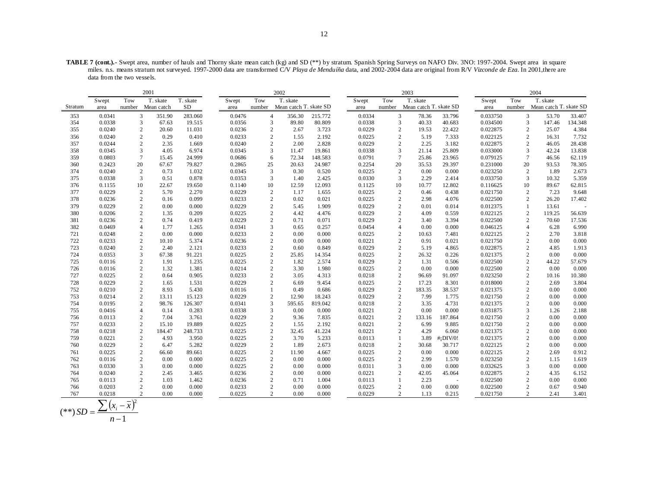**TABLE 7 (cont.).-** Swept area, number of hauls and Thorny skate mean catch (kg) and SD (\*\*) by stratum. Spanish Spring Surveys on NAFO Div. 3NO: 1997-2004. Swept area in square miles. n.s. means stratum not surveyed. 1997-2000 data are transformed C/V *Playa de Menduíña* data, and 2002-2004 data are original from R/V *Vizconde de Eza*. In 2001,there are data from the two vessels.

|         |        |                | 2001       |          |        |                | 2002                   |         |        |                | 2003                   |              |          |                | 2004                   |         |
|---------|--------|----------------|------------|----------|--------|----------------|------------------------|---------|--------|----------------|------------------------|--------------|----------|----------------|------------------------|---------|
|         | Swept  | Tow            | T. skate   | T. skate | Swept  | Tow            | T. skate               |         | Swept  | Tow            | T. skate               |              | Swept    | Tow            | T. skate               |         |
| Stratum | area   | number         | Mean catch | SD.      | area   | number         | Mean catch T. skate SD |         | area   | number         | Mean catch T. skate SD |              | area     | number         | Mean catch T. skate SD |         |
| 353     | 0.0341 | 3              | 351.90     | 283.060  | 0.0476 | $\overline{4}$ | 356.30                 | 215.772 | 0.0334 | 3              | 78.36                  | 33.796       | 0.033750 | 3              | 53.70                  | 33.407  |
| 354     | 0.0338 | 3              | 67.63      | 19.515   | 0.0356 | 3              | 89.80                  | 80.809  | 0.0338 | 3              | 40.33                  | 40.683       | 0.034500 | 3              | 147.46                 | 134.348 |
| 355     | 0.0240 | $\overline{c}$ | 20.60      | 11.031   | 0.0236 | $\mathbf{2}$   | 2.67                   | 3.723   | 0.0229 | $\overline{c}$ | 19.53                  | 22.422       | 0.022875 | $\overline{c}$ | 25.07                  | 4.384   |
| 356     | 0.0240 | $\overline{c}$ | 0.29       | 0.410    | 0.0233 | $\mathbf{2}$   | 1.55                   | 2.192   | 0.0225 | $\overline{c}$ | 5.19                   | 7.333        | 0.022125 | $\overline{c}$ | 16.31                  | 7.732   |
| 357     | 0.0244 | $\overline{c}$ | 2.35       | 1.669    | 0.0240 | $\overline{2}$ | 2.00                   | 2.828   | 0.0229 | $\overline{c}$ | 2.25                   | 3.182        | 0.022875 | 2              | 46.05                  | 28.438  |
| 358     | 0.0345 | 3              | 4.05       | 6.974    | 0.0345 | 3              | 11.47                  | 19.861  | 0.0338 | 3              | 21.14                  | 25.809       | 0.033000 | 3              | 42.24                  | 13.838  |
| 359     | 0.0803 | $\tau$         | 15.45      | 24.999   | 0.0686 | 6              | 72.34                  | 148.583 | 0.0791 | $\tau$         | 25.86                  | 23.965       | 0.079125 | $\overline{7}$ | 46.56                  | 62.119  |
| 360     | 0.2423 | 20             | 67.67      | 79.827   | 0.2865 | 25             | 20.63                  | 24.987  | 0.2254 | 20             | 35.53                  | 29.397       | 0.231000 | 20             | 93.53                  | 78.305  |
| 374     | 0.0240 | 2              | 0.73       | 1.032    | 0.0345 | 3              | 0.30                   | 0.520   | 0.0225 | 2              | 0.00                   | 0.000        | 0.023250 | 2              | 1.89                   | 2.673   |
| 375     | 0.0338 | 3              | 0.51       | 0.878    | 0.0353 | 3              | 1.40                   | 2.425   | 0.0330 | 3              | 2.29                   | 2.414        | 0.033750 | 3              | 10.32                  | 5.359   |
| 376     | 0.1155 | 10             | 22.67      | 19.650   | 0.1140 | 10             | 12.59                  | 12.093  | 0.1125 | 10             | 10.77                  | 12.802       | 0.116625 | 10             | 89.67                  | 62.815  |
| 377     | 0.0229 | $\overline{c}$ | 5.70       | 2.270    | 0.0229 | $\mathbf{2}$   | 1.17                   | 1.655   | 0.0225 | $\overline{c}$ | 0.46                   | 0.438        | 0.021750 | $\overline{2}$ | 7.23                   | 9.648   |
| 378     | 0.0236 | $\overline{c}$ | 0.16       | 0.099    | 0.0233 | 2              | 0.02                   | 0.021   | 0.0225 | $\overline{c}$ | 2.98                   | 4.076        | 0.022500 | $\overline{c}$ | 26.20                  | 17.402  |
| 379     | 0.0229 | $\overline{2}$ | 0.00       | 0.000    | 0.0229 | 2              | 5.45                   | 1.909   | 0.0229 | $\overline{c}$ | 0.01                   | 0.014        | 0.012375 | $\mathbf{1}$   | 13.61                  |         |
| 380     | 0.0206 | $\overline{c}$ | 1.35       | 0.209    | 0.0225 | $\mathbf{2}$   | 4.42                   | 4.476   | 0.0229 | $\overline{c}$ | 4.09                   | 0.559        | 0.022125 | $\sqrt{2}$     | 119.25                 | 56.639  |
| 381     | 0.0236 | 2              | 0.74       | 0.419    | 0.0229 | 2              | 0.71                   | 0.071   | 0.0229 | $\overline{c}$ | 3.40                   | 3.394        | 0.022500 | 2              | 70.60                  | 17.536  |
| 382     | 0.0469 | $\overline{4}$ | 1.77       | 1.265    | 0.0341 | 3              | 0.65                   | 0.257   | 0.0454 | 4              | 0.00                   | 0.000        | 0.046125 | $\overline{4}$ | 6.28                   | 6.990   |
| 721     | 0.0248 | 2              | 0.00       | 0.000    | 0.0233 | 2              | 0.00                   | 0.000   | 0.0225 | $\overline{c}$ | 10.63                  | 7.481        | 0.022125 | $\overline{c}$ | 2.70                   | 3.818   |
| 722     | 0.0233 | $\overline{c}$ | 10.10      | 5.374    | 0.0236 | $\mathbf{2}$   | 0.00                   | 0.000   | 0.0221 | $\overline{c}$ | 0.91                   | 0.021        | 0.021750 | 2              | 0.00                   | 0.000   |
| 723     | 0.0240 | $\overline{2}$ | 2.40       | 2.121    | 0.0233 | 2              | 0.60                   | 0.849   | 0.0229 | $\overline{c}$ | 5.19                   | 4.865        | 0.022875 | 2              | 4.85                   | 1.913   |
| 724     | 0.0353 | 3              | 67.38      | 91.221   | 0.0225 | 2              | 25.85                  | 14.354  | 0.0225 | $\sqrt{2}$     | 26.32                  | 0.226        | 0.021375 | $\overline{c}$ | 0.00                   | 0.000   |
| 725     | 0.0116 | $\overline{2}$ | 1.91       | 1.235    | 0.0225 | 2              | 1.82                   | 2.574   | 0.0229 | $\overline{c}$ | 1.31                   | 0.506        | 0.022500 | 2              | 44.22                  | 57.679  |
| 726     | 0.0116 | $\overline{2}$ | 1.32       | 1.381    | 0.0214 | 2              | 3.30                   | 1.980   | 0.0225 | $\overline{c}$ | 0.00                   | 0.000        | 0.022500 | 2              | 0.00                   | 0.000   |
| 727     | 0.0225 | $\sqrt{2}$     | 0.64       | 0.905    | 0.0233 | $\overline{c}$ | 3.05                   | 4.313   | 0.0218 | $\sqrt{2}$     | 96.69                  | 91.097       | 0.023250 | $\overline{2}$ | 10.16                  | 10.380  |
| 728     | 0.0229 | $\overline{c}$ | 1.65       | 1.531    | 0.0229 | 2              | 6.69                   | 9.454   | 0.0225 | $\mathbf{2}$   | 17.23                  | 8.301        | 0.018000 | 2              | 2.69                   | 3.804   |
| 752     | 0.0210 | $\overline{c}$ | 8.93       | 5.430    | 0.0116 |                | 0.49                   | 0.686   | 0.0229 | $\mathbf{2}$   | 183.35                 | 38.537       | 0.021375 | $\overline{2}$ | 0.00                   | 0.000   |
| 753     | 0.0214 | $\overline{c}$ | 13.11      | 15.123   | 0.0229 | $\mathbf{2}$   | 12.90                  | 18.243  | 0.0229 | $\overline{c}$ | 7.99                   | 1.775        | 0.021750 | $\overline{2}$ | 0.00                   | 0.000   |
| 754     | 0.0195 | $\overline{2}$ | 98.76      | 126.307  | 0.0341 | 3              | 595.65                 | 819.042 | 0.0218 | $\overline{2}$ | 3.35                   | 4.731        | 0.021375 | 2              | 0.00                   | 0.000   |
| 755     | 0.0416 | $\overline{4}$ | 0.14       | 0.283    | 0.0338 | 3              | 0.00                   | 0.000   | 0.0221 | $\overline{2}$ | 0.00                   | 0.000        | 0.031875 | 3              | 1.26                   | 2.188   |
| 756     | 0.0113 | 2              | 7.04       | 3.761    | 0.0229 | 2              | 9.36                   | 7.835   | 0.0221 | $\mathbf{2}$   | 133.16                 | 187.864      | 0.021750 | 2              | 0.00                   | 0.000   |
| 757     | 0.0233 | $\overline{2}$ | 15.10      | 19.889   | 0.0225 | 2              | 1.55                   | 2.192   | 0.0221 | $\overline{2}$ | 6.99                   | 9.885        | 0.021750 | $\overline{2}$ | 0.00                   | 0.000   |
| 758     | 0.0218 | $\overline{2}$ | 184.47     | 248.733  | 0.0225 | $\mathbf{2}$   | 32.45                  | 41.224  | 0.0221 | $\overline{2}$ | 4.29                   | 6.060        | 0.021375 | 2              | 0.00                   | 0.000   |
| 759     | 0.0221 | $\overline{c}$ | 4.93       | 3.950    | 0.0225 | $\overline{c}$ | 3.70                   | 5.233   | 0.0113 | 1              | 3.89                   | $#$ ; DIV/0! | 0.021375 | $\overline{2}$ | 0.00                   | 0.000   |
| 760     | 0.0229 | $\overline{2}$ | 6.47       | 5.282    | 0.0229 | 2              | 1.89                   | 2.673   | 0.0218 | $\overline{c}$ | 30.68                  | 30.717       | 0.022125 | $\overline{2}$ | 0.00                   | 0.000   |
| 761     | 0.0225 | $\overline{c}$ | 66.60      | 89.661   | 0.0225 | $\mathbf{2}$   | 11.90                  | 4.667   | 0.0225 | $\overline{c}$ | 0.00                   | 0.000        | 0.022125 | $\overline{2}$ | 2.69                   | 0.912   |
| 762     | 0.0116 | 2              | 0.00       | 0.000    | 0.0225 | $\overline{c}$ | 0.00                   | 0.000   | 0.0225 | $\overline{c}$ | 2.99                   | 1.570        | 0.023250 | $\overline{2}$ | 1.15                   | 1.619   |
| 763     | 0.0330 | 3              | 0.00       | 0.000    | 0.0225 | 2              | 0.00                   | 0.000   | 0.0311 | 3              | 0.00                   | 0.000        | 0.032625 | 3              | 0.00                   | 0.000   |
| 764     | 0.0240 | $\overline{2}$ | 2.45       | 3.465    | 0.0236 | 2              | 0.00                   | 0.000   | 0.0221 | $\overline{c}$ | 42.05                  | 45.064       | 0.022875 | $\overline{2}$ | 4.35                   | 6.152   |
| 765     | 0.0113 | 2              | 1.03       | 1.462    | 0.0236 | 2              | 0.71                   | 1.004   | 0.0113 | -1             | 2.23                   | $\sim$       | 0.022500 | 2              | 0.00                   | 0.000   |
| 766     | 0.0203 | $\overline{2}$ | 0.00       | 0.000    | 0.0233 | 2              | 0.00                   | 0.000   | 0.0225 | 2              | 0.00                   | 0.000        | 0.022500 | $\overline{2}$ | 0.67                   | 0.940   |
| 767     | 0.0218 | $\overline{2}$ | 0.00       | 0.000    | 0.0225 | 2              | 0.00                   | 0.000   | 0.0229 | $\overline{2}$ | 1.13                   | 0.215        | 0.021750 | $\overline{2}$ | 2.41                   | 3.401   |

$$
(**) SD = \frac{\sum (x_i - \bar{x})^2}{n - 1}
$$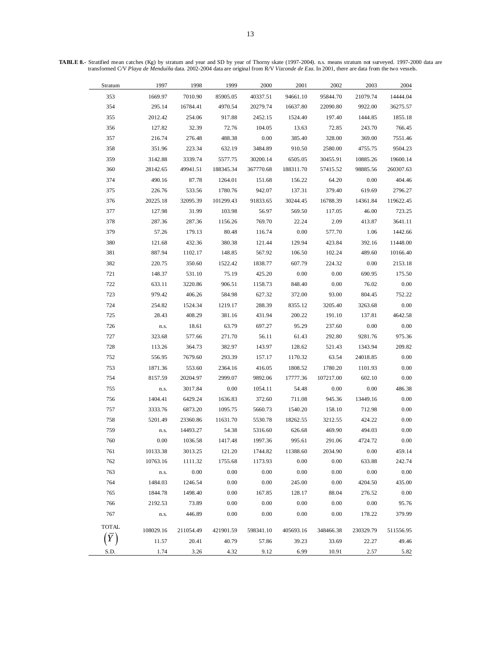| Stratum      | 1997      | 1998      | 1999      | 2000      | 2001      | 2002      | 2003      | 2004      |  |
|--------------|-----------|-----------|-----------|-----------|-----------|-----------|-----------|-----------|--|
| 353          | 1669.97   | 7010.90   | 85905.05  | 40337.51  | 94661.10  | 95844.70  | 21079.74  | 14444.04  |  |
| 354          | 295.14    | 16784.41  | 4970.54   | 20279.74  | 16637.80  | 22090.80  | 9922.00   | 36275.57  |  |
| 355          | 2012.42   | 254.06    | 917.88    | 2452.15   | 1524.40   | 197.40    | 1444.85   | 1855.18   |  |
| 356          | 127.82    | 32.39     | 72.76     | 104.05    | 13.63     | 72.85     | 243.70    | 766.45    |  |
| 357          | 216.74    | 276.48    | 488.38    | 0.00      | 385.40    | 328.00    | 369.00    | 7551.46   |  |
| 358          | 351.96    | 223.34    | 632.19    | 3484.89   | 910.50    | 2580.00   | 4755.75   | 9504.23   |  |
| 359          | 3142.88   | 3339.74   | 5577.75   | 30200.14  | 6505.05   | 30455.91  | 10885.26  | 19600.14  |  |
| 360          | 28142.65  | 49941.51  | 188345.34 | 367770.68 | 188311.70 | 57415.52  | 98885.56  | 260307.63 |  |
| 374          | 490.16    | 87.78     | 1264.01   | 151.68    | 156.22    | 64.20     | 0.00      | 404.46    |  |
| 375          | 226.76    | 533.56    | 1780.76   | 942.07    | 137.31    | 379.40    | 619.69    | 2796.27   |  |
| 376          | 20225.18  | 32095.39  | 101299.43 | 91833.65  | 30244.45  | 16788.39  | 14361.84  | 119622.45 |  |
| 377          | 127.98    | 31.99     | 103.98    | 56.97     | 569.50    | 117.05    | 46.00     | 723.25    |  |
| 378          | 287.36    | 287.36    | 1156.26   | 769.70    | 22.24     | 2.09      | 413.87    | 3641.11   |  |
| 379          | 57.26     | 179.13    | 80.48     | 116.74    | 0.00      | 577.70    | 1.06      | 1442.66   |  |
| 380          | 121.68    | 432.36    | 380.38    | 121.44    | 129.94    | 423.84    | 392.16    | 11448.00  |  |
| 381          | 887.94    | 1102.17   | 148.85    | 567.92    | 106.50    | 102.24    | 489.60    | 10166.40  |  |
| 382          | 220.75    | 350.60    | 1522.42   | 1838.77   | 607.79    | 224.32    | 0.00      | 2153.18   |  |
| 721          | 148.37    | 531.10    | 75.19     | 425.20    | 0.00      | 0.00      | 690.95    | 175.50    |  |
| 722          | 633.11    | 3220.86   | 906.51    | 1158.73   | 848.40    | 0.00      | 76.02     | 0.00      |  |
| 723          | 979.42    | 406.26    | 584.98    | 627.32    | 372.00    | 93.00     | 804.45    | 752.22    |  |
| 724          | 254.82    | 1524.34   | 1219.17   | 288.39    | 8355.12   | 3205.40   | 3263.68   | 0.00      |  |
| 725          | 28.43     | 408.29    | 381.16    | 431.94    | 200.22    | 191.10    | 137.81    | 4642.58   |  |
| 726          | n.s.      | 18.61     | 63.79     | 697.27    | 95.29     | 237.60    | 0.00      | 0.00      |  |
| 727          | 323.68    | 577.66    | 271.70    | 56.11     | 61.43     | 292.80    | 9281.76   | 975.36    |  |
| 728          | 113.26    | 364.73    | 382.97    | 143.97    | 128.62    | 521.43    | 1343.94   | 209.82    |  |
| 752          | 556.95    | 7679.60   | 293.39    | 157.17    | 1170.32   | 63.54     | 24018.85  | 0.00      |  |
| 753          | 1871.36   | 553.60    | 2364.16   | 416.05    | 1808.52   | 1780.20   | 1101.93   | 0.00      |  |
| 754          | 8157.59   | 20204.97  | 2999.07   | 9892.06   | 17777.36  | 107217.00 | 602.10    | $0.00\,$  |  |
| 755          | n.s.      | 3017.84   | 0.00      | 1054.11   | 54.48     | 0.00      | 0.00      | 486.38    |  |
| 756          | 1404.41   | 6429.24   | 1636.83   | 372.60    | 711.08    | 945.36    | 13449.16  | 0.00      |  |
| 757          | 3333.76   | 6873.20   | 1095.75   | 5660.73   | 1540.20   | 158.10    | 712.98    | 0.00      |  |
| 758          | 5201.49   | 23360.86  | 11631.70  | 5530.78   | 18262.55  | 3212.55   | 424.22    | 0.00      |  |
| 759          | n.s.      | 14493.27  | 54.38     | 5316.60   | 626.68    | 469.90    | 494.03    | 0.00      |  |
| 760          | 0.00      | 1036.58   | 1417.48   | 1997.36   | 995.61    | 291.06    | 4724.72   | 0.00      |  |
| 761          | 10133.38  | 3013.25   | 121.20    | 1744.82   | 11388.60  | 2034.90   | 0.00      | 459.14    |  |
| 762          | 10763.16  | 1111.32   | 1755.68   | 1173.93   | 0.00      | 0.00      | 633.88    | 242.74    |  |
| 763          | n.s.      | 0.00      | 0.00      | 0.00      | 0.00      | 0.00      | $0.00\,$  | 0.00      |  |
| 764          | 1484.03   | 1246.54   | 0.00      | 0.00      | 245.00    | 0.00      | 4204.50   | 435.00    |  |
| 765          | 1844.78   | 1498.40   | 0.00      | 167.85    | 128.17    | 88.04     | 276.52    | $0.00\,$  |  |
| 766          | 2192.53   | 73.89     | 0.00      | 0.00      | 0.00      | 0.00      | 0.00      | 95.76     |  |
| 767          | n.s.      | 446.89    | 0.00      | 0.00      | 0.00      | 0.00      | 178.22    | 379.99    |  |
| <b>TOTAL</b> | 108029.16 | 211054.49 | 421901.59 | 598341.10 | 405693.16 | 348466.38 | 230329.79 | 511556.95 |  |
|              | 11.57     | 20.41     | 40.79     | 57.86     | 39.23     | 33.69     | 22.27     | 49.46     |  |
| S.D.         | 1.74      | 3.26      | 4.32      | 9.12      | 6.99      | 10.91     | 2.57      | 5.82      |  |
|              |           |           |           |           |           |           |           |           |  |

**TABLE 8.-** Stratified mean catches (Kg) by stratum and year and SD by year of Thorny skate (1997-2004). n.s. means stratum not surveyed. 1997-2000 data are transformed C/V *Playa de Menduíña* data. 2002-2004 data are original from R/V *Vizconde de Eza*. In 2001, there are data from the two vessels.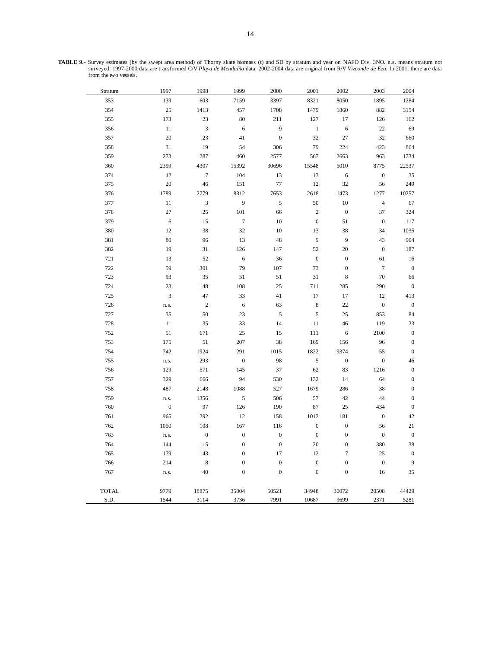|  |                       |  | <b>TABLE 9.-</b> Survey estimates (by the swept area method) of Thorny skate biomass (t) and SD by stratum and year on NAFO Div. 3NO. n.s. means stratum not |  |  |  |  |
|--|-----------------------|--|--------------------------------------------------------------------------------------------------------------------------------------------------------------|--|--|--|--|
|  |                       |  | surveved. 1997-2000 data are transformed C/V Playa de Menduíña data. 2002-2004 data are original from R/V Vizconde de Eza. In 2001, there are data           |  |  |  |  |
|  | from the two vessels. |  |                                                                                                                                                              |  |  |  |  |

| Stratum      | 1997             | 1998             | 1999             | 2000             | $2001\,$         | 2002             | 2003             | 2004             |
|--------------|------------------|------------------|------------------|------------------|------------------|------------------|------------------|------------------|
| 353          | 139              | 603              | 7159             | 3397             | 8321             | 8050             | 1895             | 1284             |
| 354          | 25               | 1413             | 457              | 1708             | 1479             | 1860             | 882              | 3154             |
| 355          | 173              | 23               | 80               | 211              | 127              | 17               | 126              | 162              |
| 356          | $11\,$           | $\mathfrak{Z}$   | $\sqrt{6}$       | 9                | $\,1$            | 6                | $22\,$           | 69               |
| 357          | $20\,$           | 23               | 41               | $\boldsymbol{0}$ | 32               | $27\,$           | 32               | 660              |
| 358          | 31               | 19               | 54               | 306              | 79               | 224              | 423              | 864              |
| 359          | 273              | 287              | 460              | 2577             | 567              | 2663             | 963              | 1734             |
| 360          | 2399             | 4307             | 15392            | 30696            | 15548            | 5010             | 8775             | 22537            |
| 374          | 42               | $\boldsymbol{7}$ | 104              | 13               | 13               | $\sqrt{6}$       | $\boldsymbol{0}$ | 35               |
| 375          | 20               | 46               | 151              | 77               | 12               | 32               | 56               | 249              |
| 376          | 1789             | 2779             | 8312             | 7653             | 2618             | 1473             | 1277             | 10257            |
| 377          | $1\,1$           | $\sqrt{3}$       | $\overline{9}$   | $\mathfrak s$    | 50               | $10\,$           | $\sqrt{4}$       | 67               |
| 378          | 27               | 25               | 101              | 66               | $\sqrt{2}$       | $\boldsymbol{0}$ | 37               | 324              |
| 379          | $\sqrt{6}$       | 15               | $\boldsymbol{7}$ | $10\,$           | $\boldsymbol{0}$ | 51               | $\boldsymbol{0}$ | 117              |
| 380          | 12               | 38               | 32               | 10               | 13               | 38               | 34               | 1035             |
| 381          | 80               | 96               | 13               | 48               | 9                | 9                | 43               | 904              |
| 382          | 19               | 31               | 126              | 147              | 52               | 20               | $\boldsymbol{0}$ | 187              |
| 721          | 13               | 52               | $\sqrt{6}$       | 36               | $\boldsymbol{0}$ | $\boldsymbol{0}$ | 61               | 16               |
| 722          | 59               | 301              | 79               | 107              | 73               | $\boldsymbol{0}$ | $\tau$           | $\boldsymbol{0}$ |
| 723          | 93               | 35               | 51               | 51               | 31               | $\,$ 8 $\,$      | 70               | 66               |
| 724          | 23               | 148              | 108              | 25               | 711              | 285              | 290              | $\boldsymbol{0}$ |
| 725          | 3                | 47               | 33               | 41               | 17               | 17               | 12               | 413              |
| 726          | n.s.             | $\sqrt{2}$       | $\sqrt{6}$       | 63               | $\,$ 8 $\,$      | $22\,$           | $\boldsymbol{0}$ | $\boldsymbol{0}$ |
| 727          | 35               | 50               | 23               | $\sqrt{5}$       | $\mathfrak s$    | 25               | 853              | 84               |
| 728          | 11               | 35               | 33               | 14               | $1\,1$           | 46               | 119              | 23               |
| 752          | 51               | 671              | 25               | 15               | 111              | 6                | 2100             | $\boldsymbol{0}$ |
| 753          | 175              | 51               | 207              | 38               | 169              | 156              | 96               | $\boldsymbol{0}$ |
| 754          | 742              | 1924             | 291              | 1015             | 1822             | 9374             | 55               | $\boldsymbol{0}$ |
| 755          | n.s.             | 293              | $\boldsymbol{0}$ | 98               | 5                | $\boldsymbol{0}$ | $\boldsymbol{0}$ | 46               |
| 756          | 129              | 571              | 145              | 37               | 62               | 83               | 1216             | $\boldsymbol{0}$ |
| 757          | 329              | 666              | 94               | 530              | 132              | 14               | 64               | $\boldsymbol{0}$ |
| 758          | 487              | 2148             | 1088             | 527              | 1679             | 286              | 38               | $\boldsymbol{0}$ |
| 759          | n.s.             | 1356             | $\sqrt{5}$       | 506              | 57               | 42               | 44               | $\boldsymbol{0}$ |
| 760          | $\boldsymbol{0}$ | 97               | 126              | 190              | 87               | $25\,$           | 434              | $\boldsymbol{0}$ |
| 761          | 965              | 292              | 12               | 158              | 1012             | 181              | $\boldsymbol{0}$ | 42               |
| 762          | 1050             | 108              | 167              | 116              | $\boldsymbol{0}$ | $\boldsymbol{0}$ | 56               | $21\,$           |
| 763          | n.s.             | $\boldsymbol{0}$ | $\boldsymbol{0}$ | $\boldsymbol{0}$ | $\boldsymbol{0}$ | $\mathbf{0}$     | $\boldsymbol{0}$ | $\boldsymbol{0}$ |
| 764          | 144              | 115              | $\boldsymbol{0}$ | $\boldsymbol{0}$ | $20\,$           | $\mathbf{0}$     | 380              | 38               |
| 765          | 179              | 143              | $\boldsymbol{0}$ | 17               | $12\,$           | $\boldsymbol{7}$ | 25               | $\boldsymbol{0}$ |
| 766          | 214              | $\,8\,$          | $\boldsymbol{0}$ | $\boldsymbol{0}$ | $\boldsymbol{0}$ | $\boldsymbol{0}$ | $\boldsymbol{0}$ | 9                |
| 767          | n.s.             | 40               | $\boldsymbol{0}$ | $\boldsymbol{0}$ | $\boldsymbol{0}$ | $\overline{0}$   | 16               | 35               |
| <b>TOTAL</b> | 9779             | 18875            | 35004            | 50521            | 34948            | 30072            | 20508            | 44429            |
| S.D.         | 1544             | 3114             | 3736             | 7991             | 10687            | 9699             | 2371             | 5281             |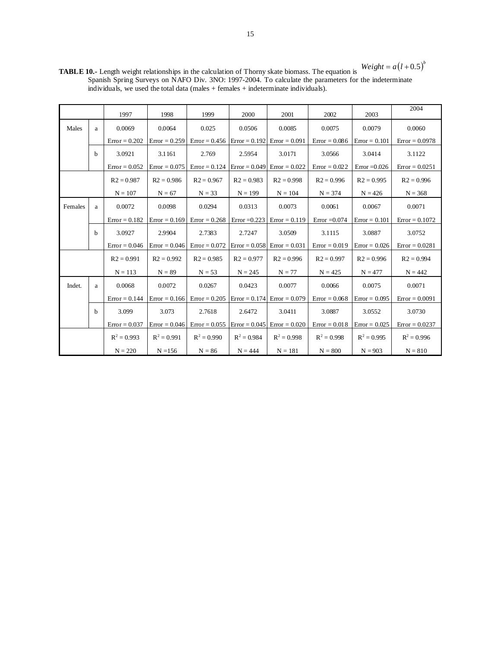$Weight = a(l+0.5)^b$ 

**TABLE 10.-** Length weight relationships in the calculation of Thorny skate biomass. The equation is Spanish Spring Surveys on NAFO Div. 3NO: 1997-2004. To calculate the parameters for the indeterminate individuals, we used the total data (males + females + indeterminate individuals).

|         |             | 1997            | 1998            | 1999                                                                                        | 2000          | 2001                          | 2002            | 2003            | 2004             |
|---------|-------------|-----------------|-----------------|---------------------------------------------------------------------------------------------|---------------|-------------------------------|-----------------|-----------------|------------------|
| Males   | a           | 0.0069          | 0.0064          | 0.025                                                                                       | 0.0506        | 0.0085                        | 0.0075          | 0.0079          | 0.0060           |
|         |             | $Error = 0.202$ | $Error = 0.259$ | $Error = 0.456$ $Error = 0.192$ $Error = 0.091$                                             |               |                               | $Error = 0.086$ | $Error = 0.101$ | $Error = 0.0978$ |
|         | $\mathbf b$ | 3.0921          | 3.1161          | 2.769                                                                                       | 2.5954        | 3.0171                        | 3.0566          | 3.0414          | 3.1122           |
|         |             | $Error = 0.052$ | $Error = 0.075$ | $Error = 0.124$ $Error = 0.049$ $Error = 0.022$                                             |               |                               | $Error = 0.022$ | $Error = 0.026$ | $Error = 0.0251$ |
|         |             | $R2 = 0.987$    | $R2 = 0.986$    | $R2 = 0.967$                                                                                | $R2 = 0.983$  | $R2 = 0.998$                  | $R2 = 0.996$    | $R2 = 0.995$    | $R2 = 0.996$     |
|         |             | $N = 107$       | $N = 67$        | $N = 33$                                                                                    | $N = 199$     | $N = 104$                     | $N = 374$       | $N = 426$       | $N = 368$        |
| Females | a           | 0.0072          | 0.0098          | 0.0294                                                                                      | 0.0313        | 0.0073                        | 0.0061          | 0.0067          | 0.0071           |
|         |             | $Error = 0.182$ |                 | $Error = 0.169$ $Error = 0.268$ $Error = 0.223$ $Error = 0.119$                             |               |                               | $Error = 0.074$ | $Error = 0.101$ | $Error = 0.1072$ |
|         | b           | 3.0927          | 2.9904          | 2.7383                                                                                      | 2.7247        | 3.0509                        | 3.1115          | 3.0887          | 3.0752           |
|         |             | $Error = 0.046$ |                 | $\text{Error} = 0.046$ $\text{Error} = 0.072$ $\text{Error} = 0.058$ $\text{Error} = 0.031$ |               |                               | $Error = 0.019$ | $Error = 0.026$ | $Error = 0.0281$ |
|         |             | $R2 = 0.991$    | $R2 = 0.992$    | $R2 = 0.985$                                                                                | $R2 = 0.977$  | $R2 = 0.996$                  | $R2 = 0.997$    | $R2 = 0.996$    | $R2 = 0.994$     |
|         |             | $N = 113$       | $N = 89$        | $N = 53$                                                                                    | $N = 245$     | $N = 77$                      | $N = 425$       | $N = 477$       | $N = 442$        |
| Indet.  | a           | 0.0068          | 0.0072          | 0.0267                                                                                      | 0.0423        | 0.0077                        | 0.0066          | 0.0075          | 0.0071           |
|         |             | $Error = 0.144$ |                 | $\text{Error} = 0.166$ $\text{Error} = 0.205$ $\text{Error} = 0.174$ $\text{Error} = 0.079$ |               |                               | $Error = 0.068$ | $Error = 0.095$ | $Error = 0.0091$ |
|         | b           | 3.099           | 3.073           | 2.7618                                                                                      | 2.6472        | 3.0411                        | 3.0887          | 3.0552          | 3.0730           |
|         |             | $Error = 0.037$ |                 | $Error = 0.046$ $Error = 0.055$                                                             |               | $Error = 0.045$ Error = 0.020 | $Error = 0.018$ | $Error = 0.025$ | $Error = 0.0237$ |
|         |             | $R^2 = 0.993$   | $R^2 = 0.991$   | $R^2 = 0.990$                                                                               | $R^2 = 0.984$ | $R^2 = 0.998$                 | $R^2 = 0.998$   | $R^2 = 0.995$   | $R^2 = 0.996$    |
|         |             | $N = 220$       | $N = 156$       | $N = 86$                                                                                    | $N = 444$     | $N = 181$                     | $N = 800$       | $N = 903$       | $N = 810$        |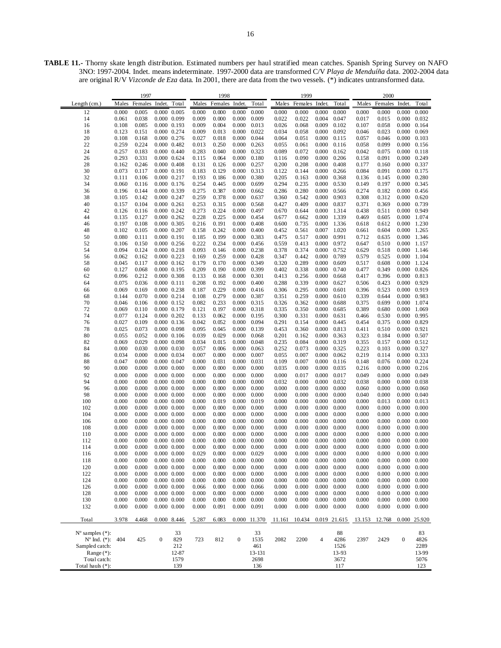**TABLE 11.-** Thorny skate length distribution. Estimated numbers per haul stratified mean catches. Spanish Spring Survey on NAFO 3NO: 1997-2004. Indet. means indeterminate. 1997-2000 data are transformed C/V *Playa de Menduíña* data. 2002-2004 data are original R/V *Vizconde de Eza* data. In 2001, there are data from the two vessels. (\*) indicates untransformed data.

| 1997                             |                |                | 1998             |                                    |                |                | 1999                |                |                |                | 2000           |                |                |                |                     |                |
|----------------------------------|----------------|----------------|------------------|------------------------------------|----------------|----------------|---------------------|----------------|----------------|----------------|----------------|----------------|----------------|----------------|---------------------|----------------|
| Length $(cm.)$                   | Males          | Females        | Indet.           | Total                              | Males          | Females        | Indet               | Total          | Males          | Females Indet. |                | Total          | Males          | Females        | Indet.              | Total          |
| 12                               | 0.000          | 0.005          |                  | 0.000 0.005                        | 0.000          | 0.000          | 0.000               | 0.000          | 0.000          | 0.000          | 0.000          | 0.000          | 0.000          | 0.000          | 0.000               | 0.000          |
| 14                               | 0.061          | 0.038          |                  | 0.000 0.099                        | 0.009          | 0.000          | 0.000               | 0.009          | 0.022          | 0.022          | 0.004          | 0.047          | 0.017          | 0.015          | 0.000               | 0.032          |
| 16                               | 0.108          | 0.085          |                  | $0.000 \quad 0.193$                | 0.009          | 0.004          | 0.000               | 0.013          | 0.026          | 0.068          | 0.009          | 0.102          | 0.107          | 0.058          | 0.000               | 0.164          |
| 18                               | 0.123          | 0.151          |                  | 0.000 0.274                        | 0.009          | 0.013          | 0.000               | 0.022          | 0.034          | 0.058          | 0.000          | 0.092          | 0.046          | 0.023          | 0.000               | 0.069          |
| 20                               | 0.108          | 0.168          |                  | 0.000 0.276                        | 0.027          | 0.018          | 0.000               | 0.044          | 0.064          | 0.051          | 0.000          | 0.115          | 0.057          | 0.046          | 0.000               | 0.103          |
| 22                               | 0.259          | 0.224          |                  | $0.000 \quad 0.482$                | 0.013          | 0.250          | 0.000               | 0.263          | 0.055          | 0.061          | 0.000          | 0.116          | 0.058          | 0.099          | 0.000               | 0.156          |
| 24                               | 0.257          | 0.183          |                  | 0.000 0.440                        | 0.283          | 0.040          | 0.000               | 0.323          | 0.089          | 0.072          | 0.000          | 0.162          | 0.042          | 0.075          | 0.000               | 0.118          |
| 26                               | 0.293          | 0.331          |                  | 0.000 0.624                        | 0.115          | 0.064          | 0.000               | 0.180          | 0.116          | 0.090          | 0.000          | 0.206          | 0.158          | 0.091          | 0.000               | 0.249          |
| 28                               | 0.162          | 0.246          |                  | $0.000$ $0.408$                    | 0.131          | 0.126          | 0.000               | 0.257          | 0.200          | 0.208          | 0.000          | 0.408          | 0.177          | 0.160          | 0.000               | 0.337          |
| 30                               | 0.073          | 0.117          |                  | 0.000 0.191                        | 0.183          | 0.129          | 0.000               | 0.313          | 0.122          | 0.144          | 0.000          | 0.266          | 0.084          | 0.091          | 0.000               | 0.175          |
| 32                               | 0.111          | 0.106          |                  | 0.000 0.217                        | 0.193          | 0.186          | 0.000               | 0.380          | 0.205          | 0.163          | 0.000          | 0.368          | 0.136          | 0.145          | 0.000               | 0.280          |
| 34                               | 0.060          | 0.116          |                  | 0.000 0.176                        | 0.254          | 0.445          | 0.000               | 0.699          | 0.294          | 0.235          | 0.000          | 0.530          | 0.149          | 0.197          | 0.000               | 0.345          |
| 36                               | 0.196          | 0.144          |                  | 0.000 0.339                        | 0.275          | 0.387          | 0.000               | 0.662          | 0.286          | 0.280          | 0.000          | 0.566          | 0.274          | 0.182          | 0.000               | 0.456          |
| 38                               | 0.105          | 0.142          |                  | 0.000 0.247                        | 0.259          | 0.378          | 0.000               | 0.637          | 0.360          | 0.542          | 0.000          | 0.903          | 0.308          | 0.312          | 0.000               | 0.620          |
| 40                               | 0.157          | 0.104          |                  | $0.000 \quad 0.261$                | 0.253          | 0.315          | 0.000               | 0.568          | 0.427          | 0.409          | 0.000          | 0.837          | 0.371          | 0.369          | 0.000               | 0.739          |
| 42                               | 0.126          | 0.116          |                  | $0.000$ $0.242$                    | 0.273          | 0.224          | 0.000               | 0.497          | 0.670          | 0.644          | 0.000          | 1.314          | 0.438          | 0.511          | 0.000               | 0.949          |
| 44                               | 0.135          | 0.127          |                  | 0.000 0.262                        | 0.228          | 0.225          | 0.000               | 0.454          | 0.677          | 0.662          | 0.000          | 1.339          | 0.469          | 0.605          | 0.000               | 1.074          |
| 46                               | 0.197          | 0.108          |                  | 0.000 0.305                        | 0.216          | 0.191          | 0.000               | 0.408          | 0.600          | 0.735          | 0.000          | 1.336          | 0.618          | 0.612          | 0.000               | 1.230          |
| 48                               | 0.102          | 0.105          |                  | $0.000$ $0.207$                    | 0.158          | 0.242          | 0.000               | 0.400          | 0.452          | 0.561          | 0.007          | 1.020          | 0.661          | 0.604          | 0.000               | 1.265          |
| 50                               | 0.080          | 0.111          |                  | 0.000 0.191                        | 0.185          | 0.199          | 0.000               | 0.383          | 0.475          | 0.517          | 0.000          | 0.991          | 0.712          | 0.635          | 0.000               | 1.346          |
| 52                               | 0.106          | 0.150          |                  | $0.000$ $0.256$                    | 0.222          | 0.234          | 0.000               | 0.456          | 0.559          | 0.413          | 0.000          | 0.972          | 0.647          | 0.510          | 0.000               | 1.157          |
| 54                               | 0.094          | 0.124          |                  | $0.000$ $0.218$                    | 0.093          | 0.146          | 0.000               | 0.238          | 0.378          | 0.374          | 0.000          | 0.752          | 0.629          | 0.518          | 0.000               | 1.146          |
| 56<br>58                         | 0.062<br>0.045 | 0.162<br>0.117 |                  | 0.000 0.223<br>$0.000 \quad 0.162$ | 0.169<br>0.179 | 0.259<br>0.170 | 0.000<br>0.000      | 0.428<br>0.349 | 0.347<br>0.320 | 0.442<br>0.289 | 0.000          | 0.789<br>0.609 | 0.579<br>0.517 | 0.525<br>0.608 | 0.000<br>0.000      | 1.104<br>1.124 |
| 60                               | 0.127          | 0.068          |                  | $0.000$ $0.195$                    | 0.209          | 0.190          | 0.000               | 0.399          | 0.402          | 0.338          | 0.000<br>0.000 | 0.740          | 0.477          | 0.349          | $0.000 \quad 0.826$ |                |
| 62                               | 0.096          | 0.212          |                  | 0.000 0.308                        | 0.133          | 0.168          | 0.000               | 0.301          | 0.413          | 0.256          | 0.000          | 0.668          | 0.417          | 0.396          | 0.000               | 0.813          |
| 64                               | 0.075          | 0.036          |                  | $0.000$ $0.111$                    | 0.208          | 0.192          | 0.000               | 0.400          | 0.288          | 0.339          | 0.000          | 0.627          | 0.506          | 0.423          | 0.000               | 0.929          |
| 66                               | 0.069          | 0.169          |                  | $0.000 \quad 0.238$                | 0.187          | 0.229          | 0.000               | 0.416          | 0.306          | 0.295          | 0.000          | 0.601          | 0.396          | 0.523          | 0.000 0.919         |                |
| 68                               | 0.144          | 0.070          |                  | 0.000 0.214                        | 0.108          | 0.279          | 0.000               | 0.387          | 0.351          | 0.259          | 0.000          | 0.610          | 0.339          | 0.644          | 0.000               | 0.983          |
| 70                               | 0.046          | 0.106          |                  | 0.000 0.152                        | 0.082          | 0.233          | 0.000               | 0.315          | 0.326          | 0.362          | 0.000          | 0.688          | 0.375          | 0.699          | 0.000               | 1.074          |
| 72                               | 0.069          | 0.110          |                  | 0.000 0.179                        | 0.121          | 0.197          | 0.000               | 0.318          | 0.335          | 0.350          | 0.000          | 0.685          | 0.389          | 0.680          | 0.000               | 1.069          |
| 74                               | 0.077          | 0.124          |                  | $0.000$ $0.202$                    | 0.133          | 0.062          | 0.000               | 0.195          | 0.300          | 0.331          | 0.000          | 0.631          | 0.466          | 0.530          | 0.000               | 0.995          |
| 76                               | 0.027          | 0.109          |                  | $0.000 \quad 0.136$                | 0.042          | 0.052          | 0.000               | 0.094          | 0.291          | 0.154          | 0.000          | 0.445          | 0.454          | 0.375          | 0.000               | 0.829          |
| 78                               | 0.025          | 0.073          |                  | 0.000 0.098                        | 0.095          | 0.045          | 0.000               | 0.139          | 0.453          | 0.360          | 0.000          | 0.813          | 0.411          | 0.510          | 0.000 0.921         |                |
| 80                               | 0.055          | 0.052          |                  | $0.000$ $0.106$                    | 0.039          | 0.029          | 0.000               | 0.068          | 0.201          | 0.162          | 0.000          | 0.363          | 0.323          | 0.184          | 0.000               | 0.507          |
| 82                               | 0.069          | 0.029          |                  | 0.000 0.098                        | 0.034          | 0.015          | 0.000               | 0.048          | 0.235          | 0.084          | 0.000          | 0.319          | 0.355          | 0.157          | 0.000               | 0.512          |
| 84                               | 0.000          | 0.030          |                  | 0.000 0.030                        | 0.057          | 0.006          | 0.000               | 0.063          | 0.252          | 0.073          | 0.000          | 0.325          | 0.223          | 0.103          | 0.000 0.327         |                |
| 86                               | 0.034          | 0.000          |                  | 0.000 0.034                        | 0.007          | 0.000          | 0.000               | 0.007          | 0.055          | 0.007          | 0.000          | 0.062          | 0.219          | 0.114          | 0.000               | 0.333          |
| 88                               | 0.047          | 0.000          |                  | 0.000 0.047                        | 0.000          | 0.031          | 0.000               | 0.031          | 0.109          | 0.007          | 0.000          | 0.116          | 0.148          | 0.076          | 0.000               | 0.224          |
| 90                               | 0.000          | 0.000          |                  | $0.000$ $0.000$                    | 0.000          | 0.000          | 0.000               | 0.000          | 0.035          | 0.000          | 0.000          | 0.035          | 0.216          | 0.000          | $0.000 \quad 0.216$ |                |
| 92                               | 0.000          | 0.000          |                  | $0.000$ $0.000$                    | 0.000          | 0.000          | 0.000               | 0.000          | 0.000          | 0.017          | 0.000          | 0.017          | 0.049          | 0.000          | 0.000               | 0.049          |
| 94                               | 0.000          | 0.000          |                  | $0.000 \quad 0.000$                | 0.000          | 0.000          | 0.000               | 0.000          | 0.032          | 0.000          | 0.000          | 0.032          | 0.038          | 0.000          | 0.000               | 0.038          |
| 96                               | 0.000          | 0.000          |                  | $0.000$ $0.000$                    | 0.000          | 0.000          | 0.000               | 0.000          | 0.000          | 0.000          | 0.000          | 0.000          | 0.060          | 0.000          | 0.000               | 0.060          |
| 98                               | 0.000          | 0.000          |                  | $0.000$ $0.000$                    | 0.000          | 0.000          | 0.000               | 0.000          | 0.000          | 0.000          | 0.000          | 0.000          | 0.040          | 0.000          | 0.000               | 0.040          |
| 100                              | 0.000          | 0.000          |                  | $0.000 \quad 0.000$                | 0.000          | 0.019          | 0.000               | 0.019          | 0.000          | 0.000          | 0.000          | 0.000          | 0.000          | 0.013          | 0.000               | 0.013          |
| 102                              | 0.000          | 0.000          |                  | $0.000$ $0.000$                    | 0.000          | 0.000          | 0.000               | 0.000          | 0.000          | 0.000          | 0.000          | 0.000          | 0.000          | 0.000          | 0.000               | 0.000          |
| 104                              | 0.000          | 0.000          |                  | $0.000$ $0.000$                    | 0.000          | 0.000          | 0.000               | 0.000          | 0.000          | 0.000          | 0.000          | 0.000          | 0.000          | 0.000          | 0.000               | 0.000          |
| 106                              | 0.000<br>0.000 | 0.000<br>0.000 |                  | $0.000 \quad 0.000$                | 0.000<br>0.000 | 0.000<br>0.000 | 0.000<br>0.000      | 0.000<br>0.000 | 0.000          | 0.000          | 0.000          | 0.000<br>0.000 | 0.000<br>0.000 | 0.000<br>0.000 | 0.000               | 0.000<br>0.000 |
| 108<br>110                       | 0.000          | 0.000          |                  | $0.000$ $0.000$<br>$0.000$ $0.000$ | 0.000          | 0.000          | 0.000               | 0.000          | 0.000<br>0.000 | 0.000<br>0.000 | 0.000<br>0.000 | 0.000          | 0.000          | 0.000          | 0.000<br>0.000      | 0.000          |
| 112                              | 0.000          | 0.000          |                  | $0.000 \quad 0.000$                | 0.000          | 0.000          | 0.000               | 0.000          | 0.000          | 0.000          | 0.000          | 0.000          | 0.000          | 0.000          | 0.000               | 0.000          |
| 114                              | 0.000          | 0.000          |                  | $0.000\ 0.000$                     | 0.000          | 0.000          | 0.000               | 0.000          | 0.000          | 0.000          | 0.000          | 0.000          | 0.000          | 0.000          | 0.000               | 0.000          |
| 116                              | 0.000          | 0.000          |                  | $0.000$ $0.000$                    | 0.029          | 0.000          | 0.000               | 0.029          | 0.000          | 0.000          | 0.000          | 0.000          | 0.000          | 0.000          | 0.000               | 0.000          |
| 118                              | 0.000          | 0.000          |                  | $0.000 \quad 0.000$                | 0.000          | 0.000          | 0.000               | 0.000          | 0.000          | 0.000          | 0.000          | 0.000          | 0.000          | 0.000          | $0.000 \quad 0.000$ |                |
| 120                              | 0.000          | 0.000          |                  | $0.000$ $0.000$                    | 0.000          | 0.000          | 0.000               | 0.000          | 0.000          | 0.000          | 0.000          | 0.000          | 0.000          | 0.000          | $0.000 \quad 0.000$ |                |
| 122                              | 0.000          | 0.000          |                  | $0.000$ $0.000$                    | 0.000          | 0.000          | 0.000               | 0.000          | 0.000          | 0.000          | 0.000          | 0.000          | 0.000          | 0.000          | $0.000 \quad 0.000$ |                |
| 124                              | 0.000          | 0.000          |                  | $0.000$ $0.000$                    | 0.000          | 0.000          | 0.000               | 0.000          | 0.000          | 0.000          | 0.000          | 0.000          | 0.000          | 0.000          | $0.000 \quad 0.000$ |                |
| 126                              | 0.000          | 0.000          |                  | $0.000$ $0.000$                    | 0.066          | 0.000          | 0.000               | 0.066          | 0.000          | 0.000          | 0.000          | 0.000          | 0.000          | 0.000          | $0.000 \quad 0.000$ |                |
| 128                              | 0.000          | 0.000          |                  | $0.000$ $0.000$                    | 0.000          | 0.000          | $0.000 \quad 0.000$ |                | 0.000          | 0.000          | 0.000          | 0.000          | 0.000          | 0.000          | $0.000 \quad 0.000$ |                |
| 130                              | 0.000          | 0.000          |                  | $0.000$ $0.000$                    | 0.000          | 0.000          | 0.000               | 0.000          | 0.000          | 0.000          | 0.000          | 0.000          | 0.000          | 0.000          | $0.000 \quad 0.000$ |                |
| 132                              | 0.000          | 0.000          |                  | $0.000$ $0.000$                    | 0.000          | 0.091          | $0.000 \quad 0.091$ |                | 0.000          | 0.000          | 0.000          | 0.000          | 0.000          | 0.000          | $0.000 \quad 0.000$ |                |
|                                  |                |                |                  |                                    |                |                |                     |                |                |                |                |                |                |                |                     |                |
| Total                            | 3.978          | 4.468          |                  | 0.000 8.446                        | 5.287          | 6.083          |                     | 0.000 11.370   | 11.161         | 10.434         |                | 0.019 21.615   | 13.153         | 12.768         |                     | 0.000 25.920   |
|                                  |                |                |                  |                                    |                |                |                     |                |                |                |                |                |                |                |                     |                |
| $N^{\circ}$ samples $(*)$ :      |                |                |                  | 33                                 |                |                |                     | 33             |                |                |                | 88             |                |                |                     | 83             |
| $N^{\circ}$ Ind. (*): 404        |                | 425            | $\boldsymbol{0}$ | 829                                | 723            | 812            | $\boldsymbol{0}$    | 1535           | 2082           | 2200           | $\overline{4}$ | 4286           | 2397           | 2429           | $\boldsymbol{0}$    | 4826           |
| Sampled catch:                   |                |                |                  | 212                                |                |                |                     | 461            |                |                |                | 1526           |                |                |                     | 2289           |
| Range $(*)$ :                    |                |                |                  | 12-87<br>1579                      |                |                |                     | 13-131<br>2698 |                |                |                | 13-93          |                |                |                     | 13-99          |
| Total catch:<br>Total hauls (*): |                |                |                  | 139                                |                |                |                     | 136            |                |                |                | 3672<br>117    |                |                |                     | 5076<br>123    |
|                                  |                |                |                  |                                    |                |                |                     |                |                |                |                |                |                |                |                     |                |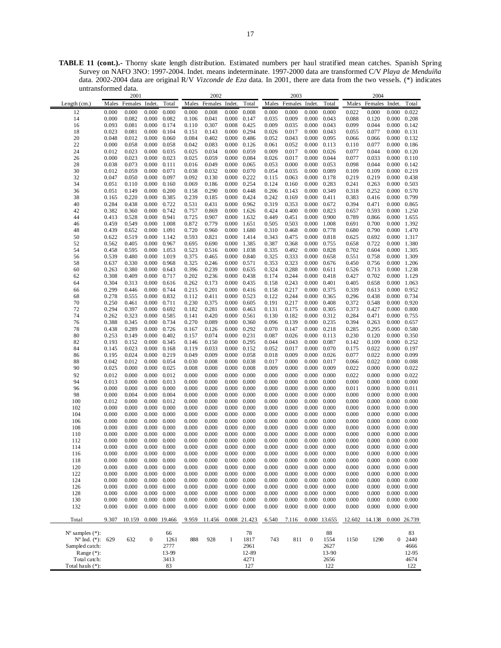**TABLE 11 (cont.).-** Thorny skate length distribution. Estimated numbers per haul stratified mean catches. Spanish Spring Survey on NAFO 3NO: 1997-2004. Indet. means indeterminate. 1997-2000 data are transformed C/V *Playa de Menduíña*  data. 2002-2004 data are original R/V *Vizconde de Eza* data. In 2001, there are data from the two vessels. (\*) indicates untransformed data.

|                             |                | 2001           |                     |              | 2002  |                |                     | 2003                |       |                | 2004                |        |        |                |                            |              |
|-----------------------------|----------------|----------------|---------------------|--------------|-------|----------------|---------------------|---------------------|-------|----------------|---------------------|--------|--------|----------------|----------------------------|--------------|
| Length $(cm.)$              | Males          | Females Indet. |                     | Total        | Males | Females Indet. |                     | Total               | Males | Females Indet. |                     | Total  | Males  | Females Indet. |                            | Total        |
| 12                          | 0.000          | 0.000          | 0.000               | 0.000        | 0.000 | 0.008          | 0.000               | 0.008               | 0.000 | 0.000          | 0.000               | 0.000  | 0.022  | 0.000          | 0.000                      | 0.022        |
| 14                          | 0.000          | 0.082          | 0.000               | 0.082        | 0.106 | 0.041          | 0.000               | 0.147               | 0.035 | 0.009          | 0.000               | 0.043  | 0.088  | 0.120          | $0.000 \quad 0.208$        |              |
|                             |                |                |                     |              |       |                |                     |                     |       |                |                     |        |        |                |                            |              |
| 16                          | 0.093          | 0.081          | 0.000               | 0.174        | 0.110 | 0.307          | 0.008               | 0.425               | 0.009 | 0.035          | 0.000               | 0.043  | 0.099  | 0.044          | $0.000 \quad 0.142$        |              |
| 18                          | 0.023          | 0.081          | 0.000               | 0.104        | 0.151 | 0.143          | 0.000               | 0.294               | 0.026 | 0.017          | 0.000               | 0.043  | 0.055  | 0.077          | $0.000 \quad 0.131$        |              |
| 20                          | 0.048          | 0.012          | 0.000               | 0.060        | 0.084 | 0.402          | 0.000               | 0.486               | 0.052 | 0.043          | 0.000               | 0.095  | 0.066  | 0.066          | 0.000 0.132                |              |
| 22                          | 0.000          | 0.058          | 0.000               | 0.058        | 0.042 | 0.083          | 0.000               | 0.126               | 0.061 | 0.052          | 0.000               | 0.113  | 0.110  | 0.077          | $0.000 \quad 0.186$        |              |
| 24                          | 0.012          | 0.023          | 0.000               | 0.035        | 0.025 | 0.034          | 0.000               | 0.059               | 0.009 | 0.017          | 0.000               | 0.026  | 0.077  | 0.044          | $0.000 \quad 0.120$        |              |
| 26                          | 0.000          | 0.023          | 0.000               | 0.023        | 0.025 | 0.059          | 0.000               | 0.084               | 0.026 | 0.017          | 0.000               | 0.044  | 0.077  | 0.033          | $0.000 \quad 0.110$        |              |
| 28                          | 0.038          | 0.073          | 0.000               | 0.111        | 0.016 | 0.049          | 0.000               | 0.065               | 0.053 | 0.000          | 0.000               | 0.053  | 0.098  | 0.044          | $0.000 \quad 0.142$        |              |
| 30                          | 0.012          | 0.059          | 0.000               | 0.071        | 0.038 | 0.032          | 0.000               | 0.070               | 0.054 | 0.035          | 0.000               | 0.089  | 0.109  | 0.109          | 0.000 0.219                |              |
| 32                          | 0.047          | 0.050          | 0.000               | 0.097        | 0.092 | 0.130          | 0.000               | 0.222               | 0.115 | 0.063          | 0.000               | 0.178  | 0.219  | 0.219          | 0.000 0.438                |              |
| 34                          | 0.051          | 0.110          | 0.000               | 0.160        | 0.069 | 0.186          | 0.000               | 0.254               | 0.124 | 0.160          | 0.000               | 0.283  | 0.241  | 0.263          | 0.000 0.503                |              |
| 36                          | 0.051          | 0.149          | 0.000               | 0.200        | 0.158 | 0.290          | 0.000               | 0.448               | 0.206 | 0.143          | 0.000               | 0.349  | 0.318  | 0.252          | 0.000 0.570                |              |
| 38                          | 0.165          | 0.220          | 0.000               | 0.385        | 0.239 | 0.185          | 0.000               | 0.424               | 0.242 | 0.169          | 0.000               | 0.411  | 0.383  | 0.416          | 0.000 0.799                |              |
| 40                          | 0.284          | 0.438          | 0.000               | 0.722        | 0.531 | 0.431          | 0.000               | 0.962               | 0.319 | 0.353          | 0.000               | 0.672  | 0.394  | 0.471          | $0.000 \quad 0.865$        |              |
| 42                          | 0.382          | 0.360          | 0.000               | 0.742        | 0.757 | 0.869          | 0.000               | 1.626               | 0.424 | 0.400          | 0.000               | 0.823  | 0.657  | 0.593          | 0.000 1.250                |              |
| 44                          | 0.413          | 0.528          | 0.000               | 0.941        | 0.725 | 0.907          | 0.000               | 1.632               | 0.449 | 0.451          | 0.000               | 0.900  | 0.789  | 0.866          | 0.000 1.655                |              |
| 46                          | 0.459          | 0.549          | 0.000               | 1.008        | 0.872 | 0.779          | 0.000               | 1.651               | 0.505 | 0.503          | 0.000               | 1.008  | 0.691  | 0.700          | 0.000 1.392                |              |
| 48                          | 0.439          | 0.652          | 0.000               | 1.091        | 0.720 | 0.960          | 0.000               | 1.680               | 0.310 | 0.468          | 0.000               | 0.778  | 0.680  | 0.790          | 0.000 1.470                |              |
| 50                          | 0.622          | 0.519          | 0.000               | 1.142        | 0.593 | 0.821          | 0.000               | 1.414               | 0.343 | 0.475          | 0.000               | 0.818  | 0.625  | 0.692          | 0.000 1.317                |              |
| 52                          | 0.562          | 0.405          | 0.000               | 0.967        | 0.695 | 0.690          | 0.000               | 1.385               | 0.387 | 0.368          | 0.000               | 0.755  | 0.658  | 0.722          | 0.000 1.380                |              |
| 54                          | 0.458          | 0.595          | 0.000               | 1.053        | 0.523 | 0.516          | 0.000               | 1.038               | 0.335 | 0.492          | 0.000               | 0.828  | 0.702  | 0.604          | 0.000 1.305                |              |
|                             |                |                | 0.000               |              |       |                |                     |                     |       |                |                     |        |        |                |                            |              |
| 56                          | 0.539<br>0.637 | 0.480          |                     | 1.019        | 0.375 | 0.465          | 0.000               | 0.840               | 0.325 | 0.333          | 0.000               | 0.658  | 0.551  | 0.758          | 0.000 1.309<br>0.000 1.206 |              |
| 58                          |                | 0.330          | 0.000               | 0.968        | 0.325 | 0.246          | 0.000               | 0.571               | 0.353 | 0.323          | 0.000               | 0.676  | 0.450  | 0.756          |                            |              |
| 60                          | 0.263          | 0.380          | 0.000               | 0.643        | 0.396 | 0.239          | 0.000               | 0.635               | 0.324 | 0.288          | 0.000               | 0.611  | 0.526  | 0.713          | 0.000 1.238                |              |
| 62                          | 0.308          | 0.409          | 0.000               | 0.717        | 0.202 | 0.236          | 0.000               | 0.438               | 0.174 | 0.244          | 0.000               | 0.418  | 0.427  | 0.702          | 0.000 1.129                |              |
| 64                          | 0.304          | 0.313          | 0.000               | 0.616        | 0.262 | 0.173          | 0.000               | 0.435               | 0.158 | 0.243          | 0.000               | 0.401  | 0.405  | 0.658          | 0.000 1.063                |              |
| 66                          | 0.299          | 0.446          | 0.000               | 0.744        | 0.215 | 0.201          | 0.000               | 0.416               | 0.158 | 0.217          | 0.000               | 0.375  | 0.339  | 0.613          | 0.000 0.952                |              |
| 68                          | 0.278          | 0.555          | 0.000               | 0.832        | 0.112 | 0.411          | 0.000               | 0.523               | 0.122 | 0.244          | 0.000               | 0.365  | 0.296  | 0.438          | 0.000 0.734                |              |
| 70                          | 0.250          | 0.461          | 0.000               | 0.711        | 0.230 | 0.375          | 0.000               | 0.605               | 0.191 | 0.217          | 0.000               | 0.408  | 0.372  | 0.548          | 0.000 0.920                |              |
| 72                          | 0.294          | 0.397          | 0.000               | 0.692        | 0.182 | 0.281          | 0.000               | 0.463               | 0.131 | 0.175          | 0.000               | 0.305  | 0.373  | 0.427          | $0.000 \quad 0.800$        |              |
| 74                          | 0.262          | 0.323          | 0.000               | 0.585        | 0.141 | 0.420          | 0.000               | 0.561               | 0.130 | 0.182          | 0.000               | 0.312  | 0.284  | 0.471          | 0.000 0.755                |              |
| 76                          | 0.388          | 0.345          | 0.000               | 0.734        | 0.270 | 0.089          | 0.000               | 0.360               | 0.096 | 0.139          | 0.000               | 0.235  | 0.394  | 0.263          | 0.000 0.657                |              |
| 78                          | 0.438          | 0.289          | 0.000               | 0.726        | 0.167 | 0.126          | 0.000               | 0.292               | 0.070 | 0.147          | 0.000               | 0.218  | 0.285  | 0.295          | $0.000 \quad 0.580$        |              |
| 80                          | 0.253          | 0.149          | 0.000               | 0.402        | 0.157 | 0.074          | 0.000               | 0.231               | 0.087 | 0.026          | 0.000               | 0.113  | 0.230  | 0.120          | 0.000 0.350                |              |
| 82                          | 0.193          | 0.152          | 0.000               | 0.345        | 0.146 | 0.150          | 0.000               | 0.295               | 0.044 | 0.043          | 0.000               | 0.087  | 0.142  | 0.109          | $0.000 \quad 0.252$        |              |
| 84                          | 0.145          | 0.023          | 0.000               | 0.168        | 0.119 | 0.033          | 0.000               | 0.152               | 0.052 | 0.017          | 0.000               | 0.070  | 0.175  | 0.022          | 0.000 0.197                |              |
| 86                          | 0.195          | 0.024          | 0.000               | 0.219        | 0.049 | 0.009          | 0.000               | 0.058               | 0.018 | 0.009          | 0.000               | 0.026  | 0.077  | 0.022          | 0.000 0.099                |              |
| 88                          | 0.042          | 0.012          | 0.000               | 0.054        | 0.030 | 0.008          | 0.000               | 0.038               | 0.017 | 0.000          | 0.000               | 0.017  | 0.066  | 0.022          | $0.000 \quad 0.088$        |              |
| 90                          | 0.025          | 0.000          | 0.000               | 0.025        | 0.008 | 0.000          | 0.000               | 0.008               | 0.009 | 0.000          | 0.000               | 0.009  | 0.022  | 0.000          | $0.000 \quad 0.022$        |              |
| 92                          | 0.012          | 0.000          | 0.000               | 0.012        | 0.000 | 0.000          | 0.000               | 0.000               | 0.000 | 0.000          | 0.000               | 0.000  | 0.022  | 0.000          | $0.000 \quad 0.022$        |              |
| 94                          | 0.013          | 0.000          | 0.000               | 0.013        | 0.000 | 0.000          | 0.000               | 0.000               | 0.000 | 0.000          | 0.000               | 0.000  | 0.000  | 0.000          | $0.000 \quad 0.000$        |              |
| 96                          | 0.000          | 0.000          | 0.000               | 0.000        | 0.000 | 0.000          | 0.000               | 0.000               | 0.000 | 0.000          | 0.000               | 0.000  | 0.011  | 0.000          | $0.000 \quad 0.011$        |              |
| 98                          | 0.000          | 0.004          | 0.000               | 0.004        | 0.000 | 0.000          | 0.000               | 0.000               | 0.000 | 0.000          | 0.000               | 0.000  | 0.000  | 0.000          | $0.000 \quad 0.000$        |              |
| 100                         | 0.012          | 0.000          | 0.000               | 0.012        | 0.000 | 0.000          |                     | 0.000               | 0.000 |                |                     | 0.000  | 0.000  | 0.000          | $0.000 \quad 0.000$        |              |
|                             |                |                |                     |              |       |                | 0.000               |                     |       | 0.000          | 0.000               |        |        |                |                            |              |
| 102                         | 0.000          | 0.000          | 0.000               | 0.000        | 0.000 | 0.000          | 0.000               | 0.000               | 0.000 | 0.000          | 0.000               | 0.000  | 0.000  | 0.000          | $0.000 \quad 0.000$        |              |
| 104                         | 0.000          | 0.000          | 0.000               | 0.000        | 0.000 | 0.000          | 0.000               | 0.000               | 0.000 | 0.000          | 0.000               | 0.000  | 0.000  | 0.000          | $0.000 \quad 0.000$        |              |
| 106                         | 0.000          | 0.000          | 0.000               | 0.000        | 0.000 | 0.000          | 0.000               | 0.000               | 0.000 | 0.000          | 0.000               | 0.000  | 0.000  | 0.000          | $0.000 \quad 0.000$        |              |
| 108                         | 0.000          | 0.000          | 0.000               | 0.000        | 0.000 | 0.000          | 0.000               | 0.000               | 0.000 | 0.000          | 0.000               | 0.000  | 0.000  | 0.000          | $0.000 \quad 0.000$        |              |
| $110\,$                     | 0.000          | 0.000          | 0.000               | 0.000        | 0.000 | 0.000          | 0.000               | 0.000               | 0.000 | 0.000          | 0.000               | 0.000  | 0.000  | 0.000          | $0.000 \quad 0.000$        |              |
| 112                         | 0.000          | 0.000          | 0.000               | 0.000        | 0.000 | 0.000          | 0.000               | 0.000               | 0.000 | 0.000          | 0.000               | 0.000  | 0.000  | 0.000          | $0.000 \quad 0.000$        |              |
| 114                         | 0.000          | 0.000          | 0.000               | 0.000        | 0.000 | 0.000          | 0.000               | 0.000               | 0.000 | 0.000          | 0.000               | 0.000  | 0.000  | 0.000          | $0.000 \quad 0.000$        |              |
| 116                         | 0.000          | 0.000          | $0.000 \quad 0.000$ |              | 0.000 | 0.000          |                     | $0.000 \quad 0.000$ | 0.000 | 0.000          | 0.000               | 0.000  | 0.000  | 0.000          | $0.000 \quad 0.000$        |              |
| 118                         | 0.000          | 0.000          | $0.000 \quad 0.000$ |              | 0.000 | 0.000          | $0.000 \quad 0.000$ |                     | 0.000 | 0.000          | $0.000 \quad 0.000$ |        | 0.000  | 0.000          | $0.000 \quad 0.000$        |              |
| 120                         | 0.000          | 0.000          | $0.000 \quad 0.000$ |              | 0.000 | 0.000          | 0.000               | 0.000               | 0.000 | 0.000          | 0.000               | 0.000  | 0.000  | 0.000          | $0.000 \quad 0.000$        |              |
| 122                         | 0.000          | 0.000          | 0.000               | 0.000        | 0.000 | 0.000          | 0.000               | 0.000               | 0.000 | 0.000          | 0.000               | 0.000  | 0.000  | 0.000          | $0.000 \quad 0.000$        |              |
| 124                         | 0.000          | 0.000          | 0.000               | 0.000        | 0.000 | 0.000          | 0.000               | 0.000               | 0.000 | 0.000          | 0.000               | 0.000  | 0.000  | 0.000          | $0.000 \quad 0.000$        |              |
| 126                         | 0.000          | 0.000          | 0.000               | 0.000        | 0.000 | 0.000          | 0.000               | 0.000               | 0.000 | 0.000          | 0.000               | 0.000  | 0.000  | 0.000          | $0.000 \quad 0.000$        |              |
| 128                         | 0.000          | 0.000          | 0.000               | 0.000        | 0.000 | 0.000          | 0.000               | 0.000               | 0.000 | 0.000          | 0.000               | 0.000  | 0.000  | 0.000          | $0.000 \quad 0.000$        |              |
| 130                         | 0.000          | 0.000          | 0.000               | 0.000        | 0.000 | 0.000          | 0.000               | 0.000               | 0.000 | 0.000          | 0.000               | 0.000  | 0.000  | 0.000          | $0.000 \quad 0.000$        |              |
| 132                         | 0.000          | 0.000          | 0.000               | 0.000        | 0.000 | 0.000          | 0.000               | 0.000               | 0.000 | 0.000          | 0.000               | 0.000  | 0.000  | 0.000          | $0.000 \quad 0.000$        |              |
|                             |                |                |                     |              |       |                |                     |                     |       |                |                     |        |        |                |                            |              |
| Total                       | 9.307          | 10.159         |                     | 0.000 19.466 | 9.959 | 11.456         |                     | 0.008 21.423        | 6.540 | 7.116          | 0.000               | 13.655 | 12.602 | 14.138         |                            | 0.000 26.739 |
|                             |                |                |                     |              |       |                |                     |                     |       |                |                     |        |        |                |                            |              |
| $N^{\circ}$ samples $(*)$ : |                |                |                     | 66           |       |                |                     | 78                  |       |                |                     | 88     |        |                |                            | 83           |
| $N^{\circ}$ Ind. $(*)$ :    | 629            | 632            | $\boldsymbol{0}$    | 1261         | 888   | 928            | $\mathbf{1}$        | 1817                | 743   | 811            | $\boldsymbol{0}$    | 1554   | 1150   | 1290           | $\overline{0}$             | 2440         |
| Sampled catch:              |                |                |                     | 2777         |       |                |                     | 2961                |       |                |                     | 2627   |        |                |                            | 4666         |
| Range $(*)$ :               |                |                |                     | 13-99        |       |                |                     | 12-89               |       |                |                     | 13-90  |        |                |                            | 12-95        |
| Total catch:                |                |                |                     | 3413         |       |                |                     | 4271                |       |                |                     | 2656   |        |                |                            | 4674         |
| Total hauls (*):            |                |                |                     | 83           |       |                |                     | 127                 |       |                |                     | 122    |        |                |                            | 122          |
|                             |                |                |                     |              |       |                |                     |                     |       |                |                     |        |        |                |                            |              |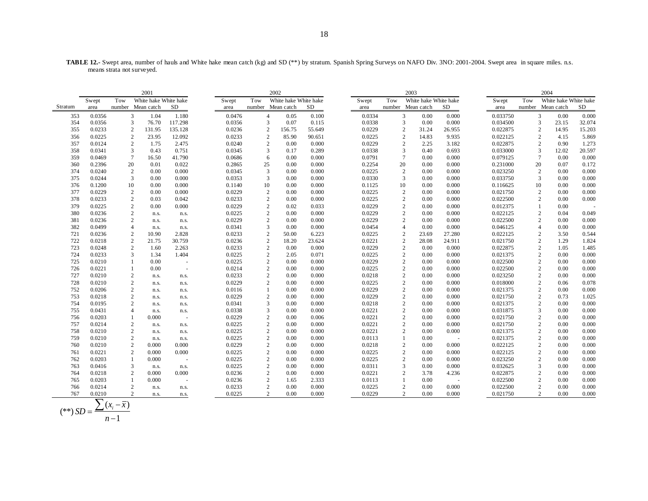**TABLE 12.-** Swept area, number of hauls and White hake mean catch (kg) and SD (\*\*) by stratum. Spanish Spring Surveys on NAFO Div. 3NO: 2001-2004. Swept area in square miles. n.s. means strata not surveyed.

|         | 2001   |                   |                       |         |        | 2002           |                       |        |        |                | 2003                  |        |          | 2004 |                         |        |  |
|---------|--------|-------------------|-----------------------|---------|--------|----------------|-----------------------|--------|--------|----------------|-----------------------|--------|----------|------|-------------------------|--------|--|
|         | Swept  | Tow               | White hake White hake |         | Swept  | Tow            | White hake White hake |        | Swept  | Tow            | White hake White hake |        | Swept    | Tow  | White hake White hake   |        |  |
| Stratum | area   | number Mean catch |                       | SD      | area   |                | number Mean catch     | SD     | area   |                | number Mean catch     | SD     | area     |      | number Mean catch       | SD     |  |
| 353     | 0.0356 | 3                 | 1.04                  | 1.180   | 0.0476 | $\overline{4}$ | 0.05                  | 0.100  | 0.0334 | $\mathbf{3}$   | 0.00                  | 0.000  | 0.033750 |      | $\mathfrak{Z}$<br>0.00  | 0.000  |  |
| 354     | 0.0356 | $\overline{3}$    | 76.70                 | 117.298 | 0.0356 | 3              | 0.07                  | 0.115  | 0.0338 | 3              | 0.00                  | 0.000  | 0.034500 |      | 3<br>23.15              | 32.074 |  |
| 355     | 0.0233 | $\sqrt{2}$        | 131.95                | 135.128 | 0.0236 | $\overline{2}$ | 156.75                | 55.649 | 0.0229 | $\overline{2}$ | 31.24                 | 26.955 | 0.022875 |      | 2<br>14.95              | 15.203 |  |
| 356     | 0.0225 | $\overline{c}$    | 23.95                 | 12.092  | 0.0233 | $\overline{2}$ | 85.90                 | 90.651 | 0.0225 | 2              | 14.83                 | 9.935  | 0.022125 |      | 2<br>4.15               | 5.869  |  |
| 357     | 0.0124 | $\mathbf{2}$      | 1.75                  | 2.475   | 0.0240 | $\overline{c}$ | 0.00                  | 0.000  | 0.0229 | $\overline{2}$ | 2.25                  | 3.182  | 0.022875 |      | 2<br>0.90               | 1.273  |  |
| 358     | 0.0341 | 3                 | 0.43                  | 0.751   | 0.0345 | $\overline{3}$ | 0.17                  | 0.289  | 0.0338 | 3              | 0.40                  | 0.693  | 0.033000 |      | 3<br>12.02              | 20.597 |  |
| 359     | 0.0469 | $7\phantom{.0}$   | 16.50                 | 41.790  | 0.0686 | 6              | 0.00                  | 0.000  | 0.0791 | $\tau$         | 0.00                  | 0.000  | 0.079125 |      | $7\phantom{.0}$<br>0.00 | 0.000  |  |
| 360     | 0.2396 | 20                | 0.01                  | 0.022   | 0.2865 | 25             | 0.00                  | 0.000  | 0.2254 | 20             | 0.00                  | 0.000  | 0.231000 | 20   | 0.07                    | 0.172  |  |
| 374     | 0.0240 | $\overline{c}$    | 0.00                  | 0.000   | 0.0345 | 3              | 0.00                  | 0.000  | 0.0225 | $\overline{c}$ | 0.00                  | 0.000  | 0.023250 |      | $\overline{c}$<br>0.00  | 0.000  |  |
| 375     | 0.0244 | 3                 | 0.00                  | 0.000   | 0.0353 | $\overline{3}$ | 0.00                  | 0.000  | 0.0330 | 3              | 0.00                  | 0.000  | 0.033750 |      | 3<br>0.00               | 0.000  |  |
| 376     | 0.1200 | 10                | 0.00                  | 0.000   | 0.1140 | 10             | 0.00                  | 0.000  | 0.1125 | 10             | 0.00                  | 0.000  | 0.116625 | 10   | 0.00                    | 0.000  |  |
| 377     | 0.0229 | $\mathbf{2}$      | 0.00                  | 0.000   | 0.0229 | $\overline{2}$ | 0.00                  | 0.000  | 0.0225 | $\overline{c}$ | 0.00                  | 0.000  | 0.021750 |      | $\overline{c}$<br>0.00  | 0.000  |  |
| 378     | 0.0233 | $\sqrt{2}$        | 0.03                  | 0.042   | 0.0233 | $\overline{2}$ | 0.00                  | 0.000  | 0.0225 | $\overline{c}$ | 0.00                  | 0.000  | 0.022500 |      | 2<br>0.00               | 0.000  |  |
| 379     | 0.0225 | $\sqrt{2}$        | 0.00                  | 0.000   | 0.0229 | $\overline{c}$ | 0.02                  | 0.033  | 0.0229 | $\overline{2}$ | 0.00                  | 0.000  | 0.012375 |      | 0.00                    |        |  |
| 380     | 0.0236 | $\mathbf{2}$      | n.s.                  | n.s.    | 0.0225 | $\overline{c}$ | 0.00                  | 0.000  | 0.0229 | $\overline{2}$ | 0.00                  | 0.000  | 0.022125 |      | 2<br>0.04               | 0.049  |  |
| 381     | 0.0236 | $\sqrt{2}$        | n.s.                  | n.s.    | 0.0229 | $\sqrt{2}$     | 0.00                  | 0.000  | 0.0229 | $\overline{2}$ | 0.00                  | 0.000  | 0.022500 |      | 2<br>0.00               | 0.000  |  |
| 382     | 0.0499 | $\overline{4}$    | n.s.                  | n.s.    | 0.0341 | $\overline{3}$ | 0.00                  | 0.000  | 0.0454 | $\overline{4}$ | 0.00                  | 0.000  | 0.046125 |      | $\overline{4}$<br>0.00  | 0.000  |  |
| 721     | 0.0236 | $\overline{c}$    | 10.90                 | 2.828   | 0.0233 | $\overline{2}$ | 50.00                 | 6.223  | 0.0225 | $\overline{2}$ | 23.69                 | 27.280 | 0.022125 |      | $\overline{c}$<br>3.50  | 0.544  |  |
| 722     | 0.0218 | $\sqrt{2}$        | 21.75                 | 30.759  | 0.0236 | $\sqrt{2}$     | 18.20                 | 23.624 | 0.0221 | $\sqrt{2}$     | 28.08                 | 24.911 | 0.021750 |      | $\overline{2}$<br>1.29  | 1.824  |  |
| 723     | 0.0248 | $\sqrt{2}$        | 1.60                  | 2.263   | 0.0233 | $\overline{c}$ | 0.00                  | 0.000  | 0.0229 | $\overline{2}$ | 0.00                  | 0.000  | 0.022875 |      | $\sqrt{2}$<br>1.05      | 1.485  |  |
| 724     | 0.0233 | 3                 | 1.34                  | 1.404   | 0.0225 | $\overline{2}$ | 2.05                  | 0.071  | 0.0225 | $\overline{2}$ | 0.00                  | 0.000  | 0.021375 |      | $\overline{c}$<br>0.00  | 0.000  |  |
| 725     | 0.0210 | $\mathbf{1}$      | 0.00                  |         | 0.0225 | $\overline{2}$ | 0.00                  | 0.000  | 0.0229 | $\overline{c}$ | 0.00                  | 0.000  | 0.022500 |      | $\overline{2}$<br>0.00  | 0.000  |  |
| 726     | 0.0221 |                   | 0.00                  | $\sim$  | 0.0214 | $\overline{2}$ | 0.00                  | 0.000  | 0.0225 | $\overline{2}$ | 0.00                  | 0.000  | 0.022500 |      | $\sqrt{2}$<br>0.00      | 0.000  |  |
| 727     | 0.0210 | $\mathbf{2}$      | n.s.                  | n.s.    | 0.0233 | $\overline{c}$ | 0.00                  | 0.000  | 0.0218 | $\overline{2}$ | 0.00                  | 0.000  | 0.023250 |      | $\overline{c}$<br>0.00  | 0.000  |  |
| 728     | 0.0210 | $\sqrt{2}$        | n.s.                  | n.s.    | 0.0229 | $\overline{2}$ | 0.00                  | 0.000  | 0.0225 | $\overline{2}$ | 0.00                  | 0.000  | 0.018000 |      | $\overline{2}$<br>0.06  | 0.078  |  |
| 752     | 0.0206 | $\sqrt{2}$        | n.s.                  | n.s.    | 0.0116 | $\overline{1}$ | 0.00                  | 0.000  | 0.0229 | $\overline{2}$ | 0.00                  | 0.000  | 0.021375 |      | 2<br>0.00               | 0.000  |  |
| 753     | 0.0218 | $\mathbf{2}$      | n.s.                  | n.s.    | 0.0229 | $\overline{c}$ | 0.00                  | 0.000  | 0.0229 | $\overline{2}$ | 0.00                  | 0.000  | 0.021750 |      | $\overline{c}$<br>0.73  | 1.025  |  |
| 754     | 0.0195 | $\sqrt{2}$        | n.s.                  | n.s.    | 0.0341 | $\mathfrak{Z}$ | 0.00                  | 0.000  | 0.0218 | $\overline{c}$ | 0.00                  | 0.000  | 0.021375 |      | $\overline{2}$<br>0.00  | 0.000  |  |
| 755     | 0.0431 | $\overline{4}$    | n.s.                  | n.s.    | 0.0338 | 3              | 0.00                  | 0.000  | 0.0221 | $\overline{2}$ | 0.00                  | 0.000  | 0.031875 |      | 3<br>0.00               | 0.000  |  |
| 756     | 0.0203 |                   | 0.000                 | $\sim$  | 0.0229 | $\overline{2}$ | 0.00                  | 0.006  | 0.0221 | $\overline{2}$ | 0.00                  | 0.000  | 0.021750 |      | $\overline{2}$<br>0.00  | 0.000  |  |
| 757     | 0.0214 | $\sqrt{2}$        | n.s.                  | n.s.    | 0.0225 | $\overline{2}$ | 0.00                  | 0.000  | 0.0221 | $\overline{2}$ | 0.00                  | 0.000  | 0.021750 |      | $\mathbf{2}$<br>0.00    | 0.000  |  |
| 758     | 0.0210 | $\overline{c}$    | n.s.                  | n.s.    | 0.0225 | $\sqrt{2}$     | 0.00                  | 0.000  | 0.0221 | $\overline{2}$ | 0.00                  | 0.000  | 0.021375 |      | $\overline{2}$<br>0.00  | 0.000  |  |
| 759     | 0.0210 | $\mathbf{2}$      | n.s.                  | n.s.    | 0.0225 | $\overline{2}$ | 0.00                  | 0.000  | 0.0113 | 1              | 0.00                  |        | 0.021375 |      | 2<br>0.00               | 0.000  |  |
| 760     | 0.0210 | $\sqrt{2}$        | 0.000                 | 0.000   | 0.0229 | $\sqrt{2}$     | 0.00                  | 0.000  | 0.0218 | $\overline{c}$ | 0.00                  | 0.000  | 0.022125 |      | $\sqrt{2}$<br>0.00      | 0.000  |  |
| 761     | 0.0221 | $\overline{c}$    | 0.000                 | 0.000   | 0.0225 | $\overline{c}$ | 0.00                  | 0.000  | 0.0225 | $\overline{2}$ | 0.00                  | 0.000  | 0.022125 |      | 2<br>0.00               | 0.000  |  |
| 762     | 0.0203 | $\mathbf{1}$      | 0.000                 |         | 0.0225 | 2              | 0.00                  | 0.000  | 0.0225 | $\overline{2}$ | 0.00                  | 0.000  | 0.023250 |      | $\overline{2}$<br>0.00  | 0.000  |  |
| 763     | 0.0416 | 3                 | n.s.                  | n.s.    | 0.0225 | $\sqrt{2}$     | 0.00                  | 0.000  | 0.0311 | 3              | 0.00                  | 0.000  | 0.032625 |      | 3<br>0.00               | 0.000  |  |
| 764     | 0.0218 | $\mathbf{2}$      | 0.000                 | 0.000   | 0.0236 | $\overline{2}$ | 0.00                  | 0.000  | 0.0221 | $\overline{2}$ | 3.78                  | 4.236  | 0.022875 |      | 2<br>0.00               | 0.000  |  |
| 765     | 0.0203 |                   | 0.000                 |         | 0.0236 | $\overline{2}$ | 1.65                  | 2.333  | 0.0113 |                | 0.00                  |        | 0.022500 |      | $\overline{2}$<br>0.00  | 0.000  |  |
| 766     | 0.0214 | $\sqrt{2}$        | n.s.                  | n.s.    | 0.0233 | $\overline{2}$ | 0.00                  | 0.000  | 0.0225 | $\overline{2}$ | 0.00                  | 0.000  | 0.022500 |      | 2<br>0.00               | 0.000  |  |
| 767     | 0.0210 | $\overline{2}$    | n.s.                  | n.s.    | 0.0225 | $\overline{2}$ | 0.00                  | 0.000  | 0.0229 | $\overline{2}$ | 0.00                  | 0.000  | 0.021750 |      | $\overline{2}$<br>0.00  | 0.000  |  |

$$
(**) SD = \frac{\sum (x_i - \overline{x})}{n - 1}
$$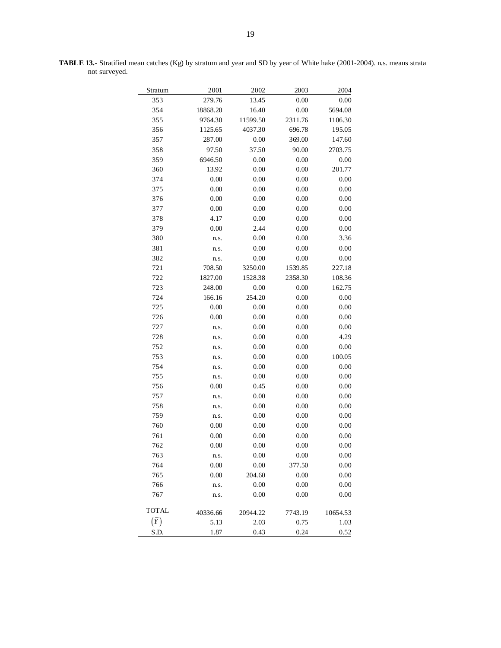| Stratum      | 2001     | 2002     | 2003    | 2004     |
|--------------|----------|----------|---------|----------|
| 353          | 279.76   | 13.45    | 0.00    | 0.00     |
| 354          | 18868.20 | 16.40    | 0.00    | 5694.08  |
| 355          | 9764.30  | 11599.50 | 2311.76 | 1106.30  |
| 356          | 1125.65  | 4037.30  | 696.78  | 195.05   |
| 357          | 287.00   | 0.00     | 369.00  | 147.60   |
| 358          | 97.50    | 37.50    | 90.00   | 2703.75  |
| 359          | 6946.50  | 0.00     | 0.00    | 0.00     |
| 360          | 13.92    | 0.00     | 0.00    | 201.77   |
| 374          | 0.00     | 0.00     | 0.00    | 0.00     |
| 375          | 0.00     | 0.00     | 0.00    | 0.00     |
| 376          | 0.00     | 0.00     | 0.00    | 0.00     |
| 377          | 0.00     | 0.00     | 0.00    | 0.00     |
| 378          | 4.17     | 0.00     | 0.00    | 0.00     |
| 379          | 0.00     | 2.44     | 0.00    | 0.00     |
| 380          | n.s.     | 0.00     | 0.00    | 3.36     |
| 381          | n.s.     | 0.00     | 0.00    | 0.00     |
| 382          | n.s.     | 0.00     | 0.00    | 0.00     |
| 721          | 708.50   | 3250.00  | 1539.85 | 227.18   |
| 722          | 1827.00  | 1528.38  | 2358.30 | 108.36   |
| 723          | 248.00   | 0.00     | 0.00    | 162.75   |
| 724          | 166.16   | 254.20   | 0.00    | 0.00     |
| 725          | 0.00     | 0.00     | 0.00    | 0.00     |
| 726          | 0.00     | 0.00     | 0.00    | 0.00     |
| 727          | n.s.     | 0.00     | 0.00    | 0.00     |
| 728          | n.s.     | 0.00     | 0.00    | 4.29     |
| 752          | n.s.     | 0.00     | 0.00    | 0.00     |
| 753          | n.s.     | 0.00     | 0.00    | 100.05   |
| 754          | n.s.     | 0.00     | 0.00    | 0.00     |
| 755          | n.s.     | 0.00     | 0.00    | 0.00     |
| 756          | 0.00     | 0.45     | 0.00    | 0.00     |
| 757          | n.s.     | 0.00     | 0.00    | 0.00     |
| 758          | n.s.     | 0.00     | 0.00    | 0.00     |
| 759          | n.s.     | 0.00     | 0.00    | 0.00     |
| 760          | 0.00     | 0.00     | 0.00    | 0.00     |
| 761          | 0.00     | 0.00     | 0.00    | 0.00     |
| 762          | 0.00     | 0.00     | 0.00    | 0.00     |
| 763          | n.s.     | 0.00     | 0.00    | 0.00     |
| 764          | 0.00     | 0.00     | 377.50  | 0.00     |
| 765          | 0.00     | 204.60   | 0.00    | 0.00     |
| 766          | n.s.     | 0.00     | 0.00    | 0.00     |
| 767          | n.s.     | 0.00     | 0.00    | 0.00     |
| <b>TOTAL</b> | 40336.66 | 20944.22 | 7743.19 | 10654.53 |
| $(\bar{Y})$  | 5.13     | 2.03     | 0.75    | 1.03     |
| S.D.         | 1.87     | 0.43     | 0.24    | 0.52     |

**TABLE 13.-** Stratified mean catches (Kg) by stratum and year and SD by year of White hake (2001-2004). n.s. means strata not surveyed.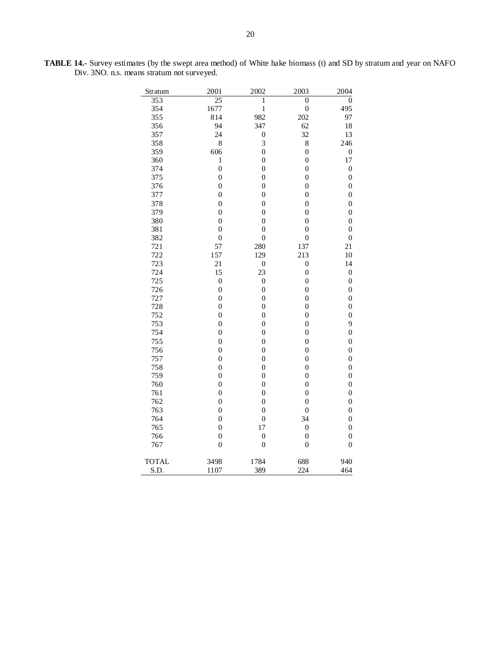| Stratum      | 2001             | 2002             | 2003             | 2004             |
|--------------|------------------|------------------|------------------|------------------|
| 353          | 25               | 1                | $\overline{0}$   | $\overline{0}$   |
| 354          | 1677             | $\mathbf{1}$     | $\boldsymbol{0}$ | 495              |
| 355          | 814              | 982              | 202              | 97               |
| 356          | 94               | 347              | 62               | 18               |
| 357          | 24               | $\boldsymbol{0}$ | 32               | 13               |
| 358          | 8                | 3                | 8                | 246              |
| 359          | 606              | $\boldsymbol{0}$ | $\boldsymbol{0}$ | $\boldsymbol{0}$ |
| 360          | $\,1$            | $\overline{0}$   | $\overline{0}$   | 17               |
| 374          | $\overline{0}$   | $\boldsymbol{0}$ | $\boldsymbol{0}$ | $\boldsymbol{0}$ |
| 375          | $\overline{0}$   | $\overline{0}$   | $\overline{0}$   | $\boldsymbol{0}$ |
| 376          | $\boldsymbol{0}$ | $\overline{0}$   | $\boldsymbol{0}$ | $\boldsymbol{0}$ |
| 377          | $\boldsymbol{0}$ | $\boldsymbol{0}$ | $\boldsymbol{0}$ | 0                |
| 378          | $\boldsymbol{0}$ | $\overline{0}$   | $\overline{0}$   | $\boldsymbol{0}$ |
| 379          | $\overline{0}$   | $\overline{0}$   | $\boldsymbol{0}$ | $\boldsymbol{0}$ |
| 380          | $\boldsymbol{0}$ | $\boldsymbol{0}$ | $\boldsymbol{0}$ | 0                |
| 381          | $\boldsymbol{0}$ | $\boldsymbol{0}$ | $\boldsymbol{0}$ | $\boldsymbol{0}$ |
| 382          | $\boldsymbol{0}$ | $\boldsymbol{0}$ | $\boldsymbol{0}$ | $\boldsymbol{0}$ |
| 721          | 57               | 280              | 137              | 21               |
| 722          | 157              | 129              | 213              | 10               |
| 723          | 21               | $\boldsymbol{0}$ | $\boldsymbol{0}$ | 14               |
| 724          | 15               | 23               | $\overline{0}$   | $\boldsymbol{0}$ |
| 725          | $\overline{0}$   | $\boldsymbol{0}$ | $\boldsymbol{0}$ | $\boldsymbol{0}$ |
| 726          | $\boldsymbol{0}$ | $\boldsymbol{0}$ | $\boldsymbol{0}$ | $\boldsymbol{0}$ |
| 727          | $\boldsymbol{0}$ | $\boldsymbol{0}$ | $\boldsymbol{0}$ | $\boldsymbol{0}$ |
| 728          | $\boldsymbol{0}$ | $\boldsymbol{0}$ | $\boldsymbol{0}$ | $\boldsymbol{0}$ |
| 752          | $\boldsymbol{0}$ | $\overline{0}$   | $\boldsymbol{0}$ | $\boldsymbol{0}$ |
| 753          | $\boldsymbol{0}$ | $\boldsymbol{0}$ | $\boldsymbol{0}$ | 9                |
| 754          | $\boldsymbol{0}$ | $\overline{0}$   | $\overline{0}$   | $\overline{0}$   |
|              |                  |                  |                  |                  |
| 755          | $\boldsymbol{0}$ | $\boldsymbol{0}$ | $\boldsymbol{0}$ | $\boldsymbol{0}$ |
| 756          | $\boldsymbol{0}$ | $\boldsymbol{0}$ | $\boldsymbol{0}$ | $\boldsymbol{0}$ |
| 757          | $\overline{0}$   | $\overline{0}$   | $\overline{0}$   | $\overline{0}$   |
| 758          | $\boldsymbol{0}$ | $\boldsymbol{0}$ | $\boldsymbol{0}$ | $\boldsymbol{0}$ |
| 759          | 0                | $\overline{0}$   | $\boldsymbol{0}$ | 0                |
| 760          | $\boldsymbol{0}$ | $\overline{0}$   | $\overline{0}$   | $\boldsymbol{0}$ |
| 761          | $\boldsymbol{0}$ | $\boldsymbol{0}$ | $\boldsymbol{0}$ | $\boldsymbol{0}$ |
| 762          | $\boldsymbol{0}$ | $\overline{0}$   | $\boldsymbol{0}$ | $\boldsymbol{0}$ |
| 763          | $\overline{0}$   | $\overline{0}$   | $\boldsymbol{0}$ | $\boldsymbol{0}$ |
| 764          | 0                | $\boldsymbol{0}$ | 34               | 0                |
| 765          | $\boldsymbol{0}$ | 17               | $\overline{0}$   | $\boldsymbol{0}$ |
| 766          | $\boldsymbol{0}$ | $\boldsymbol{0}$ | $\boldsymbol{0}$ | $\boldsymbol{0}$ |
| 767          | $\overline{0}$   | $\boldsymbol{0}$ | $\overline{0}$   | $\overline{0}$   |
| <b>TOTAL</b> | 3498             | 1784             | 688              | 940              |
| S.D.         | 1107             | 389              | 224              | 464              |

**TABLE 14.-** Survey estimates (by the swept area method) of White hake biomass (t) and SD by stratum and year on NAFO Div. 3NO. n.s. means stratum not surveyed.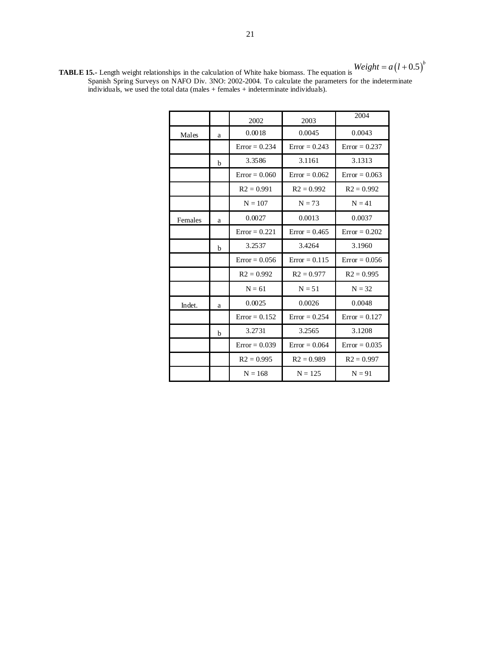**TABLE 15.-** Length weight relationships in the calculation of White hake biomass. The equation is Spanish Spring Surveys on NAFO Div. 3NO: 2002-2004. To calculate the parameters for the indeterminate individuals, we used the total data (males + females + indeterminate individuals).

|         |              | 2002            | 2003            | 2004            |
|---------|--------------|-----------------|-----------------|-----------------|
| Males   | a            | 0.0018          | 0.0045          | 0.0043          |
|         |              | $Error = 0.234$ | $Error = 0.243$ | $Error = 0.237$ |
|         | $\mathbf{h}$ | 3.3586          | 3.1161          | 3.1313          |
|         |              | $Error = 0.060$ | $Error = 0.062$ | $Error = 0.063$ |
|         |              | $R2 = 0.991$    | $R2 = 0.992$    | $R2 = 0.992$    |
|         |              | $N = 107$       | $N = 73$        | $N = 41$        |
| Females | a            | 0.0027          | 0.0013          | 0.0037          |
|         |              | $Error = 0.221$ | $Error = 0.465$ | $Error = 0.202$ |
|         | $\mathbf b$  | 3.2537          | 3.4264          | 3.1960          |
|         |              | $Error = 0.056$ | $Error = 0.115$ | $Error = 0.056$ |
|         |              | $R2 = 0.992$    | $R2 = 0.977$    | $R2 = 0.995$    |
|         |              | $N = 61$        | $N = 51$        | $N = 32$        |
| Indet.  | a            | 0.0025          | 0.0026          | 0.0048          |
|         |              | $Error = 0.152$ | $Error = 0.254$ | $Error = 0.127$ |
|         | h            | 3.2731          | 3.2565          | 3.1208          |
|         |              | $Error = 0.039$ | $Error = 0.064$ | $Error = 0.035$ |
|         |              | $R2 = 0.995$    | $R2 = 0.989$    | $R2 = 0.997$    |
|         |              | $N = 168$       | $N = 125$       | $N = 91$        |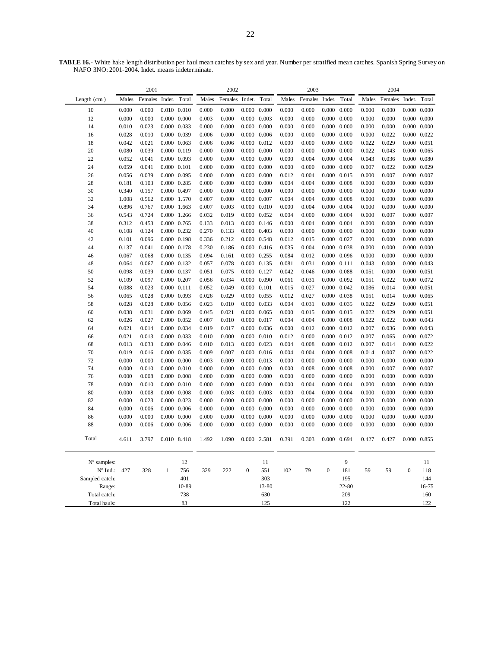**TABLE 16.-** White hake length distribution per haul mean catches by sex and year. Number per stratified mean catches. Spanish Spring Survey on NAFO 3NO: 2001-2004. Indet. means indeterminate.

|                | 2001           |                |                                    | 2002                |                |                |                                            | 2003                |                |                |                     | 2004                |                |                |                                    |                     |
|----------------|----------------|----------------|------------------------------------|---------------------|----------------|----------------|--------------------------------------------|---------------------|----------------|----------------|---------------------|---------------------|----------------|----------------|------------------------------------|---------------------|
| Length (cm.)   | Males          | Females        | Indet.                             | Total               | Males          | Females        | Indet.                                     | Total               | Males          | Females        | Indet.              | Total               | Males          | Females        | Indet.                             | Total               |
| 10             | 0.000          | 0.000          |                                    | $0.010$ $0.010$     | 0.000          | 0.000          | 0.000                                      | 0.000               | 0.000          | 0.000          | 0.000               | 0.000               | 0.000          | 0.000          | 0.000                              | 0.000               |
| 12             | 0.000          | 0.000          | $0.000 \quad 0.000$                |                     | 0.003          | 0.000          | $0.000 \quad 0.003$                        |                     | 0.000          | 0.000          |                     | $0.000 \quad 0.000$ | 0.000          | 0.000          |                                    | $0.000 \quad 0.000$ |
| 14             | 0.010          | 0.023          | 0.000 0.033                        |                     | 0.000          | 0.000          | $0.000 \quad 0.000$                        |                     | 0.000          | 0.000          | $0.000 \quad 0.000$ |                     | 0.000          | 0.000          |                                    | $0.000 \quad 0.000$ |
| 16             | 0.028          | 0.010          | 0.000 0.039                        |                     | 0.006          | 0.000          | $0.000 \quad 0.006$                        |                     | 0.000          | 0.000          |                     | $0.000 \quad 0.000$ | 0.000          | 0.022          | $0.000 \quad 0.022$                |                     |
| 18             | 0.042          | 0.021          | $0.000 \quad 0.063$                |                     | 0.006          | 0.006          |                                            | $0.000 \quad 0.012$ | 0.000          | 0.000          | $0.000 \quad 0.000$ |                     | 0.022          | 0.029          | $0.000 \quad 0.051$                |                     |
| 20             | 0.080          | 0.039          | $0.000 \quad 0.119$                |                     | 0.000          | 0.000          | $0.000 \quad 0.000$                        |                     | 0.000          | 0.000          |                     | $0.000 \quad 0.000$ | 0.022          | 0.043          | $0.000 \quad 0.065$                |                     |
| 22             | 0.052          | 0.041          | 0.000 0.093                        |                     | 0.000          | 0.000          | $0.000 \quad 0.000$                        |                     | 0.000          | 0.004          | 0.000 0.004         |                     | 0.043          | 0.036          |                                    | $0.000$ $0.080$     |
| 24             | 0.059          | 0.041          | $0.000 \quad 0.101$                |                     | 0.000          | 0.000          | $0.000 \quad 0.000$                        |                     | 0.000          | 0.000          | $0.000 \quad 0.000$ |                     | 0.007          | 0.022          | 0.000 0.029                        |                     |
| 26             | 0.056          | 0.039          | 0.000 0.095                        |                     | 0.000          | 0.000          | $0.000 \quad 0.000$                        |                     | 0.012          | 0.004          | 0.000 0.015         |                     | 0.000          | 0.007          | 0.000 0.007                        |                     |
| 28             | 0.181          | 0.103          | 0.000 0.285                        |                     | 0.000          | 0.000          | $0.000 \quad 0.000$                        |                     | 0.004          | 0.004          | 0.000               | 0.008               | 0.000          | 0.000          |                                    | $0.000 \quad 0.000$ |
| 30             | 0.340          | 0.157          | 0.000 0.497                        |                     | 0.000          | 0.000          | $0.000 \quad 0.000$                        |                     | 0.000          | 0.000          | $0.000 \quad 0.000$ |                     | 0.000          | 0.000          | $0.000 \quad 0.000$                |                     |
| 32             | 1.008          | 0.562          | 0.000 1.570                        |                     | 0.007          | 0.000          | $0.000 \quad 0.007$                        |                     | 0.004          | 0.004          | $0.000 \quad 0.008$ |                     | 0.000          | 0.000          | $0.000 \quad 0.000$                |                     |
| 34             | 0.896          | 0.767          | 0.000                              | 1.663               | 0.007          | 0.003          | $0.000 \quad 0.010$                        |                     | 0.000          | 0.004          | 0.000               | 0.004               | 0.000          | 0.000          | 0.000                              | 0.000               |
| 36             | 0.543          | 0.724          | 0.000 1.266                        |                     | 0.032          | 0.019          | $0.000 \quad 0.052$                        |                     | 0.004          | 0.000          | $0.000 \quad 0.004$ |                     | 0.000          | 0.007          | 0.000 0.007                        |                     |
| 38             | 0.312          | 0.453          | 0.000 0.765                        |                     | 0.133          | 0.013          |                                            | $0.000 \quad 0.146$ | 0.000          | 0.004          | $0.000 \quad 0.004$ |                     | 0.000          | 0.000          |                                    | $0.000 \quad 0.000$ |
| 40             | 0.108          | 0.124          | $0.000 \quad 0.232$                |                     | 0.270          | 0.133          | $0.000 \quad 0.403$                        |                     | 0.000          | 0.000          | $0.000 \quad 0.000$ |                     | 0.000          | 0.000          | $0.000 \quad 0.000$                |                     |
| 42             | 0.101          | 0.096          | $0.000 \quad 0.198$                |                     | 0.336          | 0.212          | 0.000 0.548                                |                     | 0.012          | 0.015          | $0.000 \quad 0.027$ |                     | 0.000          | 0.000          | $0.000 \quad 0.000$                |                     |
| 44             | 0.137          | 0.041          | 0.000 0.178                        |                     | 0.230          | 0.186          | $0.000 \quad 0.416$                        |                     | 0.035          | 0.004          | 0.000 0.038         |                     | 0.000          | 0.000          | $0.000 \quad 0.000$                |                     |
| 46             | 0.067          | 0.068          | $0.000 \quad 0.135$                |                     | 0.094          | 0.161          | $0.000 \quad 0.255$                        |                     | 0.084          | 0.012          |                     | $0.000 \quad 0.096$ | 0.000          | 0.000          |                                    | $0.000 \quad 0.000$ |
| 48             | 0.064          | 0.067          | $0.000 \quad 0.132$                |                     | 0.057          | 0.078          | $0.000 \quad 0.135$                        |                     | 0.081          | 0.031          | 0.000               | 0.111               | 0.043          | 0.000          | $0.000 \quad 0.043$                |                     |
| 50             | 0.098          | 0.039          | 0.000 0.137                        |                     | 0.051          | 0.075          | 0.000 0.127                                |                     | 0.042          | 0.046          | $0.000 \quad 0.088$ |                     | 0.051          | 0.000          | $0.000 \quad 0.051$                |                     |
| 52             | 0.109          | 0.097          | 0.000 0.207                        |                     | 0.056          | 0.034          | $0.000 \quad 0.090$                        |                     | 0.061          | 0.031          | $0.000 \quad 0.092$ |                     | 0.051          | 0.022          | 0.000 0.072                        |                     |
| 54             | 0.088          | 0.023          | $0.000 \quad 0.111$                |                     | 0.052          | 0.049          | $0.000 \quad 0.101$                        |                     | 0.015          | 0.027          | $0.000 \quad 0.042$ |                     | 0.036          | 0.014          | $0.000 \quad 0.051$                |                     |
| 56             | 0.065          | 0.028          | 0.000 0.093                        |                     | 0.026          | 0.029          | $0.000 \quad 0.055$                        |                     | 0.012          | 0.027          |                     | $0.000 \quad 0.038$ | 0.051          | 0.014          | $0.000 \quad 0.065$                |                     |
| 58             | 0.028          | 0.028          |                                    | $0.000 \quad 0.056$ | 0.023          | 0.010          | 0.000 0.033                                |                     | 0.004          | 0.031          |                     | 0.000 0.035         | 0.022          | 0.029          | 0.000 0.051                        |                     |
| 60<br>62       | 0.038<br>0.026 | 0.031<br>0.027 | 0.000 0.069<br>$0.000 \quad 0.052$ |                     | 0.045<br>0.007 | 0.021<br>0.010 | $0.000 \quad 0.065$<br>0.000 0.017         |                     | 0.000<br>0.004 | 0.015<br>0.004 | $0.000 \quad 0.008$ | $0.000 \quad 0.015$ | 0.022<br>0.022 | 0.029<br>0.022 | $0.000 \quad 0.051$<br>0.000 0.043 |                     |
| 64             | 0.021          |                | 0.000 0.034                        |                     |                |                |                                            |                     |                |                |                     | $0.000 \quad 0.012$ | 0.007          | 0.036          | $0.000 \quad 0.043$                |                     |
|                | 0.021          | 0.014          | 0.000 0.033                        |                     | 0.019          | 0.017          | $0.000 \quad 0.036$<br>$0.000 \quad 0.010$ |                     | 0.000          | 0.012<br>0.000 | $0.000 \quad 0.012$ |                     | 0.007          | 0.065          | 0.000 0.072                        |                     |
| 66<br>68       | 0.013          | 0.013<br>0.033 | $0.000 \quad 0.046$                |                     | 0.010<br>0.010 | 0.000<br>0.013 | $0.000 \quad 0.023$                        |                     | 0.012<br>0.004 | 0.008          | $0.000 \quad 0.012$ |                     | 0.007          | 0.014          | $0.000 \quad 0.022$                |                     |
| 70             | 0.019          | 0.016          | $0.000 \quad 0.035$                |                     | 0.009          | 0.007          | $0.000 \quad 0.016$                        |                     | 0.004          | 0.004          |                     | $0.000 \quad 0.008$ | 0.014          | 0.007          | $0.000 \quad 0.022$                |                     |
| 72             | 0.000          | 0.000          | $0.000 \quad 0.000$                |                     | 0.003          | 0.009          | $0.000 \quad 0.013$                        |                     | 0.000          | 0.000          | 0.000               | 0.000               | 0.000          | 0.000          | $0.000 \quad 0.000$                |                     |
| 74             | 0.000          | 0.010          | $0.000 \quad 0.010$                |                     | 0.000          | 0.000          | $0.000 \quad 0.000$                        |                     | 0.000          | 0.008          |                     | $0.000 \quad 0.008$ | 0.000          | 0.007          | 0.000 0.007                        |                     |
| 76             | 0.000          | 0.008          | $0.000 \quad 0.008$                |                     | 0.000          | 0.000          | $0.000 \quad 0.000$                        |                     | 0.000          | 0.000          | 0.000               | 0.000               | 0.000          | 0.000          | $0.000 \quad 0.000$                |                     |
| 78             | 0.000          | 0.010          | $0.000 \quad 0.010$                |                     | 0.000          | 0.000          | $0.000 \quad 0.000$                        |                     | 0.000          | 0.004          | $0.000 \quad 0.004$ |                     | 0.000          | 0.000          | $0.000 \quad 0.000$                |                     |
| 80             | 0.000          | 0.008          | $0.000 \quad 0.008$                |                     | 0.000          | 0.003          | $0.000 \quad 0.003$                        |                     | 0.000          | 0.004          | $0.000 \quad 0.004$ |                     | 0.000          | 0.000          | $0.000 \quad 0.000$                |                     |
| 82             | 0.000          | 0.023          | $0.000 \quad 0.023$                |                     | 0.000          | 0.000          | $0.000 \quad 0.000$                        |                     | 0.000          | 0.000          | $0.000 \quad 0.000$ |                     | 0.000          | 0.000          |                                    | $0.000 \quad 0.000$ |
| 84             | 0.000          | 0.006          | $0.000 \quad 0.006$                |                     | 0.000          | 0.000          | $0.000 \quad 0.000$                        |                     | 0.000          | 0.000          |                     | $0.000 \quad 0.000$ | 0.000          | 0.000          | $0.000 \quad 0.000$                |                     |
| 86             | 0.000          | 0.000          | $0.000 \quad 0.000$                |                     | 0.000          | 0.000          | $0.000 \quad 0.000$                        |                     | 0.000          | 0.000          | $0.000 \quad 0.000$ |                     | 0.000          | 0.000          |                                    | $0.000 \quad 0.000$ |
| 88             | 0.000          | 0.006          |                                    | $0.000 \quad 0.006$ | 0.000          | 0.000          | $0.000 \quad 0.000$                        |                     | 0.000          | 0.000          | $0.000 \quad 0.000$ |                     | 0.000          | 0.000          |                                    | $0.000 \quad 0.000$ |
| Total          | 4.611          | 3.797          | 0.010 8.418                        |                     | 1.492          | 1.090          | 0.000 2.581                                |                     | 0.391          | 0.303          | 0.000 0.694         |                     | 0.427          | 0.427          | $0.000 \quad 0.855$                |                     |
|                |                |                |                                    |                     |                |                |                                            |                     |                |                |                     |                     |                |                |                                    |                     |
| $No$ samples:  |                |                |                                    | 12                  |                |                |                                            | 11                  |                |                |                     | 9                   |                |                |                                    | 11                  |
| N° Ind.:       | 427            | 328            | 1                                  | 756                 | 329            | 222            | $\mathbf{0}$                               | 551                 | 102            | 79             | $\boldsymbol{0}$    | 181                 | 59             | 59             | $\boldsymbol{0}$                   | 118                 |
| Sampled catch: |                |                |                                    | 401                 |                |                |                                            | 303                 |                |                |                     | 195                 |                |                |                                    | 144                 |
| Range:         |                |                |                                    | $10-89$             |                |                |                                            | 13-80               |                |                |                     | $22 - 80$           |                |                |                                    | 16-75               |
| Total catch:   |                |                |                                    | 738                 |                |                |                                            | 630                 |                |                |                     | 209                 |                |                |                                    | 160                 |
| Total hauls:   |                |                |                                    | 83                  |                |                |                                            | 125                 |                |                |                     | 122                 |                |                |                                    | 122                 |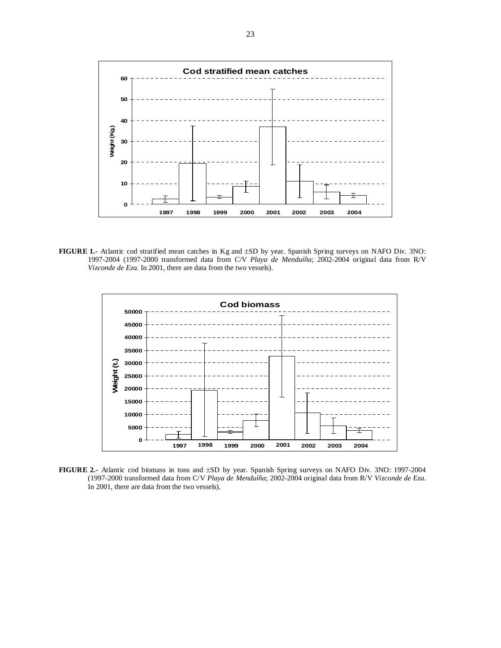

**FIGURE 1.-** Atlantic cod stratified mean catches in Kg and ±SD by year. Spanish Spring surveys on NAFO Div. 3NO: 1997-2004 (1997-2000 transformed data from C/V *Playa de Menduíña*; 2002-2004 original data from R/V *Vizconde de Eza*. In 2001, there are data from the two vessels).



**FIGURE 2.-** Atlantic cod biomass in tons and ±SD by year. Spanish Spring surveys on NAFO Div. 3NO: 1997-2004 (1997-2000 transformed data from C/V *Playa de Menduíña*; 2002-2004 original data from R/V *Vizconde de Eza*. In 2001, there are data from the two vessels).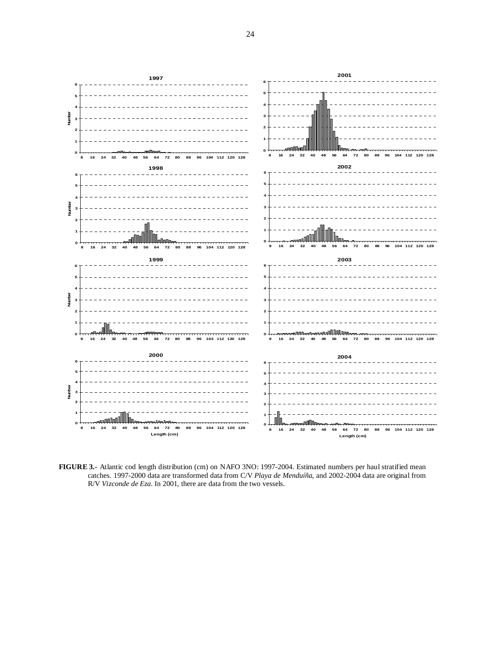

**FIGURE 3.-** Atlantic cod length distribution (cm) on NAFO 3NO: 1997-2004. Estimated numbers per haul stratified mean catches. 1997-2000 data are transformed data from C/V *Playa de Menduíña*, and 2002-2004 data are original from R/V *Vizconde de Eza*. In 2001, there are data from the two vessels.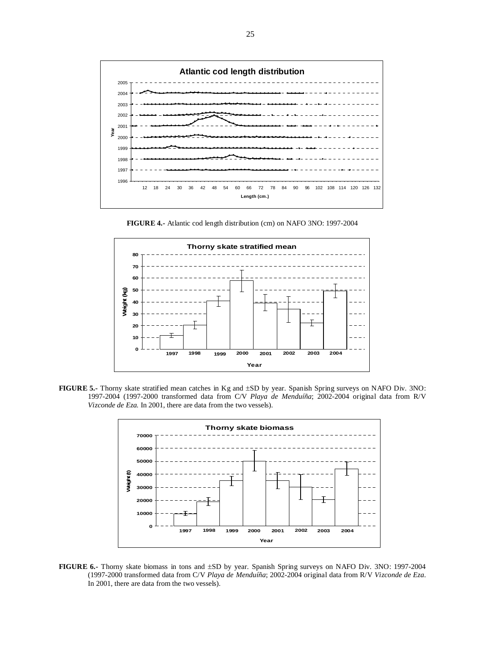

**FIGURE 4.-** Atlantic cod length distribution (cm) on NAFO 3NO: 1997-2004



**FIGURE 5.-** Thorny skate stratified mean catches in Kg and ±SD by year. Spanish Spring surveys on NAFO Div. 3NO: 1997-2004 (1997-2000 transformed data from C/V *Playa de Menduíña*; 2002-2004 original data from R/V *Vizconde de Eza*. In 2001, there are data from the two vessels).



**FIGURE 6.-** Thorny skate biomass in tons and ±SD by year. Spanish Spring surveys on NAFO Div. 3NO: 1997-2004 (1997-2000 transformed data from C/V *Playa de Menduíña*; 2002-2004 original data from R/V *Vizconde de Eza*. In 2001, there are data from the two vessels).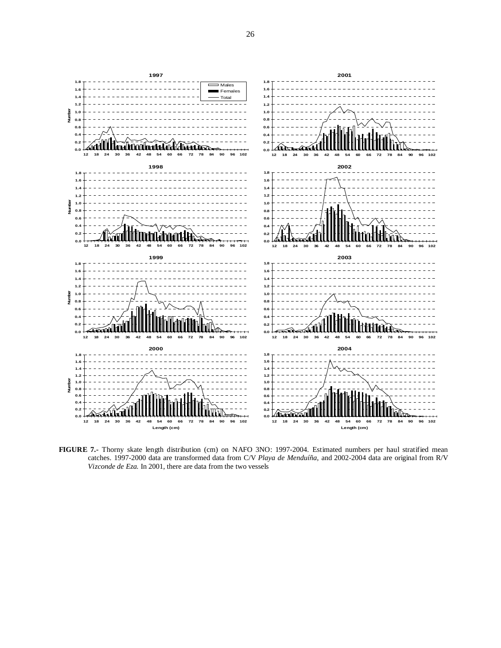

**FIGURE 7.-** Thorny skate length distribution (cm) on NAFO 3NO: 1997-2004. Estimated numbers per haul stratified mean catches. 1997-2000 data are transformed data from C/V *Playa de Menduíña*, and 2002-2004 data are original from R/V *Vizconde de Eza*. In 2001, there are data from the two vessels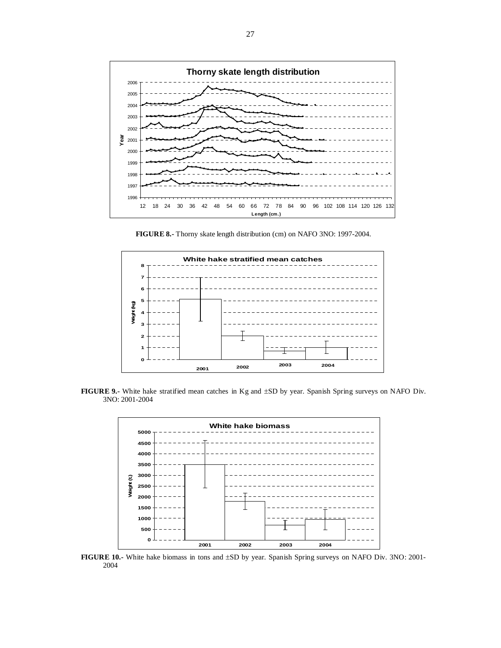

**FIGURE 8.-** Thorny skate length distribution (cm) on NAFO 3NO: 1997-2004.



**FIGURE 9.-** White hake stratified mean catches in Kg and ±SD by year. Spanish Spring surveys on NAFO Div. 3NO: 2001-2004



**FIGURE 10.-** White hake biomass in tons and ±SD by year. Spanish Spring surveys on NAFO Div. 3NO: 2001-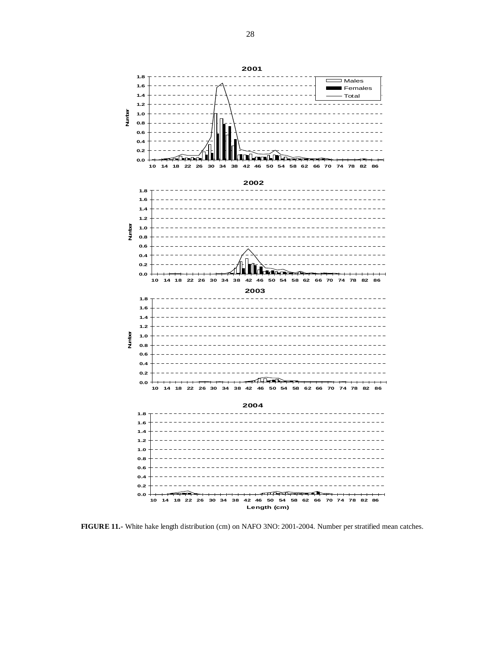**1.8**  $\overline{\square}$  Males  $\Box$ **1.6** Females **1.4** Total **1.2 Number 1.0 0.8 0.6 0.4 0.2 0.0** an an I **10 14 18 22 26 30 34 38 42 46 50 54 58 62 66 70 74 78 82 86 2002 1.8 1.6 1.4 1.2 Number 1.0 0.8 0.6 0.4 0.2 0.0 10 14 18 22 26 30 34 38 42 46 50 54 58 62 66 70 74 78 82 86 2003 1.8 1.6 1.4 1.2 Number 1.0 0.8 0.6 0.4 0.2**  $\widehat{\mathbb{H}\mathbb{H}}$ **0.0 10 14 18 22 26 30 34 38 42 46 50 54 58 62 66 70 74 78 82 86 2004 1.8 1.6 1.4 1.2 1.0 0.8**

**FIGURE 11.-** White hake length distribution (cm) on NAFO 3NO: 2001-2004. Number per stratified mean catches.

**10 14 18 22 26 30 34 38 42 46 50 54 58 62 66 70 74 78 82 86 Length (cm)**

ா⇔ா

**0.0 0.2 0.4 0.6**

**2001**